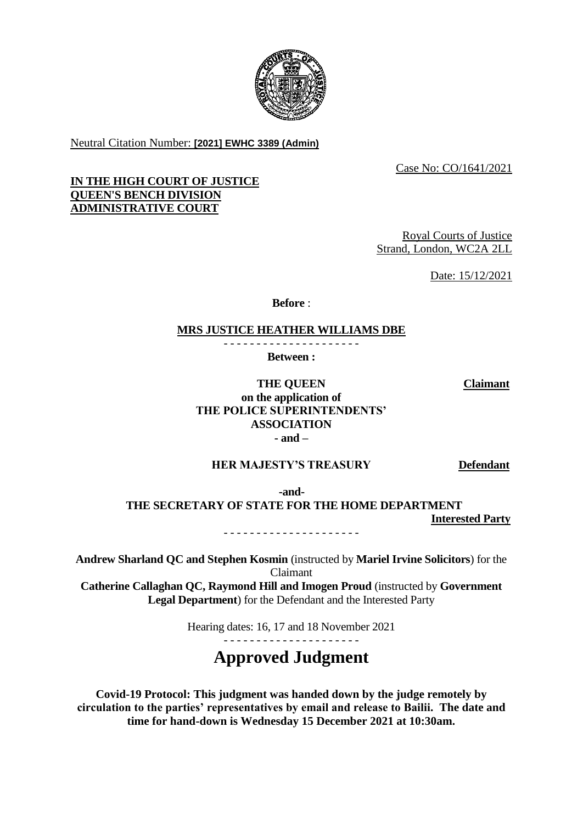

Neutral Citation Number: **[2021] EWHC 3389 (Admin)**

Case No: CO/1641/2021

# **IN THE HIGH COURT OF JUSTICE QUEEN'S BENCH DIVISION ADMINISTRATIVE COURT**

Royal Courts of Justice Strand, London, WC2A 2LL

Date: 15/12/2021

**Before** :

# **MRS JUSTICE HEATHER WILLIAMS DBE**

- - - - - - - - - - - - - - - - - - - - - **Between :**

**Claimant**

**THE QUEEN on the application of THE POLICE SUPERINTENDENTS' ASSOCIATION - and –**

# **HER MAJESTY'S TREASURY Defendant**

 **-and-**

**THE SECRETARY OF STATE FOR THE HOME DEPARTMENT Interested Party**

- - - - - - - - - - - - - - - - - - - - -

**Andrew Sharland QC and Stephen Kosmin** (instructed by **Mariel Irvine Solicitors**) for the Claimant

**Catherine Callaghan QC, Raymond Hill and Imogen Proud** (instructed by **Government Legal Department**) for the Defendant and the Interested Party

Hearing dates: 16, 17 and 18 November 2021

# **Approved Judgment**

**Covid-19 Protocol: This judgment was handed down by the judge remotely by circulation to the parties' representatives by email and release to Bailii. The date and time for hand-down is Wednesday 15 December 2021 at 10:30am.**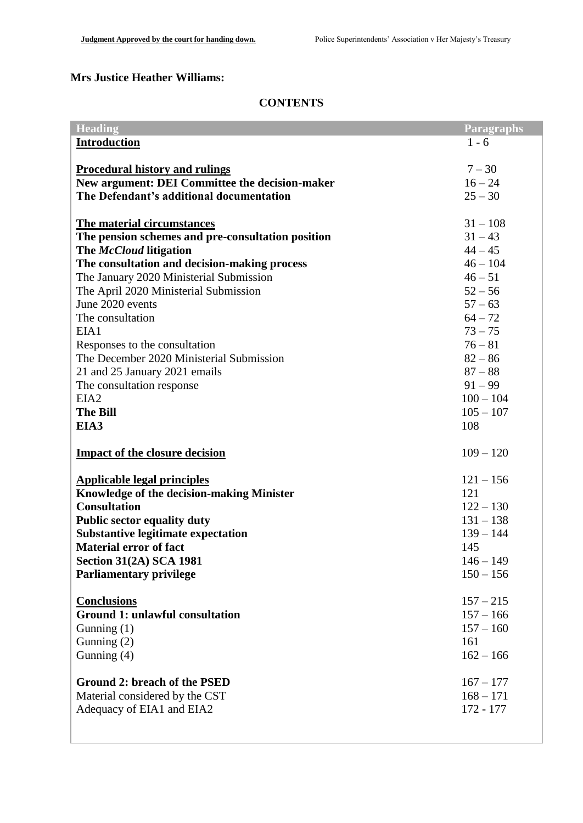# **Mrs Justice Heather Williams:**

# **CONTENTS**

| <b>Heading</b>                                    | <b>Paragraphs</b> |
|---------------------------------------------------|-------------------|
| <b>Introduction</b>                               | $1 - 6$           |
|                                                   |                   |
| <b>Procedural history and rulings</b>             | $7 - 30$          |
| New argument: DEI Committee the decision-maker    | $16 - 24$         |
| The Defendant's additional documentation          | $25 - 30$         |
|                                                   |                   |
| <b>The material circumstances</b>                 | $31 - 108$        |
| The pension schemes and pre-consultation position | $31 - 43$         |
| The McCloud litigation                            | $44 - 45$         |
| The consultation and decision-making process      | $46 - 104$        |
| The January 2020 Ministerial Submission           | $46 - 51$         |
| The April 2020 Ministerial Submission             | $52 - 56$         |
| June 2020 events                                  | $57 - 63$         |
| The consultation                                  | $64 - 72$         |
| EIA1                                              | $73 - 75$         |
| Responses to the consultation                     | $76 - 81$         |
| The December 2020 Ministerial Submission          | $82 - 86$         |
| 21 and 25 January 2021 emails                     | $87 - 88$         |
| The consultation response                         | $91 - 99$         |
| EIA <sub>2</sub>                                  | $100 - 104$       |
| <b>The Bill</b>                                   | $105 - 107$       |
| EIA3                                              | 108               |
|                                                   | $109 - 120$       |
| <b>Impact of the closure decision</b>             |                   |
| <b>Applicable legal principles</b>                | $121 - 156$       |
| <b>Knowledge of the decision-making Minister</b>  | 121               |
| <b>Consultation</b>                               | $122 - 130$       |
| <b>Public sector equality duty</b>                | $131 - 138$       |
| <b>Substantive legitimate expectation</b>         | $139 - 144$       |
| <b>Material error of fact</b>                     | 145               |
| <b>Section 31(2A) SCA 1981</b>                    | $146 - 149$       |
| <b>Parliamentary privilege</b>                    | $150 - 156$       |
|                                                   |                   |
| <b>Conclusions</b>                                | $157 - 215$       |
| <b>Ground 1: unlawful consultation</b>            | $157 - 166$       |
| Gunning $(1)$                                     | $157 - 160$       |
| Gunning (2)                                       | 161               |
| Gunning $(4)$                                     | $162 - 166$       |
|                                                   |                   |
| <b>Ground 2: breach of the PSED</b>               | $167 - 177$       |
| Material considered by the CST                    | $168 - 171$       |
| Adequacy of EIA1 and EIA2                         | 172 - 177         |
|                                                   |                   |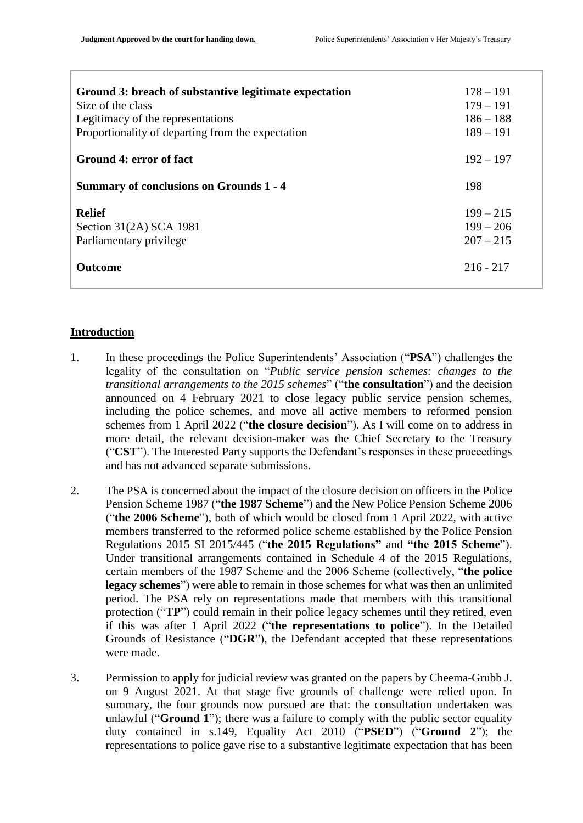| Ground 3: breach of substantive legitimate expectation<br>Size of the class<br>Legitimacy of the representations<br>Proportionality of departing from the expectation | $178 - 191$<br>$179 - 191$<br>$186 - 188$<br>$189 - 191$ |
|-----------------------------------------------------------------------------------------------------------------------------------------------------------------------|----------------------------------------------------------|
| Ground 4: error of fact                                                                                                                                               | $192 - 197$                                              |
| <b>Summary of conclusions on Grounds 1 - 4</b>                                                                                                                        | 198                                                      |
| <b>Relief</b><br>Section $31(2A)$ SCA 1981<br>Parliamentary privilege                                                                                                 | $199 - 215$<br>$199 - 206$<br>$207 - 215$                |
| <b>Outcome</b>                                                                                                                                                        | $216 - 217$                                              |

# **Introduction**

- 1. In these proceedings the Police Superintendents' Association ("**PSA**") challenges the legality of the consultation on "*Public service pension schemes: changes to the transitional arrangements to the 2015 schemes*" ("**the consultation**") and the decision announced on 4 February 2021 to close legacy public service pension schemes, including the police schemes, and move all active members to reformed pension schemes from 1 April 2022 ("**the closure decision**"). As I will come on to address in more detail, the relevant decision-maker was the Chief Secretary to the Treasury ("**CST**"). The Interested Party supports the Defendant's responses in these proceedings and has not advanced separate submissions.
- 2. The PSA is concerned about the impact of the closure decision on officers in the Police Pension Scheme 1987 ("**the 1987 Scheme**") and the New Police Pension Scheme 2006 ("**the 2006 Scheme**"), both of which would be closed from 1 April 2022, with active members transferred to the reformed police scheme established by the Police Pension Regulations 2015 SI 2015/445 ("**the 2015 Regulations"** and **"the 2015 Scheme**"). Under transitional arrangements contained in Schedule 4 of the 2015 Regulations, certain members of the 1987 Scheme and the 2006 Scheme (collectively, "**the police legacy schemes**") were able to remain in those schemes for what was then an unlimited period. The PSA rely on representations made that members with this transitional protection ("**TP**") could remain in their police legacy schemes until they retired, even if this was after 1 April 2022 ("**the representations to police**"). In the Detailed Grounds of Resistance ("**DGR**"), the Defendant accepted that these representations were made.
- 3. Permission to apply for judicial review was granted on the papers by Cheema-Grubb J. on 9 August 2021. At that stage five grounds of challenge were relied upon. In summary, the four grounds now pursued are that: the consultation undertaken was unlawful ("**Ground 1**"); there was a failure to comply with the public sector equality duty contained in s.149, Equality Act 2010 ("**PSED**") ("**Ground 2**"); the representations to police gave rise to a substantive legitimate expectation that has been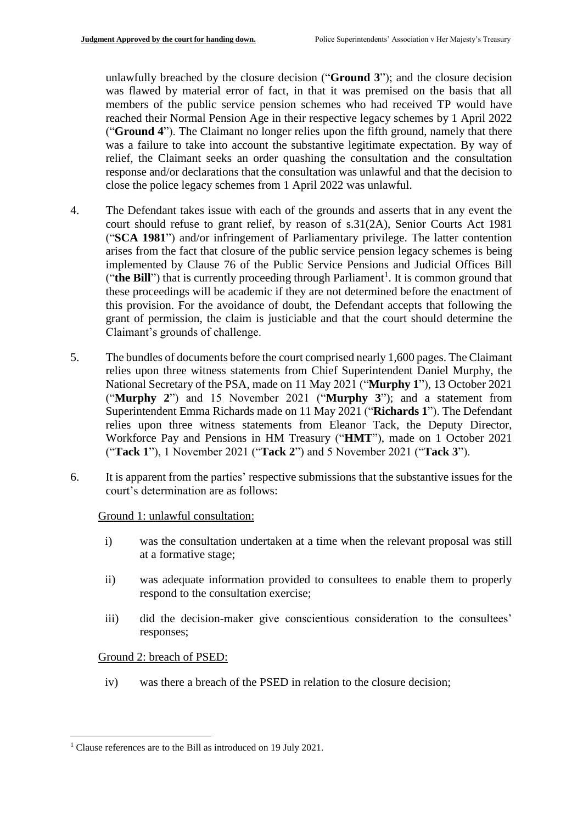unlawfully breached by the closure decision ("**Ground 3**"); and the closure decision was flawed by material error of fact, in that it was premised on the basis that all members of the public service pension schemes who had received TP would have reached their Normal Pension Age in their respective legacy schemes by 1 April 2022 ("**Ground 4**"). The Claimant no longer relies upon the fifth ground, namely that there was a failure to take into account the substantive legitimate expectation. By way of relief, the Claimant seeks an order quashing the consultation and the consultation response and/or declarations that the consultation was unlawful and that the decision to close the police legacy schemes from 1 April 2022 was unlawful.

- 4. The Defendant takes issue with each of the grounds and asserts that in any event the court should refuse to grant relief, by reason of s.31(2A), Senior Courts Act 1981 ("**SCA 1981**") and/or infringement of Parliamentary privilege. The latter contention arises from the fact that closure of the public service pension legacy schemes is being implemented by Clause 76 of the Public Service Pensions and Judicial Offices Bill ("the Bill") that is currently proceeding through Parliament<sup>1</sup>. It is common ground that these proceedings will be academic if they are not determined before the enactment of this provision. For the avoidance of doubt, the Defendant accepts that following the grant of permission, the claim is justiciable and that the court should determine the Claimant's grounds of challenge.
- 5. The bundles of documents before the court comprised nearly 1,600 pages. The Claimant relies upon three witness statements from Chief Superintendent Daniel Murphy, the National Secretary of the PSA, made on 11 May 2021 ("**Murphy 1**"), 13 October 2021 ("**Murphy 2**") and 15 November 2021 ("**Murphy 3**"); and a statement from Superintendent Emma Richards made on 11 May 2021 ("**Richards 1**"). The Defendant relies upon three witness statements from Eleanor Tack, the Deputy Director, Workforce Pay and Pensions in HM Treasury ("**HMT**"), made on 1 October 2021 ("**Tack 1**"), 1 November 2021 ("**Tack 2**") and 5 November 2021 ("**Tack 3**").
- 6. It is apparent from the parties' respective submissions that the substantive issues for the court's determination are as follows:

Ground 1: unlawful consultation:

- i) was the consultation undertaken at a time when the relevant proposal was still at a formative stage;
- ii) was adequate information provided to consultees to enable them to properly respond to the consultation exercise;
- iii) did the decision-maker give conscientious consideration to the consultees' responses;

Ground 2: breach of PSED:

iv) was there a breach of the PSED in relation to the closure decision;

<sup>1</sup> <sup>1</sup> Clause references are to the Bill as introduced on 19 July 2021.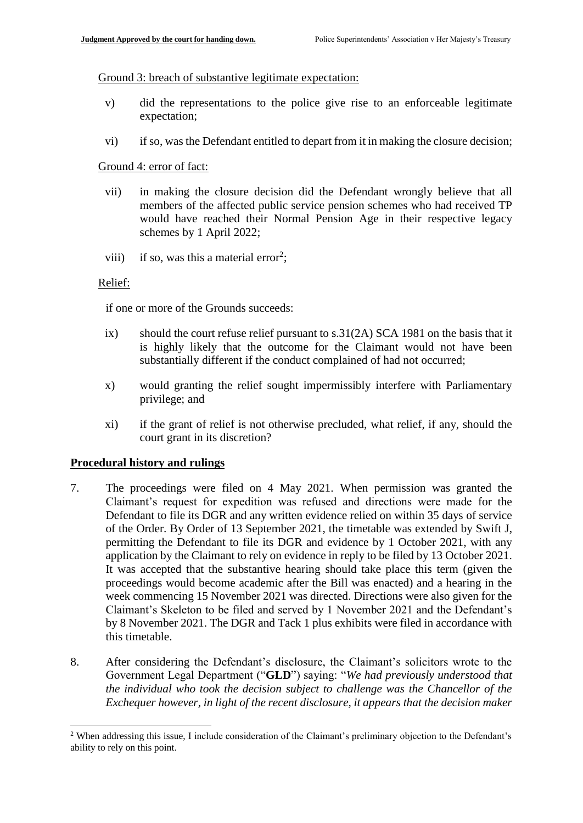#### Ground 3: breach of substantive legitimate expectation:

- v) did the representations to the police give rise to an enforceable legitimate expectation;
- vi) if so, was the Defendant entitled to depart from it in making the closure decision;

#### Ground 4: error of fact:

- vii) in making the closure decision did the Defendant wrongly believe that all members of the affected public service pension schemes who had received TP would have reached their Normal Pension Age in their respective legacy schemes by 1 April 2022;
- viii) if so, was this a material error<sup>2</sup>;

#### Relief:

if one or more of the Grounds succeeds:

- ix) should the court refuse relief pursuant to s.31(2A) SCA 1981 on the basis that it is highly likely that the outcome for the Claimant would not have been substantially different if the conduct complained of had not occurred;
- x) would granting the relief sought impermissibly interfere with Parliamentary privilege; and
- xi) if the grant of relief is not otherwise precluded, what relief, if any, should the court grant in its discretion?

## **Procedural history and rulings**

1

- 7. The proceedings were filed on 4 May 2021. When permission was granted the Claimant's request for expedition was refused and directions were made for the Defendant to file its DGR and any written evidence relied on within 35 days of service of the Order. By Order of 13 September 2021, the timetable was extended by Swift J, permitting the Defendant to file its DGR and evidence by 1 October 2021, with any application by the Claimant to rely on evidence in reply to be filed by 13 October 2021. It was accepted that the substantive hearing should take place this term (given the proceedings would become academic after the Bill was enacted) and a hearing in the week commencing 15 November 2021 was directed. Directions were also given for the Claimant's Skeleton to be filed and served by 1 November 2021 and the Defendant's by 8 November 2021. The DGR and Tack 1 plus exhibits were filed in accordance with this timetable.
- 8. After considering the Defendant's disclosure, the Claimant's solicitors wrote to the Government Legal Department ("**GLD**") saying: "*We had previously understood that the individual who took the decision subject to challenge was the Chancellor of the Exchequer however, in light of the recent disclosure, it appears that the decision maker*

<sup>&</sup>lt;sup>2</sup> When addressing this issue, I include consideration of the Claimant's preliminary objection to the Defendant's ability to rely on this point.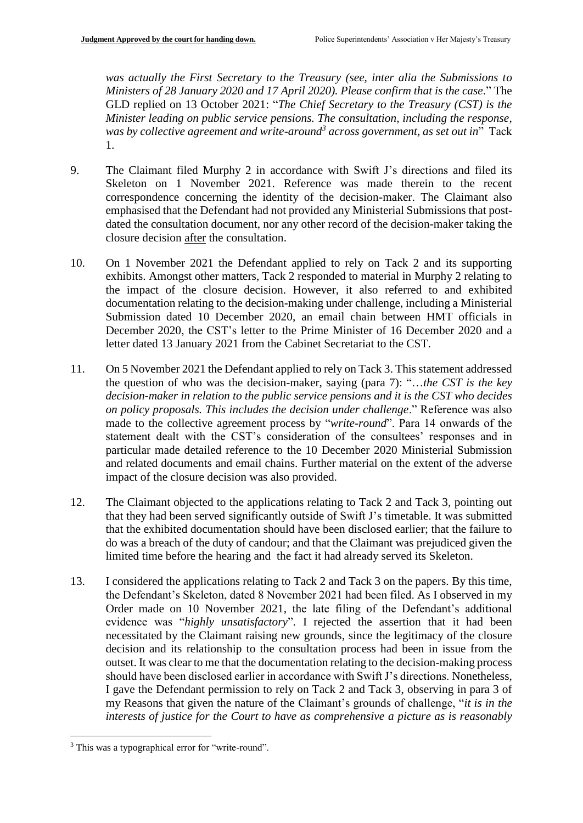*was actually the First Secretary to the Treasury (see, inter alia the Submissions to Ministers of 28 January 2020 and 17 April 2020). Please confirm that is the case*." The GLD replied on 13 October 2021: "*The Chief Secretary to the Treasury (CST) is the Minister leading on public service pensions. The consultation, including the response, was by collective agreement and write-around<sup>3</sup> across government, as set out in*" Tack 1.

- 9. The Claimant filed Murphy 2 in accordance with Swift J's directions and filed its Skeleton on 1 November 2021. Reference was made therein to the recent correspondence concerning the identity of the decision-maker. The Claimant also emphasised that the Defendant had not provided any Ministerial Submissions that postdated the consultation document, nor any other record of the decision-maker taking the closure decision after the consultation.
- 10. On 1 November 2021 the Defendant applied to rely on Tack 2 and its supporting exhibits. Amongst other matters, Tack 2 responded to material in Murphy 2 relating to the impact of the closure decision. However, it also referred to and exhibited documentation relating to the decision-making under challenge, including a Ministerial Submission dated 10 December 2020, an email chain between HMT officials in December 2020, the CST's letter to the Prime Minister of 16 December 2020 and a letter dated 13 January 2021 from the Cabinet Secretariat to the CST.
- 11. On 5 November 2021 the Defendant applied to rely on Tack 3. This statement addressed the question of who was the decision-maker, saying (para 7): "…*the CST is the key decision-maker in relation to the public service pensions and it is the CST who decides on policy proposals. This includes the decision under challenge*." Reference was also made to the collective agreement process by "*write-round*". Para 14 onwards of the statement dealt with the CST's consideration of the consultees' responses and in particular made detailed reference to the 10 December 2020 Ministerial Submission and related documents and email chains. Further material on the extent of the adverse impact of the closure decision was also provided.
- 12. The Claimant objected to the applications relating to Tack 2 and Tack 3, pointing out that they had been served significantly outside of Swift J's timetable. It was submitted that the exhibited documentation should have been disclosed earlier; that the failure to do was a breach of the duty of candour; and that the Claimant was prejudiced given the limited time before the hearing and the fact it had already served its Skeleton.
- 13. I considered the applications relating to Tack 2 and Tack 3 on the papers. By this time, the Defendant's Skeleton, dated 8 November 2021 had been filed. As I observed in my Order made on 10 November 2021, the late filing of the Defendant's additional evidence was "*highly unsatisfactory*". I rejected the assertion that it had been necessitated by the Claimant raising new grounds, since the legitimacy of the closure decision and its relationship to the consultation process had been in issue from the outset. It was clear to me that the documentation relating to the decision-making process should have been disclosed earlier in accordance with Swift J's directions. Nonetheless, I gave the Defendant permission to rely on Tack 2 and Tack 3, observing in para 3 of my Reasons that given the nature of the Claimant's grounds of challenge, "*it is in the interests of justice for the Court to have as comprehensive a picture as is reasonably*

1

<sup>&</sup>lt;sup>3</sup> This was a typographical error for "write-round".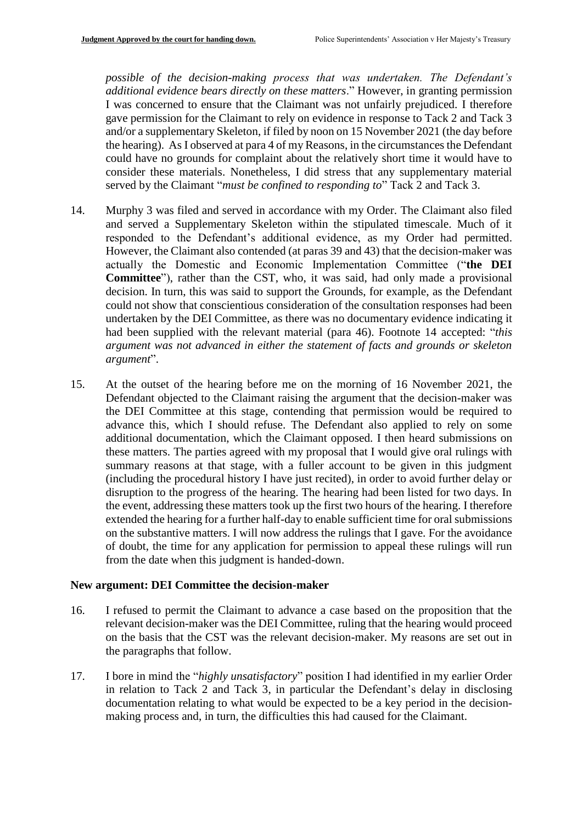*possible of the decision-making process that was undertaken. The Defendant's additional evidence bears directly on these matters*." However, in granting permission I was concerned to ensure that the Claimant was not unfairly prejudiced. I therefore gave permission for the Claimant to rely on evidence in response to Tack 2 and Tack 3 and/or a supplementary Skeleton, if filed by noon on 15 November 2021 (the day before the hearing). As I observed at para 4 of my Reasons, in the circumstances the Defendant could have no grounds for complaint about the relatively short time it would have to consider these materials. Nonetheless, I did stress that any supplementary material served by the Claimant "*must be confined to responding to*" Tack 2 and Tack 3.

- 14. Murphy 3 was filed and served in accordance with my Order. The Claimant also filed and served a Supplementary Skeleton within the stipulated timescale. Much of it responded to the Defendant's additional evidence, as my Order had permitted. However, the Claimant also contended (at paras 39 and 43) that the decision-maker was actually the Domestic and Economic Implementation Committee ("**the DEI Committee**"), rather than the CST, who, it was said, had only made a provisional decision. In turn, this was said to support the Grounds, for example, as the Defendant could not show that conscientious consideration of the consultation responses had been undertaken by the DEI Committee, as there was no documentary evidence indicating it had been supplied with the relevant material (para 46). Footnote 14 accepted: "*this argument was not advanced in either the statement of facts and grounds or skeleton argument*".
- 15. At the outset of the hearing before me on the morning of 16 November 2021, the Defendant objected to the Claimant raising the argument that the decision-maker was the DEI Committee at this stage, contending that permission would be required to advance this, which I should refuse. The Defendant also applied to rely on some additional documentation, which the Claimant opposed. I then heard submissions on these matters. The parties agreed with my proposal that I would give oral rulings with summary reasons at that stage, with a fuller account to be given in this judgment (including the procedural history I have just recited), in order to avoid further delay or disruption to the progress of the hearing. The hearing had been listed for two days. In the event, addressing these matters took up the first two hours of the hearing. I therefore extended the hearing for a further half-day to enable sufficient time for oral submissions on the substantive matters. I will now address the rulings that I gave. For the avoidance of doubt, the time for any application for permission to appeal these rulings will run from the date when this judgment is handed-down.

#### **New argument: DEI Committee the decision-maker**

- 16. I refused to permit the Claimant to advance a case based on the proposition that the relevant decision-maker was the DEI Committee, ruling that the hearing would proceed on the basis that the CST was the relevant decision-maker. My reasons are set out in the paragraphs that follow.
- 17. I bore in mind the "*highly unsatisfactory*" position I had identified in my earlier Order in relation to Tack 2 and Tack 3, in particular the Defendant's delay in disclosing documentation relating to what would be expected to be a key period in the decisionmaking process and, in turn, the difficulties this had caused for the Claimant.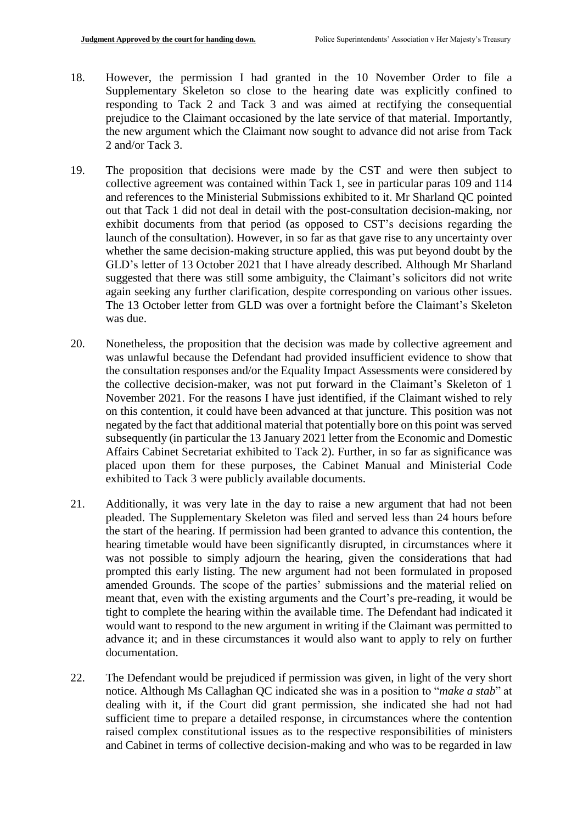- 18. However, the permission I had granted in the 10 November Order to file a Supplementary Skeleton so close to the hearing date was explicitly confined to responding to Tack 2 and Tack 3 and was aimed at rectifying the consequential prejudice to the Claimant occasioned by the late service of that material. Importantly, the new argument which the Claimant now sought to advance did not arise from Tack 2 and/or Tack 3.
- 19. The proposition that decisions were made by the CST and were then subject to collective agreement was contained within Tack 1, see in particular paras 109 and 114 and references to the Ministerial Submissions exhibited to it. Mr Sharland QC pointed out that Tack 1 did not deal in detail with the post-consultation decision-making, nor exhibit documents from that period (as opposed to CST's decisions regarding the launch of the consultation). However, in so far as that gave rise to any uncertainty over whether the same decision-making structure applied, this was put beyond doubt by the GLD's letter of 13 October 2021 that I have already described. Although Mr Sharland suggested that there was still some ambiguity, the Claimant's solicitors did not write again seeking any further clarification, despite corresponding on various other issues. The 13 October letter from GLD was over a fortnight before the Claimant's Skeleton was due.
- 20. Nonetheless, the proposition that the decision was made by collective agreement and was unlawful because the Defendant had provided insufficient evidence to show that the consultation responses and/or the Equality Impact Assessments were considered by the collective decision-maker, was not put forward in the Claimant's Skeleton of 1 November 2021. For the reasons I have just identified, if the Claimant wished to rely on this contention, it could have been advanced at that juncture. This position was not negated by the fact that additional material that potentially bore on this point was served subsequently (in particular the 13 January 2021 letter from the Economic and Domestic Affairs Cabinet Secretariat exhibited to Tack 2). Further, in so far as significance was placed upon them for these purposes, the Cabinet Manual and Ministerial Code exhibited to Tack 3 were publicly available documents.
- 21. Additionally, it was very late in the day to raise a new argument that had not been pleaded. The Supplementary Skeleton was filed and served less than 24 hours before the start of the hearing. If permission had been granted to advance this contention, the hearing timetable would have been significantly disrupted, in circumstances where it was not possible to simply adjourn the hearing, given the considerations that had prompted this early listing. The new argument had not been formulated in proposed amended Grounds. The scope of the parties' submissions and the material relied on meant that, even with the existing arguments and the Court's pre-reading, it would be tight to complete the hearing within the available time. The Defendant had indicated it would want to respond to the new argument in writing if the Claimant was permitted to advance it; and in these circumstances it would also want to apply to rely on further documentation.
- 22. The Defendant would be prejudiced if permission was given, in light of the very short notice. Although Ms Callaghan QC indicated she was in a position to "*make a stab*" at dealing with it, if the Court did grant permission, she indicated she had not had sufficient time to prepare a detailed response, in circumstances where the contention raised complex constitutional issues as to the respective responsibilities of ministers and Cabinet in terms of collective decision-making and who was to be regarded in law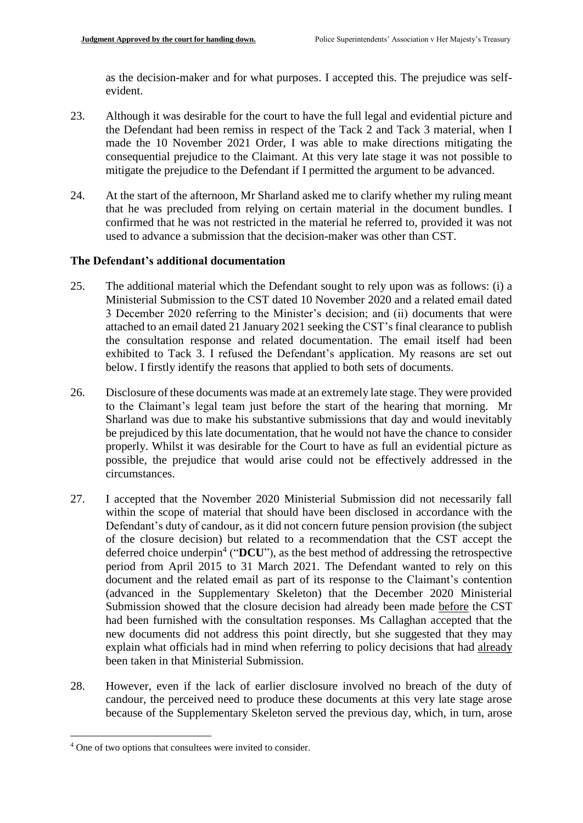as the decision-maker and for what purposes. I accepted this. The prejudice was selfevident.

- 23. Although it was desirable for the court to have the full legal and evidential picture and the Defendant had been remiss in respect of the Tack 2 and Tack 3 material, when I made the 10 November 2021 Order, I was able to make directions mitigating the consequential prejudice to the Claimant. At this very late stage it was not possible to mitigate the prejudice to the Defendant if I permitted the argument to be advanced.
- 24. At the start of the afternoon, Mr Sharland asked me to clarify whether my ruling meant that he was precluded from relying on certain material in the document bundles. I confirmed that he was not restricted in the material he referred to, provided it was not used to advance a submission that the decision-maker was other than CST.

# **The Defendant's additional documentation**

- 25. The additional material which the Defendant sought to rely upon was as follows: (i) a Ministerial Submission to the CST dated 10 November 2020 and a related email dated 3 December 2020 referring to the Minister's decision; and (ii) documents that were attached to an email dated 21 January 2021 seeking the CST's final clearance to publish the consultation response and related documentation. The email itself had been exhibited to Tack 3. I refused the Defendant's application. My reasons are set out below. I firstly identify the reasons that applied to both sets of documents.
- 26. Disclosure of these documents was made at an extremely late stage. They were provided to the Claimant's legal team just before the start of the hearing that morning. Mr Sharland was due to make his substantive submissions that day and would inevitably be prejudiced by this late documentation, that he would not have the chance to consider properly. Whilst it was desirable for the Court to have as full an evidential picture as possible, the prejudice that would arise could not be effectively addressed in the circumstances.
- 27. I accepted that the November 2020 Ministerial Submission did not necessarily fall within the scope of material that should have been disclosed in accordance with the Defendant's duty of candour, as it did not concern future pension provision (the subject of the closure decision) but related to a recommendation that the CST accept the deferred choice underpin<sup>4</sup> ("DCU"), as the best method of addressing the retrospective period from April 2015 to 31 March 2021. The Defendant wanted to rely on this document and the related email as part of its response to the Claimant's contention (advanced in the Supplementary Skeleton) that the December 2020 Ministerial Submission showed that the closure decision had already been made before the CST had been furnished with the consultation responses. Ms Callaghan accepted that the new documents did not address this point directly, but she suggested that they may explain what officials had in mind when referring to policy decisions that had already been taken in that Ministerial Submission.
- 28. However, even if the lack of earlier disclosure involved no breach of the duty of candour, the perceived need to produce these documents at this very late stage arose because of the Supplementary Skeleton served the previous day, which, in turn, arose

<sup>1</sup> <sup>4</sup> One of two options that consultees were invited to consider.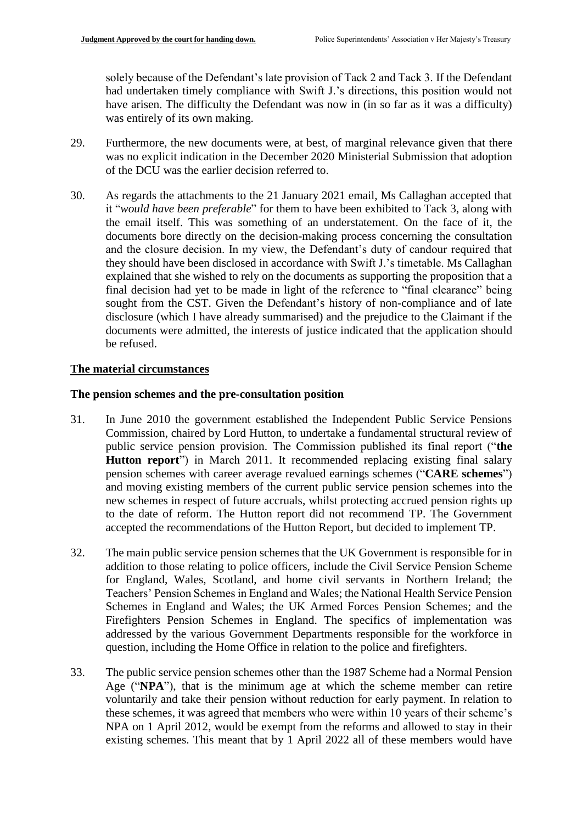solely because of the Defendant's late provision of Tack 2 and Tack 3. If the Defendant had undertaken timely compliance with Swift J.'s directions, this position would not have arisen. The difficulty the Defendant was now in (in so far as it was a difficulty) was entirely of its own making.

- 29. Furthermore, the new documents were, at best, of marginal relevance given that there was no explicit indication in the December 2020 Ministerial Submission that adoption of the DCU was the earlier decision referred to.
- 30. As regards the attachments to the 21 January 2021 email, Ms Callaghan accepted that it "*would have been preferable*" for them to have been exhibited to Tack 3, along with the email itself. This was something of an understatement. On the face of it, the documents bore directly on the decision-making process concerning the consultation and the closure decision. In my view, the Defendant's duty of candour required that they should have been disclosed in accordance with Swift J.'s timetable. Ms Callaghan explained that she wished to rely on the documents as supporting the proposition that a final decision had yet to be made in light of the reference to "final clearance" being sought from the CST. Given the Defendant's history of non-compliance and of late disclosure (which I have already summarised) and the prejudice to the Claimant if the documents were admitted, the interests of justice indicated that the application should be refused.

## **The material circumstances**

## **The pension schemes and the pre-consultation position**

- 31. In June 2010 the government established the Independent Public Service Pensions Commission, chaired by Lord Hutton, to undertake a fundamental structural review of public service pension provision. The Commission published its final report ("**the Hutton report**") in March 2011. It recommended replacing existing final salary pension schemes with career average revalued earnings schemes ("**CARE schemes**") and moving existing members of the current public service pension schemes into the new schemes in respect of future accruals, whilst protecting accrued pension rights up to the date of reform. The Hutton report did not recommend TP. The Government accepted the recommendations of the Hutton Report, but decided to implement TP.
- 32. The main public service pension schemes that the UK Government is responsible for in addition to those relating to police officers, include the Civil Service Pension Scheme for England, Wales, Scotland, and home civil servants in Northern Ireland; the Teachers' Pension Schemes in England and Wales; the National Health Service Pension Schemes in England and Wales; the UK Armed Forces Pension Schemes; and the Firefighters Pension Schemes in England. The specifics of implementation was addressed by the various Government Departments responsible for the workforce in question, including the Home Office in relation to the police and firefighters.
- 33. The public service pension schemes other than the 1987 Scheme had a Normal Pension Age ("**NPA**"), that is the minimum age at which the scheme member can retire voluntarily and take their pension without reduction for early payment. In relation to these schemes, it was agreed that members who were within 10 years of their scheme's NPA on 1 April 2012, would be exempt from the reforms and allowed to stay in their existing schemes. This meant that by 1 April 2022 all of these members would have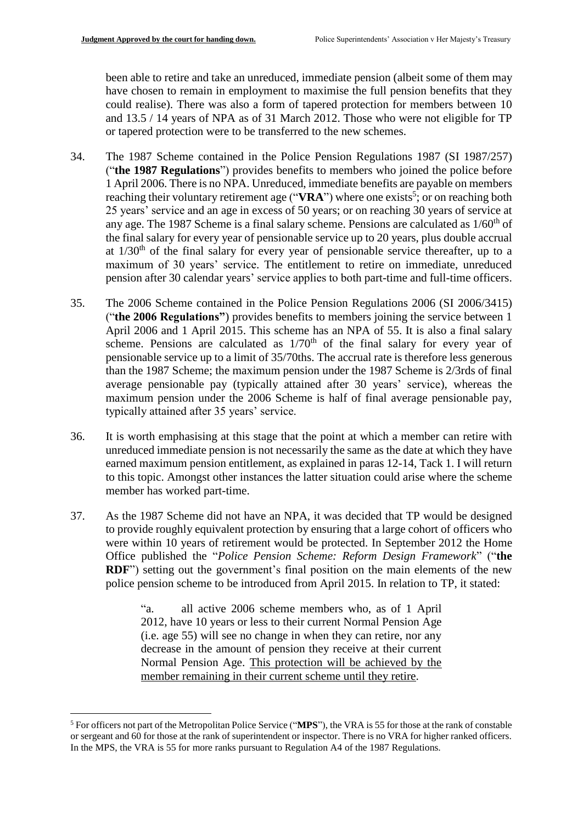been able to retire and take an unreduced, immediate pension (albeit some of them may have chosen to remain in employment to maximise the full pension benefits that they could realise). There was also a form of tapered protection for members between 10 and 13.5 / 14 years of NPA as of 31 March 2012. Those who were not eligible for TP or tapered protection were to be transferred to the new schemes.

- 34. The 1987 Scheme contained in the Police Pension Regulations 1987 (SI 1987/257) ("**the 1987 Regulations**") provides benefits to members who joined the police before 1 April 2006. There is no NPA. Unreduced, immediate benefits are payable on members reaching their voluntary retirement age ("VRA") where one exists<sup>5</sup>; or on reaching both 25 years' service and an age in excess of 50 years; or on reaching 30 years of service at any age. The 1987 Scheme is a final salary scheme. Pensions are calculated as  $1/60<sup>th</sup>$  of the final salary for every year of pensionable service up to 20 years, plus double accrual at  $1/30<sup>th</sup>$  of the final salary for every year of pensionable service thereafter, up to a maximum of 30 years' service. The entitlement to retire on immediate, unreduced pension after 30 calendar years' service applies to both part-time and full-time officers.
- 35. The 2006 Scheme contained in the Police Pension Regulations 2006 (SI 2006/3415) ("**the 2006 Regulations"**) provides benefits to members joining the service between 1 April 2006 and 1 April 2015. This scheme has an NPA of 55. It is also a final salary scheme. Pensions are calculated as  $1/70<sup>th</sup>$  of the final salary for every year of pensionable service up to a limit of 35/70ths. The accrual rate is therefore less generous than the 1987 Scheme; the maximum pension under the 1987 Scheme is 2/3rds of final average pensionable pay (typically attained after 30 years' service), whereas the maximum pension under the 2006 Scheme is half of final average pensionable pay, typically attained after 35 years' service.
- 36. It is worth emphasising at this stage that the point at which a member can retire with unreduced immediate pension is not necessarily the same as the date at which they have earned maximum pension entitlement, as explained in paras 12-14, Tack 1. I will return to this topic. Amongst other instances the latter situation could arise where the scheme member has worked part-time.
- 37. As the 1987 Scheme did not have an NPA, it was decided that TP would be designed to provide roughly equivalent protection by ensuring that a large cohort of officers who were within 10 years of retirement would be protected. In September 2012 the Home Office published the "*Police Pension Scheme: Reform Design Framework*" ("**the RDF**") setting out the government's final position on the main elements of the new police pension scheme to be introduced from April 2015. In relation to TP, it stated:

"a. all active 2006 scheme members who, as of 1 April 2012, have 10 years or less to their current Normal Pension Age (i.e. age 55) will see no change in when they can retire, nor any decrease in the amount of pension they receive at their current Normal Pension Age. This protection will be achieved by the member remaining in their current scheme until they retire.

1

<sup>5</sup> For officers not part of the Metropolitan Police Service ("**MPS**"), the VRA is 55 for those at the rank of constable or sergeant and 60 for those at the rank of superintendent or inspector. There is no VRA for higher ranked officers. In the MPS, the VRA is 55 for more ranks pursuant to Regulation A4 of the 1987 Regulations.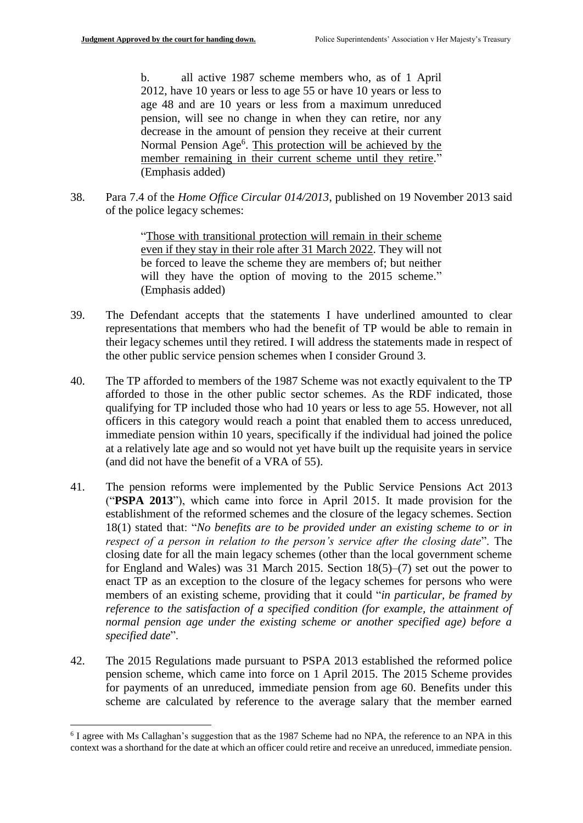b. all active 1987 scheme members who, as of 1 April 2012, have 10 years or less to age 55 or have 10 years or less to age 48 and are 10 years or less from a maximum unreduced pension, will see no change in when they can retire, nor any decrease in the amount of pension they receive at their current Normal Pension Age<sup>6</sup>. This protection will be achieved by the member remaining in their current scheme until they retire." (Emphasis added)

38. Para 7.4 of the *Home Office Circular 014/2013*, published on 19 November 2013 said of the police legacy schemes:

> "Those with transitional protection will remain in their scheme even if they stay in their role after 31 March 2022. They will not be forced to leave the scheme they are members of; but neither will they have the option of moving to the 2015 scheme." (Emphasis added)

- 39. The Defendant accepts that the statements I have underlined amounted to clear representations that members who had the benefit of TP would be able to remain in their legacy schemes until they retired. I will address the statements made in respect of the other public service pension schemes when I consider Ground 3.
- 40. The TP afforded to members of the 1987 Scheme was not exactly equivalent to the TP afforded to those in the other public sector schemes. As the RDF indicated, those qualifying for TP included those who had 10 years or less to age 55. However, not all officers in this category would reach a point that enabled them to access unreduced, immediate pension within 10 years, specifically if the individual had joined the police at a relatively late age and so would not yet have built up the requisite years in service (and did not have the benefit of a VRA of 55).
- 41. The pension reforms were implemented by the Public Service Pensions Act 2013 ("**PSPA 2013**"), which came into force in April 2015. It made provision for the establishment of the reformed schemes and the closure of the legacy schemes. Section 18(1) stated that: "*No benefits are to be provided under an existing scheme to or in respect of a person in relation to the person's service after the closing date*". The closing date for all the main legacy schemes (other than the local government scheme for England and Wales) was 31 March 2015. Section 18(5)–(7) set out the power to enact TP as an exception to the closure of the legacy schemes for persons who were members of an existing scheme, providing that it could "*in particular, be framed by reference to the satisfaction of a specified condition (for example, the attainment of normal pension age under the existing scheme or another specified age) before a specified date*".
- 42. The 2015 Regulations made pursuant to PSPA 2013 established the reformed police pension scheme, which came into force on 1 April 2015. The 2015 Scheme provides for payments of an unreduced, immediate pension from age 60. Benefits under this scheme are calculated by reference to the average salary that the member earned

1

<sup>&</sup>lt;sup>6</sup> I agree with Ms Callaghan's suggestion that as the 1987 Scheme had no NPA, the reference to an NPA in this context was a shorthand for the date at which an officer could retire and receive an unreduced, immediate pension.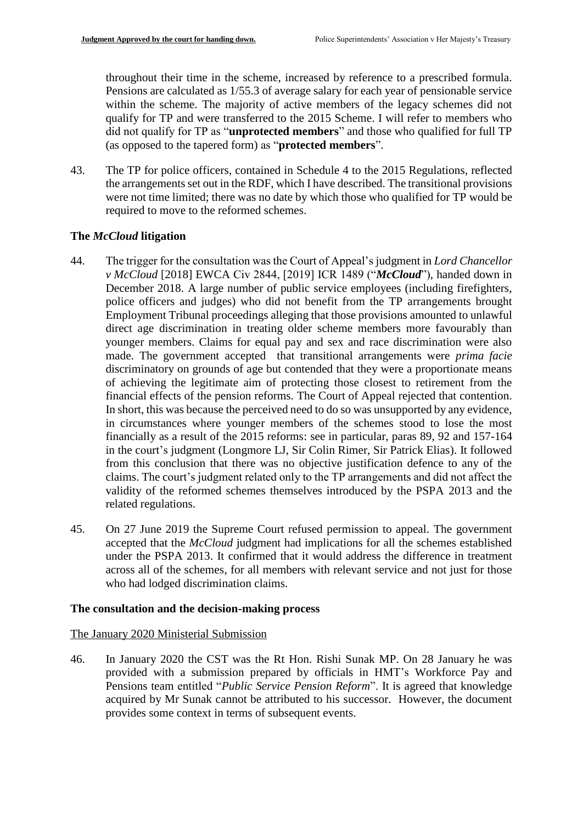throughout their time in the scheme, increased by reference to a prescribed formula. Pensions are calculated as 1/55.3 of average salary for each year of pensionable service within the scheme. The majority of active members of the legacy schemes did not qualify for TP and were transferred to the 2015 Scheme. I will refer to members who did not qualify for TP as "**unprotected members**" and those who qualified for full TP (as opposed to the tapered form) as "**protected members**".

43. The TP for police officers, contained in Schedule 4 to the 2015 Regulations, reflected the arrangements set out in the RDF, which I have described. The transitional provisions were not time limited; there was no date by which those who qualified for TP would be required to move to the reformed schemes.

# **The** *McCloud* **litigation**

- 44. The trigger for the consultation was the Court of Appeal's judgment in *Lord Chancellor v McCloud* [2018] EWCA Civ 2844, [2019] ICR 1489 ("*McCloud*"), handed down in December 2018. A large number of public service employees (including firefighters, police officers and judges) who did not benefit from the TP arrangements brought Employment Tribunal proceedings alleging that those provisions amounted to unlawful direct age discrimination in treating older scheme members more favourably than younger members. Claims for equal pay and sex and race discrimination were also made. The government accepted that transitional arrangements were *prima facie* discriminatory on grounds of age but contended that they were a proportionate means of achieving the legitimate aim of protecting those closest to retirement from the financial effects of the pension reforms. The Court of Appeal rejected that contention. In short, this was because the perceived need to do so was unsupported by any evidence, in circumstances where younger members of the schemes stood to lose the most financially as a result of the 2015 reforms: see in particular, paras 89, 92 and 157-164 in the court's judgment (Longmore LJ, Sir Colin Rimer, Sir Patrick Elias). It followed from this conclusion that there was no objective justification defence to any of the claims. The court's judgment related only to the TP arrangements and did not affect the validity of the reformed schemes themselves introduced by the PSPA 2013 and the related regulations.
- 45. On 27 June 2019 the Supreme Court refused permission to appeal. The government accepted that the *McCloud* judgment had implications for all the schemes established under the PSPA 2013. It confirmed that it would address the difference in treatment across all of the schemes, for all members with relevant service and not just for those who had lodged discrimination claims.

## **The consultation and the decision-making process**

## The January 2020 Ministerial Submission

46. In January 2020 the CST was the Rt Hon. Rishi Sunak MP. On 28 January he was provided with a submission prepared by officials in HMT's Workforce Pay and Pensions team entitled "*Public Service Pension Reform*". It is agreed that knowledge acquired by Mr Sunak cannot be attributed to his successor. However, the document provides some context in terms of subsequent events.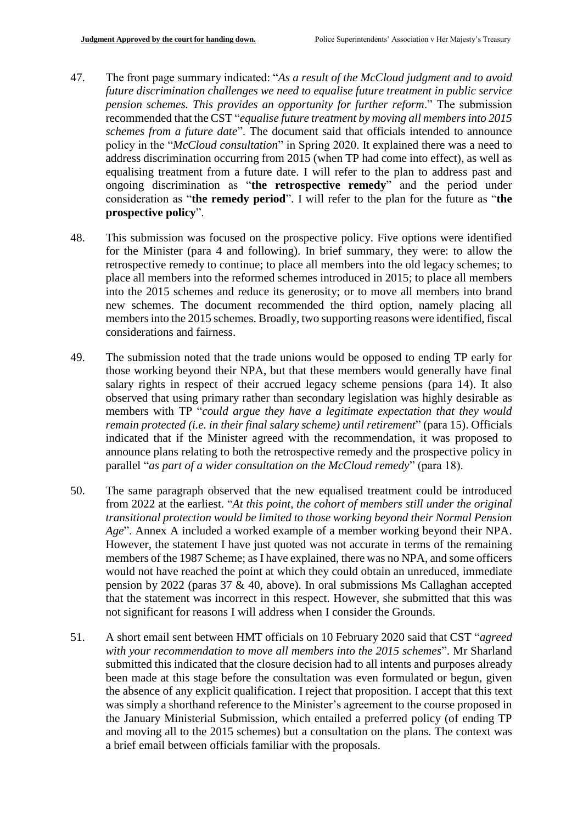- 47. The front page summary indicated: "*As a result of the McCloud judgment and to avoid future discrimination challenges we need to equalise future treatment in public service pension schemes. This provides an opportunity for further reform*." The submission recommended that the CST "*equalise future treatment by moving all members into 2015 schemes from a future date*". The document said that officials intended to announce policy in the "*McCloud consultation*" in Spring 2020. It explained there was a need to address discrimination occurring from 2015 (when TP had come into effect), as well as equalising treatment from a future date. I will refer to the plan to address past and ongoing discrimination as "**the retrospective remedy**" and the period under consideration as "**the remedy period**". I will refer to the plan for the future as "**the prospective policy**".
- 48. This submission was focused on the prospective policy. Five options were identified for the Minister (para 4 and following). In brief summary, they were: to allow the retrospective remedy to continue; to place all members into the old legacy schemes; to place all members into the reformed schemes introduced in 2015; to place all members into the 2015 schemes and reduce its generosity; or to move all members into brand new schemes. The document recommended the third option, namely placing all members into the 2015 schemes. Broadly, two supporting reasons were identified, fiscal considerations and fairness.
- 49. The submission noted that the trade unions would be opposed to ending TP early for those working beyond their NPA, but that these members would generally have final salary rights in respect of their accrued legacy scheme pensions (para 14). It also observed that using primary rather than secondary legislation was highly desirable as members with TP "*could argue they have a legitimate expectation that they would remain protected (i.e. in their final salary scheme) until retirement*" (para 15). Officials indicated that if the Minister agreed with the recommendation, it was proposed to announce plans relating to both the retrospective remedy and the prospective policy in parallel "*as part of a wider consultation on the McCloud remedy*" (para 18).
- 50. The same paragraph observed that the new equalised treatment could be introduced from 2022 at the earliest. "*At this point, the cohort of members still under the original transitional protection would be limited to those working beyond their Normal Pension Age*". Annex A included a worked example of a member working beyond their NPA. However, the statement I have just quoted was not accurate in terms of the remaining members of the 1987 Scheme; as I have explained, there was no NPA, and some officers would not have reached the point at which they could obtain an unreduced, immediate pension by 2022 (paras 37 & 40, above). In oral submissions Ms Callaghan accepted that the statement was incorrect in this respect. However, she submitted that this was not significant for reasons I will address when I consider the Grounds.
- 51. A short email sent between HMT officials on 10 February 2020 said that CST "*agreed with your recommendation to move all members into the 2015 schemes*". Mr Sharland submitted this indicated that the closure decision had to all intents and purposes already been made at this stage before the consultation was even formulated or begun, given the absence of any explicit qualification. I reject that proposition. I accept that this text was simply a shorthand reference to the Minister's agreement to the course proposed in the January Ministerial Submission, which entailed a preferred policy (of ending TP and moving all to the 2015 schemes) but a consultation on the plans. The context was a brief email between officials familiar with the proposals.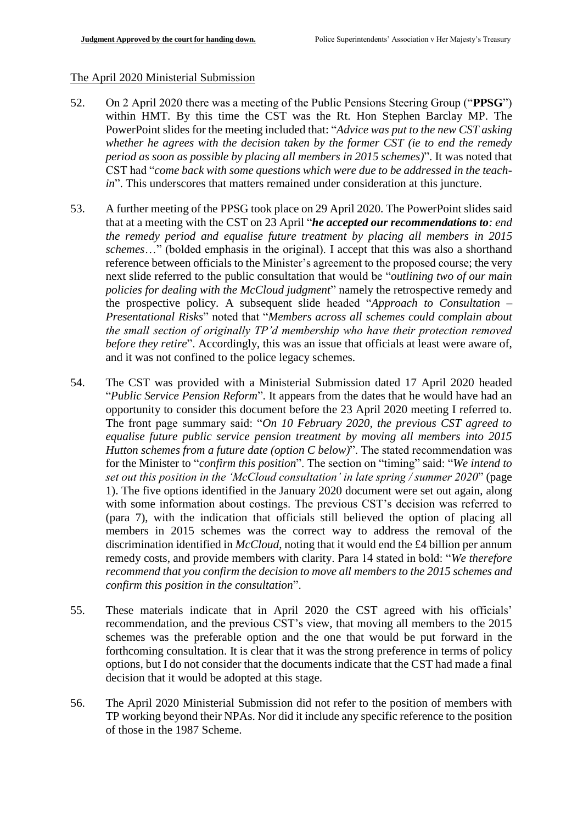#### The April 2020 Ministerial Submission

- 52. On 2 April 2020 there was a meeting of the Public Pensions Steering Group ("**PPSG**") within HMT. By this time the CST was the Rt. Hon Stephen Barclay MP. The PowerPoint slides for the meeting included that: "*Advice was put to the new CST asking whether he agrees with the decision taken by the former CST (ie to end the remedy period as soon as possible by placing all members in 2015 schemes)*". It was noted that CST had "*come back with some questions which were due to be addressed in the teachin*". This underscores that matters remained under consideration at this juncture.
- 53. A further meeting of the PPSG took place on 29 April 2020. The PowerPoint slides said that at a meeting with the CST on 23 April "*he accepted our recommendations to: end the remedy period and equalise future treatment by placing all members in 2015 schemes*…" (bolded emphasis in the original). I accept that this was also a shorthand reference between officials to the Minister's agreement to the proposed course; the very next slide referred to the public consultation that would be "*outlining two of our main policies for dealing with the McCloud judgment*" namely the retrospective remedy and the prospective policy. A subsequent slide headed "*Approach to Consultation – Presentational Risks*" noted that "*Members across all schemes could complain about the small section of originally TP'd membership who have their protection removed before they retire*". Accordingly, this was an issue that officials at least were aware of, and it was not confined to the police legacy schemes.
- 54. The CST was provided with a Ministerial Submission dated 17 April 2020 headed "*Public Service Pension Reform*". It appears from the dates that he would have had an opportunity to consider this document before the 23 April 2020 meeting I referred to. The front page summary said: "*On 10 February 2020, the previous CST agreed to equalise future public service pension treatment by moving all members into 2015 Hutton schemes from a future date (option C below)*". The stated recommendation was for the Minister to "*confirm this position*". The section on "timing" said: "*We intend to set out this position in the 'McCloud consultation' in late spring / summer 2020*" (page 1). The five options identified in the January 2020 document were set out again, along with some information about costings. The previous CST's decision was referred to (para 7), with the indication that officials still believed the option of placing all members in 2015 schemes was the correct way to address the removal of the discrimination identified in *McCloud*, noting that it would end the £4 billion per annum remedy costs, and provide members with clarity. Para 14 stated in bold: "*We therefore recommend that you confirm the decision to move all members to the 2015 schemes and confirm this position in the consultation*".
- 55. These materials indicate that in April 2020 the CST agreed with his officials' recommendation, and the previous CST's view, that moving all members to the 2015 schemes was the preferable option and the one that would be put forward in the forthcoming consultation. It is clear that it was the strong preference in terms of policy options, but I do not consider that the documents indicate that the CST had made a final decision that it would be adopted at this stage.
- 56. The April 2020 Ministerial Submission did not refer to the position of members with TP working beyond their NPAs. Nor did it include any specific reference to the position of those in the 1987 Scheme.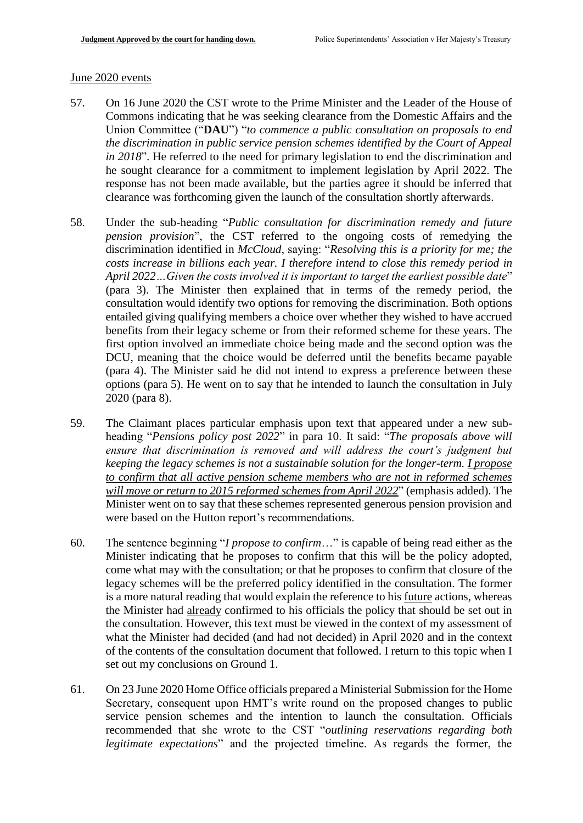#### June 2020 events

- 57. On 16 June 2020 the CST wrote to the Prime Minister and the Leader of the House of Commons indicating that he was seeking clearance from the Domestic Affairs and the Union Committee ("**DAU**") "*to commence a public consultation on proposals to end the discrimination in public service pension schemes identified by the Court of Appeal in 2018*". He referred to the need for primary legislation to end the discrimination and he sought clearance for a commitment to implement legislation by April 2022. The response has not been made available, but the parties agree it should be inferred that clearance was forthcoming given the launch of the consultation shortly afterwards.
- 58. Under the sub-heading "*Public consultation for discrimination remedy and future pension provision*", the CST referred to the ongoing costs of remedying the discrimination identified in *McCloud*, saying: "*Resolving this is a priority for me; the costs increase in billions each year. I therefore intend to close this remedy period in April 2022…Given the costs involved it is important to target the earliest possible date*" (para 3). The Minister then explained that in terms of the remedy period, the consultation would identify two options for removing the discrimination. Both options entailed giving qualifying members a choice over whether they wished to have accrued benefits from their legacy scheme or from their reformed scheme for these years. The first option involved an immediate choice being made and the second option was the DCU, meaning that the choice would be deferred until the benefits became payable (para 4). The Minister said he did not intend to express a preference between these options (para 5). He went on to say that he intended to launch the consultation in July 2020 (para 8).
- 59. The Claimant places particular emphasis upon text that appeared under a new subheading "*Pensions policy post 2022*" in para 10. It said: "*The proposals above will ensure that discrimination is removed and will address the court's judgment but keeping the legacy schemes is not a sustainable solution for the longer-term. I propose to confirm that all active pension scheme members who are not in reformed schemes will move or return to 2015 reformed schemes from April 2022*" (emphasis added). The Minister went on to say that these schemes represented generous pension provision and were based on the Hutton report's recommendations.
- 60. The sentence beginning "*I propose to confirm*…" is capable of being read either as the Minister indicating that he proposes to confirm that this will be the policy adopted, come what may with the consultation; or that he proposes to confirm that closure of the legacy schemes will be the preferred policy identified in the consultation. The former is a more natural reading that would explain the reference to his future actions, whereas the Minister had already confirmed to his officials the policy that should be set out in the consultation. However, this text must be viewed in the context of my assessment of what the Minister had decided (and had not decided) in April 2020 and in the context of the contents of the consultation document that followed. I return to this topic when I set out my conclusions on Ground 1.
- 61. On 23 June 2020 Home Office officials prepared a Ministerial Submission for the Home Secretary, consequent upon HMT's write round on the proposed changes to public service pension schemes and the intention to launch the consultation. Officials recommended that she wrote to the CST "*outlining reservations regarding both legitimate expectations*" and the projected timeline. As regards the former, the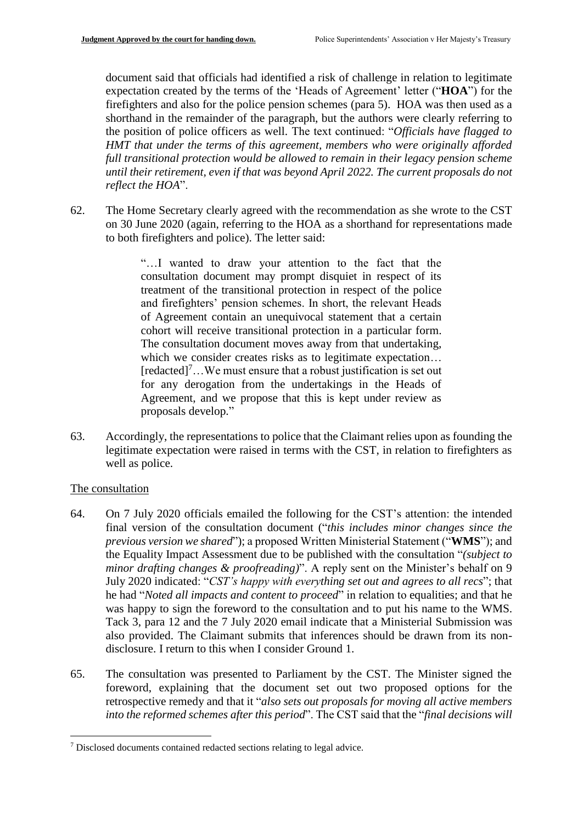document said that officials had identified a risk of challenge in relation to legitimate expectation created by the terms of the 'Heads of Agreement' letter ("**HOA**") for the firefighters and also for the police pension schemes (para 5). HOA was then used as a shorthand in the remainder of the paragraph, but the authors were clearly referring to the position of police officers as well. The text continued: "*Officials have flagged to HMT that under the terms of this agreement, members who were originally afforded full transitional protection would be allowed to remain in their legacy pension scheme until their retirement, even if that was beyond April 2022. The current proposals do not reflect the HOA*".

62. The Home Secretary clearly agreed with the recommendation as she wrote to the CST on 30 June 2020 (again, referring to the HOA as a shorthand for representations made to both firefighters and police). The letter said:

> "…I wanted to draw your attention to the fact that the consultation document may prompt disquiet in respect of its treatment of the transitional protection in respect of the police and firefighters' pension schemes. In short, the relevant Heads of Agreement contain an unequivocal statement that a certain cohort will receive transitional protection in a particular form. The consultation document moves away from that undertaking, which we consider creates risks as to legitimate expectation...  $[redated]^{7}...$  We must ensure that a robust justification is set out for any derogation from the undertakings in the Heads of Agreement, and we propose that this is kept under review as proposals develop."

63. Accordingly, the representations to police that the Claimant relies upon as founding the legitimate expectation were raised in terms with the CST, in relation to firefighters as well as police.

# The consultation

1

- 64. On 7 July 2020 officials emailed the following for the CST's attention: the intended final version of the consultation document ("*this includes minor changes since the previous version we shared*"); a proposed Written Ministerial Statement ("**WMS**"); and the Equality Impact Assessment due to be published with the consultation "*(subject to minor drafting changes & proofreading)*". A reply sent on the Minister's behalf on 9 July 2020 indicated: "*CST's happy with everything set out and agrees to all recs*"; that he had "*Noted all impacts and content to proceed*" in relation to equalities; and that he was happy to sign the foreword to the consultation and to put his name to the WMS. Tack 3, para 12 and the 7 July 2020 email indicate that a Ministerial Submission was also provided. The Claimant submits that inferences should be drawn from its nondisclosure. I return to this when I consider Ground 1.
- 65. The consultation was presented to Parliament by the CST. The Minister signed the foreword, explaining that the document set out two proposed options for the retrospective remedy and that it "*also sets out proposals for moving all active members into the reformed schemes after this period*". The CST said that the "*final decisions will*

<sup>7</sup> Disclosed documents contained redacted sections relating to legal advice.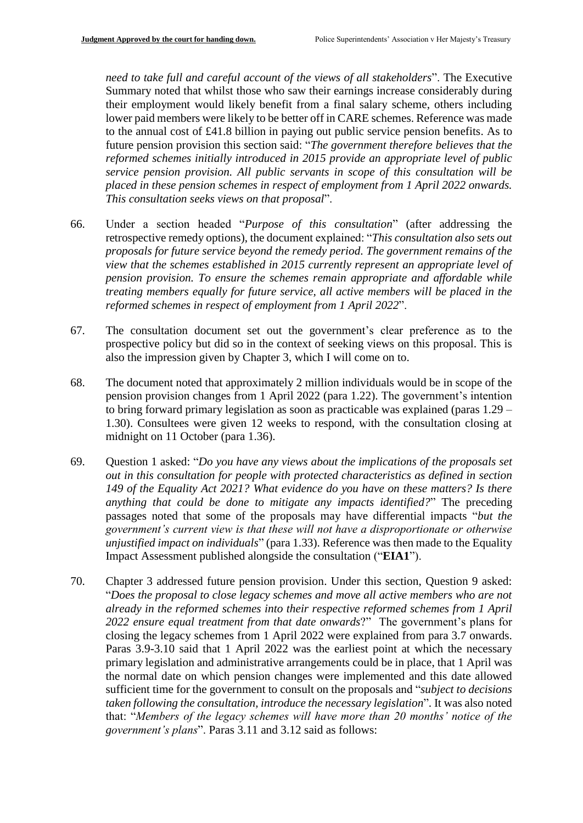*need to take full and careful account of the views of all stakeholders*". The Executive Summary noted that whilst those who saw their earnings increase considerably during their employment would likely benefit from a final salary scheme, others including lower paid members were likely to be better off in CARE schemes. Reference was made to the annual cost of £41.8 billion in paying out public service pension benefits. As to future pension provision this section said: "*The government therefore believes that the reformed schemes initially introduced in 2015 provide an appropriate level of public service pension provision. All public servants in scope of this consultation will be placed in these pension schemes in respect of employment from 1 April 2022 onwards. This consultation seeks views on that proposal*".

- 66. Under a section headed "*Purpose of this consultation*" (after addressing the retrospective remedy options), the document explained: "*This consultation also sets out proposals for future service beyond the remedy period. The government remains of the view that the schemes established in 2015 currently represent an appropriate level of pension provision. To ensure the schemes remain appropriate and affordable while treating members equally for future service, all active members will be placed in the reformed schemes in respect of employment from 1 April 2022*".
- 67. The consultation document set out the government's clear preference as to the prospective policy but did so in the context of seeking views on this proposal. This is also the impression given by Chapter 3, which I will come on to.
- 68. The document noted that approximately 2 million individuals would be in scope of the pension provision changes from 1 April 2022 (para 1.22). The government's intention to bring forward primary legislation as soon as practicable was explained (paras 1.29 – 1.30). Consultees were given 12 weeks to respond, with the consultation closing at midnight on 11 October (para 1.36).
- 69. Question 1 asked: "*Do you have any views about the implications of the proposals set out in this consultation for people with protected characteristics as defined in section 149 of the Equality Act 2021? What evidence do you have on these matters? Is there anything that could be done to mitigate any impacts identified?*" The preceding passages noted that some of the proposals may have differential impacts "*but the government's current view is that these will not have a disproportionate or otherwise unjustified impact on individuals*" (para 1.33). Reference was then made to the Equality Impact Assessment published alongside the consultation ("**EIA1**").
- 70. Chapter 3 addressed future pension provision. Under this section, Question 9 asked: "*Does the proposal to close legacy schemes and move all active members who are not already in the reformed schemes into their respective reformed schemes from 1 April 2022 ensure equal treatment from that date onwards*?" The government's plans for closing the legacy schemes from 1 April 2022 were explained from para 3.7 onwards. Paras 3.9-3.10 said that 1 April 2022 was the earliest point at which the necessary primary legislation and administrative arrangements could be in place, that 1 April was the normal date on which pension changes were implemented and this date allowed sufficient time for the government to consult on the proposals and "*subject to decisions taken following the consultation, introduce the necessary legislation*". It was also noted that: "*Members of the legacy schemes will have more than 20 months' notice of the government's plans*". Paras 3.11 and 3.12 said as follows: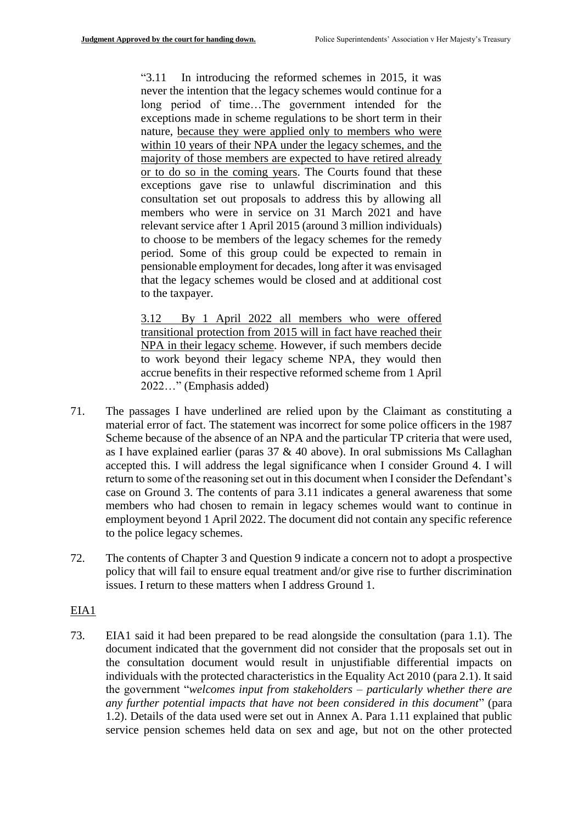"3.11 In introducing the reformed schemes in 2015, it was never the intention that the legacy schemes would continue for a long period of time…The government intended for the exceptions made in scheme regulations to be short term in their nature, because they were applied only to members who were within 10 years of their NPA under the legacy schemes, and the majority of those members are expected to have retired already or to do so in the coming years. The Courts found that these exceptions gave rise to unlawful discrimination and this consultation set out proposals to address this by allowing all members who were in service on 31 March 2021 and have relevant service after 1 April 2015 (around 3 million individuals) to choose to be members of the legacy schemes for the remedy period. Some of this group could be expected to remain in pensionable employment for decades, long after it was envisaged that the legacy schemes would be closed and at additional cost to the taxpayer.

3.12 By 1 April 2022 all members who were offered transitional protection from 2015 will in fact have reached their NPA in their legacy scheme. However, if such members decide to work beyond their legacy scheme NPA, they would then accrue benefits in their respective reformed scheme from 1 April 2022…" (Emphasis added)

- 71. The passages I have underlined are relied upon by the Claimant as constituting a material error of fact. The statement was incorrect for some police officers in the 1987 Scheme because of the absence of an NPA and the particular TP criteria that were used, as I have explained earlier (paras 37 & 40 above). In oral submissions Ms Callaghan accepted this. I will address the legal significance when I consider Ground 4. I will return to some of the reasoning set out in this document when I consider the Defendant's case on Ground 3. The contents of para 3.11 indicates a general awareness that some members who had chosen to remain in legacy schemes would want to continue in employment beyond 1 April 2022. The document did not contain any specific reference to the police legacy schemes.
- 72. The contents of Chapter 3 and Question 9 indicate a concern not to adopt a prospective policy that will fail to ensure equal treatment and/or give rise to further discrimination issues. I return to these matters when I address Ground 1.

# EIA1

73. EIA1 said it had been prepared to be read alongside the consultation (para 1.1). The document indicated that the government did not consider that the proposals set out in the consultation document would result in unjustifiable differential impacts on individuals with the protected characteristics in the Equality Act 2010 (para 2.1). It said the government "*welcomes input from stakeholders – particularly whether there are any further potential impacts that have not been considered in this document*" (para 1.2). Details of the data used were set out in Annex A. Para 1.11 explained that public service pension schemes held data on sex and age, but not on the other protected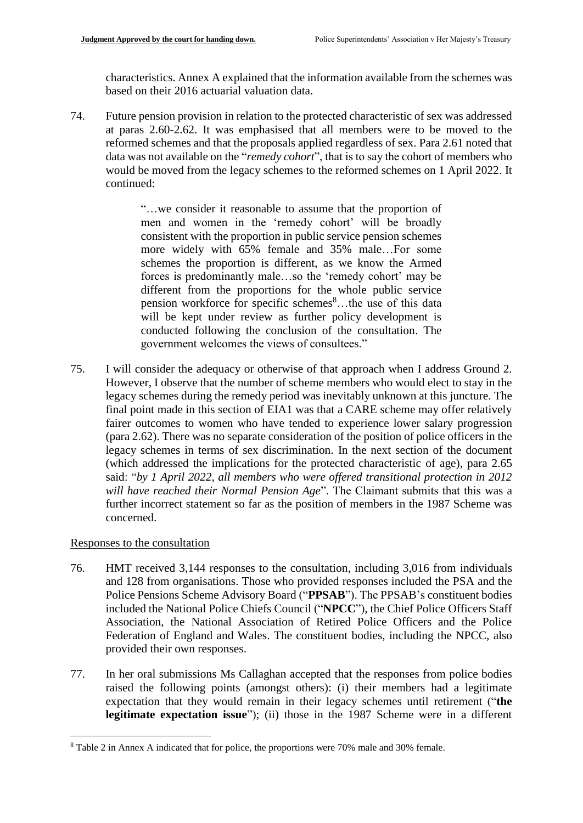characteristics. Annex A explained that the information available from the schemes was based on their 2016 actuarial valuation data.

74. Future pension provision in relation to the protected characteristic of sex was addressed at paras 2.60-2.62. It was emphasised that all members were to be moved to the reformed schemes and that the proposals applied regardless of sex. Para 2.61 noted that data was not available on the "*remedy cohort*", that is to say the cohort of members who would be moved from the legacy schemes to the reformed schemes on 1 April 2022. It continued:

> "…we consider it reasonable to assume that the proportion of men and women in the 'remedy cohort' will be broadly consistent with the proportion in public service pension schemes more widely with 65% female and 35% male…For some schemes the proportion is different, as we know the Armed forces is predominantly male…so the 'remedy cohort' may be different from the proportions for the whole public service pension workforce for specific schemes<sup>8</sup>...the use of this data will be kept under review as further policy development is conducted following the conclusion of the consultation. The government welcomes the views of consultees."

75. I will consider the adequacy or otherwise of that approach when I address Ground 2. However, I observe that the number of scheme members who would elect to stay in the legacy schemes during the remedy period was inevitably unknown at this juncture. The final point made in this section of EIA1 was that a CARE scheme may offer relatively fairer outcomes to women who have tended to experience lower salary progression (para 2.62). There was no separate consideration of the position of police officers in the legacy schemes in terms of sex discrimination. In the next section of the document (which addressed the implications for the protected characteristic of age), para 2.65 said: "*by 1 April 2022, all members who were offered transitional protection in 2012 will have reached their Normal Pension Age*". The Claimant submits that this was a further incorrect statement so far as the position of members in the 1987 Scheme was concerned.

# Responses to the consultation

1

- 76. HMT received 3,144 responses to the consultation, including 3,016 from individuals and 128 from organisations. Those who provided responses included the PSA and the Police Pensions Scheme Advisory Board ("**PPSAB**"). The PPSAB's constituent bodies included the National Police Chiefs Council ("**NPCC**"), the Chief Police Officers Staff Association, the National Association of Retired Police Officers and the Police Federation of England and Wales. The constituent bodies, including the NPCC, also provided their own responses.
- 77. In her oral submissions Ms Callaghan accepted that the responses from police bodies raised the following points (amongst others): (i) their members had a legitimate expectation that they would remain in their legacy schemes until retirement ("**the legitimate expectation issue**"); (ii) those in the 1987 Scheme were in a different

<sup>8</sup> Table 2 in Annex A indicated that for police, the proportions were 70% male and 30% female.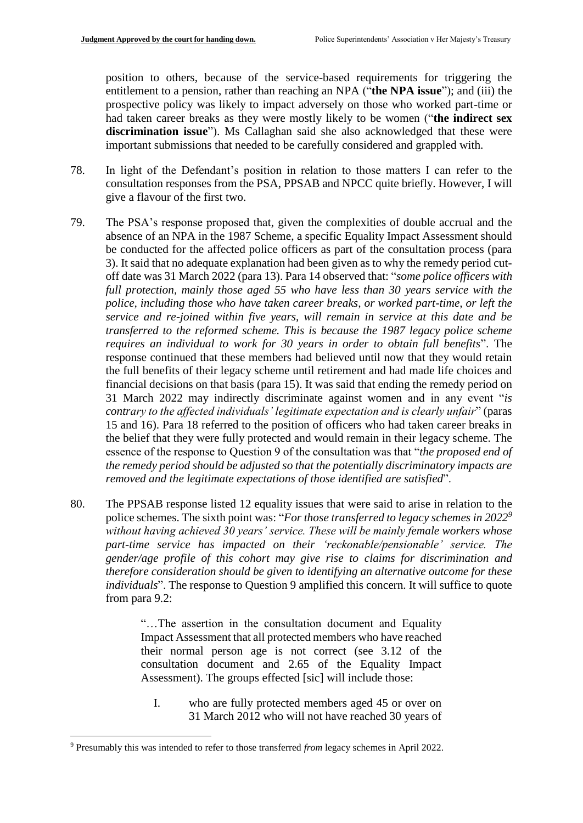position to others, because of the service-based requirements for triggering the entitlement to a pension, rather than reaching an NPA ("**the NPA issue**"); and (iii) the prospective policy was likely to impact adversely on those who worked part-time or had taken career breaks as they were mostly likely to be women ("**the indirect sex discrimination issue**"). Ms Callaghan said she also acknowledged that these were important submissions that needed to be carefully considered and grappled with.

- 78. In light of the Defendant's position in relation to those matters I can refer to the consultation responses from the PSA, PPSAB and NPCC quite briefly. However, I will give a flavour of the first two.
- 79. The PSA's response proposed that, given the complexities of double accrual and the absence of an NPA in the 1987 Scheme, a specific Equality Impact Assessment should be conducted for the affected police officers as part of the consultation process (para 3). It said that no adequate explanation had been given as to why the remedy period cutoff date was 31 March 2022 (para 13). Para 14 observed that: "*some police officers with full protection, mainly those aged 55 who have less than 30 years service with the police, including those who have taken career breaks, or worked part-time, or left the service and re-joined within five years, will remain in service at this date and be transferred to the reformed scheme. This is because the 1987 legacy police scheme requires an individual to work for 30 years in order to obtain full benefits*". The response continued that these members had believed until now that they would retain the full benefits of their legacy scheme until retirement and had made life choices and financial decisions on that basis (para 15). It was said that ending the remedy period on 31 March 2022 may indirectly discriminate against women and in any event "*is contrary to the affected individuals' legitimate expectation and is clearly unfair*" (paras 15 and 16). Para 18 referred to the position of officers who had taken career breaks in the belief that they were fully protected and would remain in their legacy scheme. The essence of the response to Question 9 of the consultation was that "*the proposed end of the remedy period should be adjusted so that the potentially discriminatory impacts are removed and the legitimate expectations of those identified are satisfied*".
- 80. The PPSAB response listed 12 equality issues that were said to arise in relation to the police schemes. The sixth point was: "*For those transferred to legacy schemes in 2022<sup>9</sup> without having achieved 30 years' service. These will be mainly female workers whose part-time service has impacted on their 'reckonable/pensionable' service. The gender/age profile of this cohort may give rise to claims for discrimination and therefore consideration should be given to identifying an alternative outcome for these individuals*". The response to Question 9 amplified this concern. It will suffice to quote from para 9.2:

"…The assertion in the consultation document and Equality Impact Assessment that all protected members who have reached their normal person age is not correct (see 3.12 of the consultation document and 2.65 of the Equality Impact Assessment). The groups effected [sic] will include those:

I. who are fully protected members aged 45 or over on 31 March 2012 who will not have reached 30 years of

1

<sup>9</sup> Presumably this was intended to refer to those transferred *from* legacy schemes in April 2022.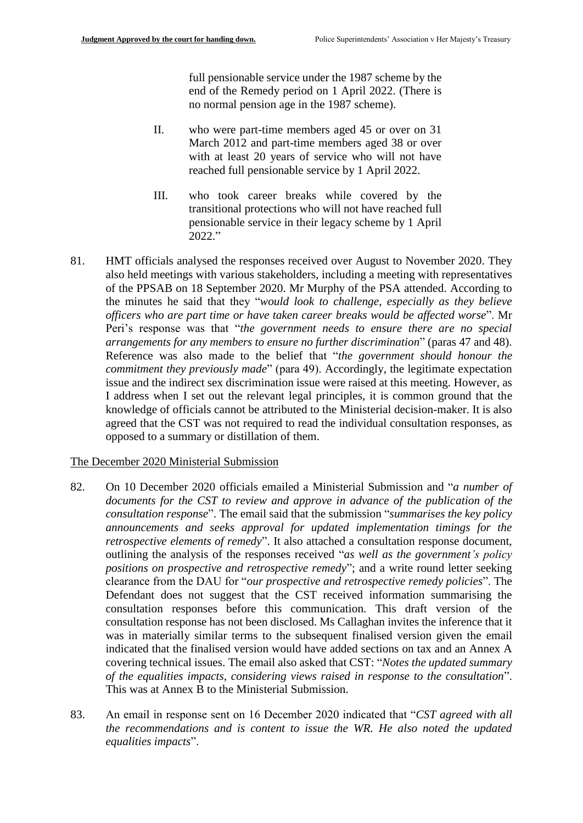full pensionable service under the 1987 scheme by the end of the Remedy period on 1 April 2022. (There is no normal pension age in the 1987 scheme).

- II. who were part-time members aged 45 or over on 31 March 2012 and part-time members aged 38 or over with at least 20 years of service who will not have reached full pensionable service by 1 April 2022.
- III. who took career breaks while covered by the transitional protections who will not have reached full pensionable service in their legacy scheme by 1 April 2022."
- 81. HMT officials analysed the responses received over August to November 2020. They also held meetings with various stakeholders, including a meeting with representatives of the PPSAB on 18 September 2020. Mr Murphy of the PSA attended. According to the minutes he said that they "*would look to challenge, especially as they believe officers who are part time or have taken career breaks would be affected worse*". Mr Peri's response was that "*the government needs to ensure there are no special arrangements for any members to ensure no further discrimination*" (paras 47 and 48). Reference was also made to the belief that "*the government should honour the commitment they previously made*" (para 49). Accordingly, the legitimate expectation issue and the indirect sex discrimination issue were raised at this meeting. However, as I address when I set out the relevant legal principles, it is common ground that the knowledge of officials cannot be attributed to the Ministerial decision-maker. It is also agreed that the CST was not required to read the individual consultation responses, as opposed to a summary or distillation of them.

#### The December 2020 Ministerial Submission

- 82. On 10 December 2020 officials emailed a Ministerial Submission and "*a number of documents for the CST to review and approve in advance of the publication of the consultation response*". The email said that the submission "*summarises the key policy announcements and seeks approval for updated implementation timings for the retrospective elements of remedy*". It also attached a consultation response document, outlining the analysis of the responses received "*as well as the government's policy positions on prospective and retrospective remedy*"; and a write round letter seeking clearance from the DAU for "*our prospective and retrospective remedy policies*". The Defendant does not suggest that the CST received information summarising the consultation responses before this communication. This draft version of the consultation response has not been disclosed. Ms Callaghan invites the inference that it was in materially similar terms to the subsequent finalised version given the email indicated that the finalised version would have added sections on tax and an Annex A covering technical issues. The email also asked that CST: "*Notes the updated summary of the equalities impacts, considering views raised in response to the consultation*". This was at Annex B to the Ministerial Submission.
- 83. An email in response sent on 16 December 2020 indicated that "*CST agreed with all the recommendations and is content to issue the WR. He also noted the updated equalities impacts*".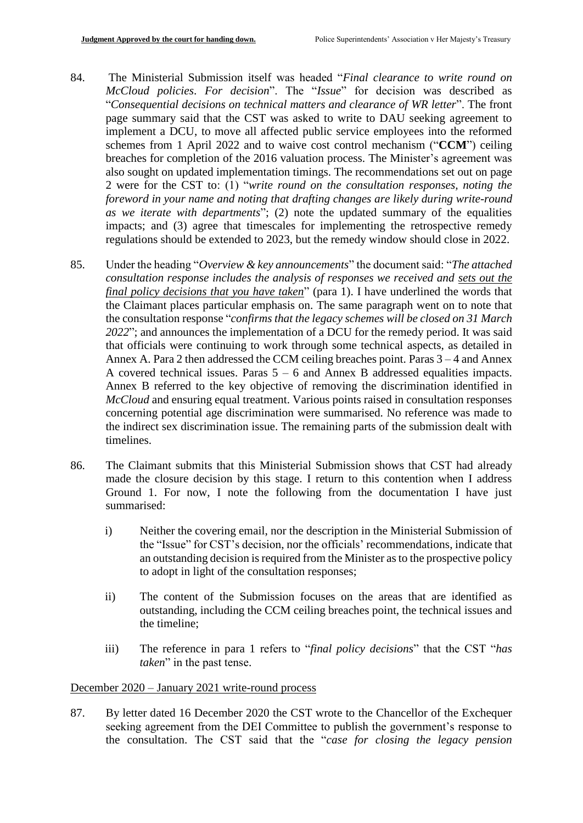- 84. The Ministerial Submission itself was headed "*Final clearance to write round on McCloud policies*. *For decision*". The "*Issue*" for decision was described as "*Consequential decisions on technical matters and clearance of WR letter*". The front page summary said that the CST was asked to write to DAU seeking agreement to implement a DCU, to move all affected public service employees into the reformed schemes from 1 April 2022 and to waive cost control mechanism ("**CCM**") ceiling breaches for completion of the 2016 valuation process. The Minister's agreement was also sought on updated implementation timings. The recommendations set out on page 2 were for the CST to: (1) "*write round on the consultation responses, noting the foreword in your name and noting that drafting changes are likely during write-round as we iterate with departments*"; (2) note the updated summary of the equalities impacts; and (3) agree that timescales for implementing the retrospective remedy regulations should be extended to 2023, but the remedy window should close in 2022.
- 85. Under the heading "*Overview & key announcements*" the document said: "*The attached consultation response includes the analysis of responses we received and sets out the final policy decisions that you have taken*" (para 1). I have underlined the words that the Claimant places particular emphasis on. The same paragraph went on to note that the consultation response "*confirms that the legacy schemes will be closed on 31 March 2022*"; and announces the implementation of a DCU for the remedy period. It was said that officials were continuing to work through some technical aspects, as detailed in Annex A. Para 2 then addressed the CCM ceiling breaches point. Paras 3 – 4 and Annex A covered technical issues. Paras  $5 - 6$  and Annex B addressed equalities impacts. Annex B referred to the key objective of removing the discrimination identified in *McCloud* and ensuring equal treatment. Various points raised in consultation responses concerning potential age discrimination were summarised. No reference was made to the indirect sex discrimination issue. The remaining parts of the submission dealt with timelines.
- 86. The Claimant submits that this Ministerial Submission shows that CST had already made the closure decision by this stage. I return to this contention when I address Ground 1. For now, I note the following from the documentation I have just summarised:
	- i) Neither the covering email, nor the description in the Ministerial Submission of the "Issue" for CST's decision, nor the officials' recommendations, indicate that an outstanding decision is required from the Minister as to the prospective policy to adopt in light of the consultation responses;
	- ii) The content of the Submission focuses on the areas that are identified as outstanding, including the CCM ceiling breaches point, the technical issues and the timeline;
	- iii) The reference in para 1 refers to "*final policy decisions*" that the CST "*has taken*" in the past tense.

#### December 2020 – January 2021 write-round process

87. By letter dated 16 December 2020 the CST wrote to the Chancellor of the Exchequer seeking agreement from the DEI Committee to publish the government's response to the consultation. The CST said that the "*case for closing the legacy pension*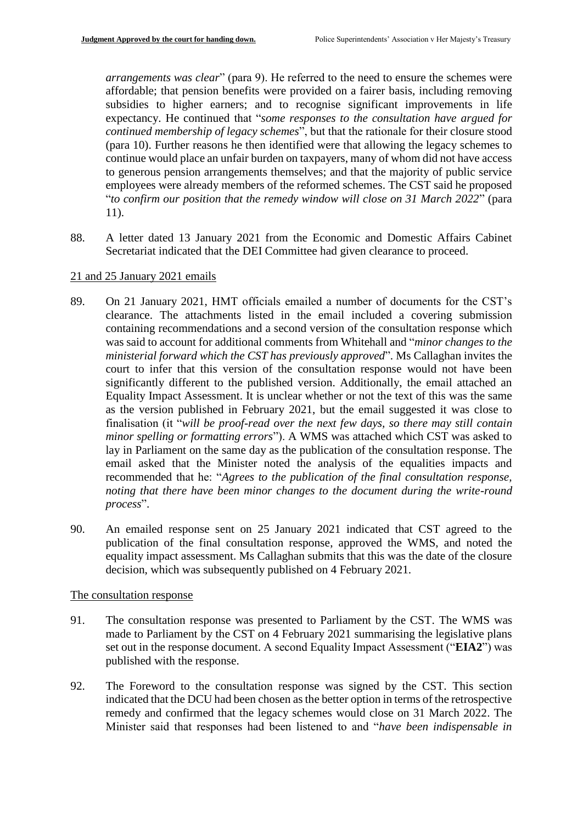*arrangements was clear*" (para 9). He referred to the need to ensure the schemes were affordable; that pension benefits were provided on a fairer basis, including removing subsidies to higher earners; and to recognise significant improvements in life expectancy. He continued that "*some responses to the consultation have argued for continued membership of legacy schemes*", but that the rationale for their closure stood (para 10). Further reasons he then identified were that allowing the legacy schemes to continue would place an unfair burden on taxpayers, many of whom did not have access to generous pension arrangements themselves; and that the majority of public service employees were already members of the reformed schemes. The CST said he proposed "*to confirm our position that the remedy window will close on 31 March 2022*" (para 11).

88. A letter dated 13 January 2021 from the Economic and Domestic Affairs Cabinet Secretariat indicated that the DEI Committee had given clearance to proceed.

#### 21 and 25 January 2021 emails

- 89. On 21 January 2021, HMT officials emailed a number of documents for the CST's clearance. The attachments listed in the email included a covering submission containing recommendations and a second version of the consultation response which was said to account for additional comments from Whitehall and "*minor changes to the ministerial forward which the CST has previously approved*". Ms Callaghan invites the court to infer that this version of the consultation response would not have been significantly different to the published version. Additionally, the email attached an Equality Impact Assessment. It is unclear whether or not the text of this was the same as the version published in February 2021, but the email suggested it was close to finalisation (it "*will be proof-read over the next few days, so there may still contain minor spelling or formatting errors*"). A WMS was attached which CST was asked to lay in Parliament on the same day as the publication of the consultation response. The email asked that the Minister noted the analysis of the equalities impacts and recommended that he: "*Agrees to the publication of the final consultation response, noting that there have been minor changes to the document during the write-round process*".
- 90. An emailed response sent on 25 January 2021 indicated that CST agreed to the publication of the final consultation response, approved the WMS, and noted the equality impact assessment. Ms Callaghan submits that this was the date of the closure decision, which was subsequently published on 4 February 2021.

#### The consultation response

- 91. The consultation response was presented to Parliament by the CST. The WMS was made to Parliament by the CST on 4 February 2021 summarising the legislative plans set out in the response document. A second Equality Impact Assessment ("**EIA2**") was published with the response.
- 92. The Foreword to the consultation response was signed by the CST. This section indicated that the DCU had been chosen as the better option in terms of the retrospective remedy and confirmed that the legacy schemes would close on 31 March 2022. The Minister said that responses had been listened to and "*have been indispensable in*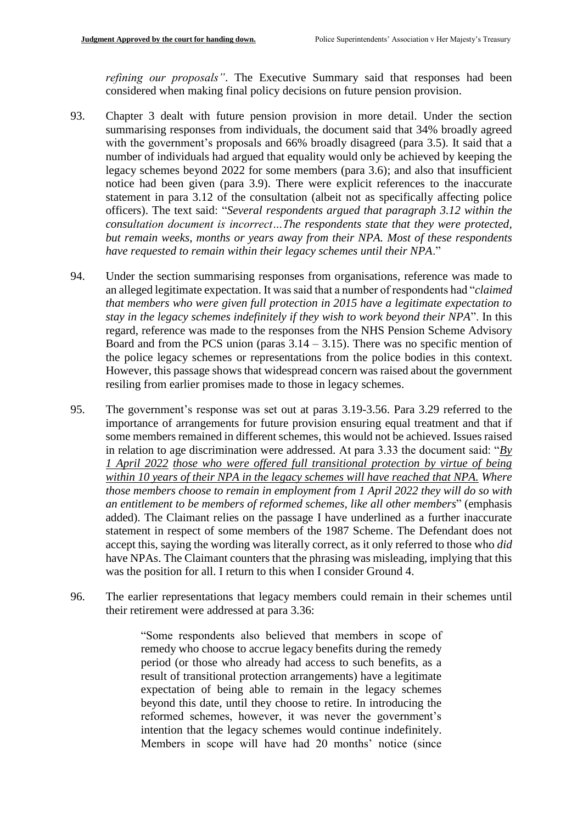*refining our proposals"*. The Executive Summary said that responses had been considered when making final policy decisions on future pension provision.

- 93. Chapter 3 dealt with future pension provision in more detail. Under the section summarising responses from individuals, the document said that 34% broadly agreed with the government's proposals and 66% broadly disagreed (para 3.5). It said that a number of individuals had argued that equality would only be achieved by keeping the legacy schemes beyond 2022 for some members (para 3.6); and also that insufficient notice had been given (para 3.9). There were explicit references to the inaccurate statement in para 3.12 of the consultation (albeit not as specifically affecting police officers). The text said: "*Several respondents argued that paragraph 3.12 within the consultation document is incorrect…The respondents state that they were protected, but remain weeks, months or years away from their NPA. Most of these respondents have requested to remain within their legacy schemes until their NPA*."
- 94. Under the section summarising responses from organisations, reference was made to an alleged legitimate expectation. It was said that a number of respondents had "*claimed that members who were given full protection in 2015 have a legitimate expectation to stay in the legacy schemes indefinitely if they wish to work beyond their NPA*". In this regard, reference was made to the responses from the NHS Pension Scheme Advisory Board and from the PCS union (paras  $3.14 - 3.15$ ). There was no specific mention of the police legacy schemes or representations from the police bodies in this context. However, this passage shows that widespread concern was raised about the government resiling from earlier promises made to those in legacy schemes.
- 95. The government's response was set out at paras 3.19-3.56. Para 3.29 referred to the importance of arrangements for future provision ensuring equal treatment and that if some members remained in different schemes, this would not be achieved. Issues raised in relation to age discrimination were addressed. At para 3.33 the document said: "*By 1 April 2022 those who were offered full transitional protection by virtue of being within 10 years of their NPA in the legacy schemes will have reached that NPA. Where those members choose to remain in employment from 1 April 2022 they will do so with an entitlement to be members of reformed schemes, like all other members*" (emphasis added). The Claimant relies on the passage I have underlined as a further inaccurate statement in respect of some members of the 1987 Scheme. The Defendant does not accept this, saying the wording was literally correct, as it only referred to those who *did* have NPAs. The Claimant counters that the phrasing was misleading, implying that this was the position for all. I return to this when I consider Ground 4.
- 96. The earlier representations that legacy members could remain in their schemes until their retirement were addressed at para 3.36:

"Some respondents also believed that members in scope of remedy who choose to accrue legacy benefits during the remedy period (or those who already had access to such benefits, as a result of transitional protection arrangements) have a legitimate expectation of being able to remain in the legacy schemes beyond this date, until they choose to retire. In introducing the reformed schemes, however, it was never the government's intention that the legacy schemes would continue indefinitely. Members in scope will have had 20 months' notice (since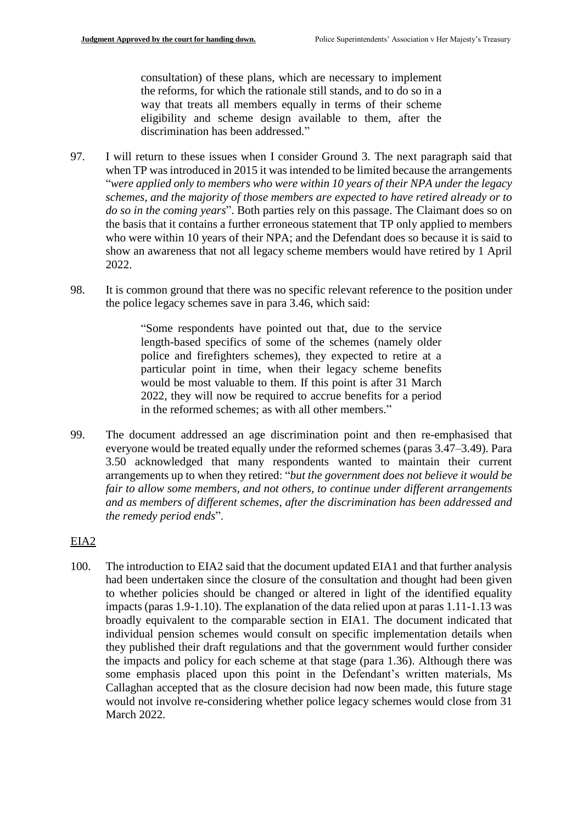consultation) of these plans, which are necessary to implement the reforms, for which the rationale still stands, and to do so in a way that treats all members equally in terms of their scheme eligibility and scheme design available to them, after the discrimination has been addressed."

- 97. I will return to these issues when I consider Ground 3. The next paragraph said that when TP was introduced in 2015 it was intended to be limited because the arrangements "*were applied only to members who were within 10 years of their NPA under the legacy schemes, and the majority of those members are expected to have retired already or to do so in the coming years*". Both parties rely on this passage. The Claimant does so on the basis that it contains a further erroneous statement that TP only applied to members who were within 10 years of their NPA; and the Defendant does so because it is said to show an awareness that not all legacy scheme members would have retired by 1 April 2022.
- 98. It is common ground that there was no specific relevant reference to the position under the police legacy schemes save in para 3.46, which said:

"Some respondents have pointed out that, due to the service length-based specifics of some of the schemes (namely older police and firefighters schemes), they expected to retire at a particular point in time, when their legacy scheme benefits would be most valuable to them. If this point is after 31 March 2022, they will now be required to accrue benefits for a period in the reformed schemes; as with all other members."

99. The document addressed an age discrimination point and then re-emphasised that everyone would be treated equally under the reformed schemes (paras 3.47–3.49). Para 3.50 acknowledged that many respondents wanted to maintain their current arrangements up to when they retired: "*but the government does not believe it would be fair to allow some members, and not others, to continue under different arrangements and as members of different schemes, after the discrimination has been addressed and the remedy period ends*".

# EIA2

100. The introduction to EIA2 said that the document updated EIA1 and that further analysis had been undertaken since the closure of the consultation and thought had been given to whether policies should be changed or altered in light of the identified equality impacts (paras 1.9-1.10). The explanation of the data relied upon at paras 1.11-1.13 was broadly equivalent to the comparable section in EIA1. The document indicated that individual pension schemes would consult on specific implementation details when they published their draft regulations and that the government would further consider the impacts and policy for each scheme at that stage (para 1.36). Although there was some emphasis placed upon this point in the Defendant's written materials, Ms Callaghan accepted that as the closure decision had now been made, this future stage would not involve re-considering whether police legacy schemes would close from 31 March 2022.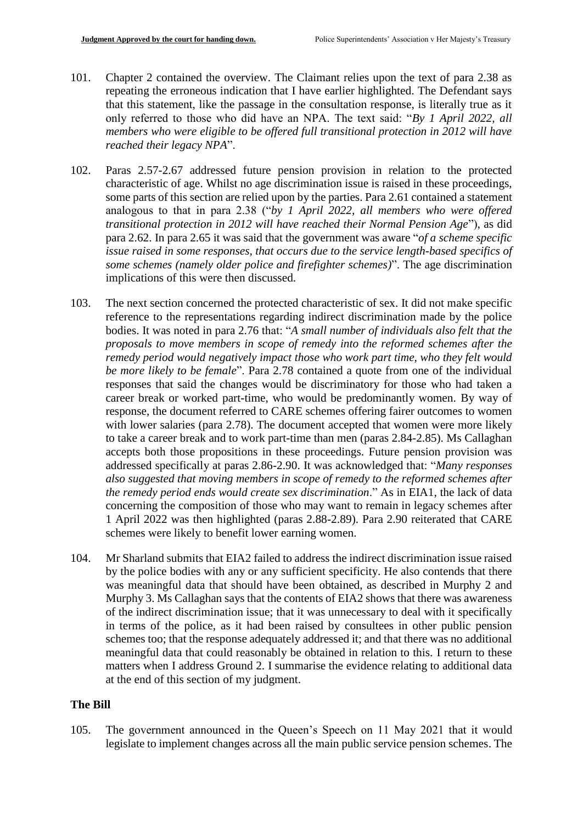- 101. Chapter 2 contained the overview. The Claimant relies upon the text of para 2.38 as repeating the erroneous indication that I have earlier highlighted. The Defendant says that this statement, like the passage in the consultation response, is literally true as it only referred to those who did have an NPA. The text said: "*By 1 April 2022, all members who were eligible to be offered full transitional protection in 2012 will have reached their legacy NPA*".
- 102. Paras 2.57-2.67 addressed future pension provision in relation to the protected characteristic of age. Whilst no age discrimination issue is raised in these proceedings, some parts of this section are relied upon by the parties. Para 2.61 contained a statement analogous to that in para 2.38 ("*by 1 April 2022, all members who were offered transitional protection in 2012 will have reached their Normal Pension Age*"), as did para 2.62. In para 2.65 it was said that the government was aware "*of a scheme specific issue raised in some responses, that occurs due to the service length-based specifics of some schemes (namely older police and firefighter schemes)*". The age discrimination implications of this were then discussed.
- 103. The next section concerned the protected characteristic of sex. It did not make specific reference to the representations regarding indirect discrimination made by the police bodies. It was noted in para 2.76 that: "*A small number of individuals also felt that the proposals to move members in scope of remedy into the reformed schemes after the remedy period would negatively impact those who work part time, who they felt would be more likely to be female*". Para 2.78 contained a quote from one of the individual responses that said the changes would be discriminatory for those who had taken a career break or worked part-time, who would be predominantly women. By way of response, the document referred to CARE schemes offering fairer outcomes to women with lower salaries (para 2.78). The document accepted that women were more likely to take a career break and to work part-time than men (paras 2.84-2.85). Ms Callaghan accepts both those propositions in these proceedings. Future pension provision was addressed specifically at paras 2.86-2.90. It was acknowledged that: "*Many responses also suggested that moving members in scope of remedy to the reformed schemes after the remedy period ends would create sex discrimination*." As in EIA1, the lack of data concerning the composition of those who may want to remain in legacy schemes after 1 April 2022 was then highlighted (paras 2.88-2.89). Para 2.90 reiterated that CARE schemes were likely to benefit lower earning women.
- 104. Mr Sharland submits that EIA2 failed to address the indirect discrimination issue raised by the police bodies with any or any sufficient specificity. He also contends that there was meaningful data that should have been obtained, as described in Murphy 2 and Murphy 3. Ms Callaghan says that the contents of EIA2 shows that there was awareness of the indirect discrimination issue; that it was unnecessary to deal with it specifically in terms of the police, as it had been raised by consultees in other public pension schemes too; that the response adequately addressed it; and that there was no additional meaningful data that could reasonably be obtained in relation to this. I return to these matters when I address Ground 2. I summarise the evidence relating to additional data at the end of this section of my judgment.

# **The Bill**

105. The government announced in the Queen's Speech on 11 May 2021 that it would legislate to implement changes across all the main public service pension schemes. The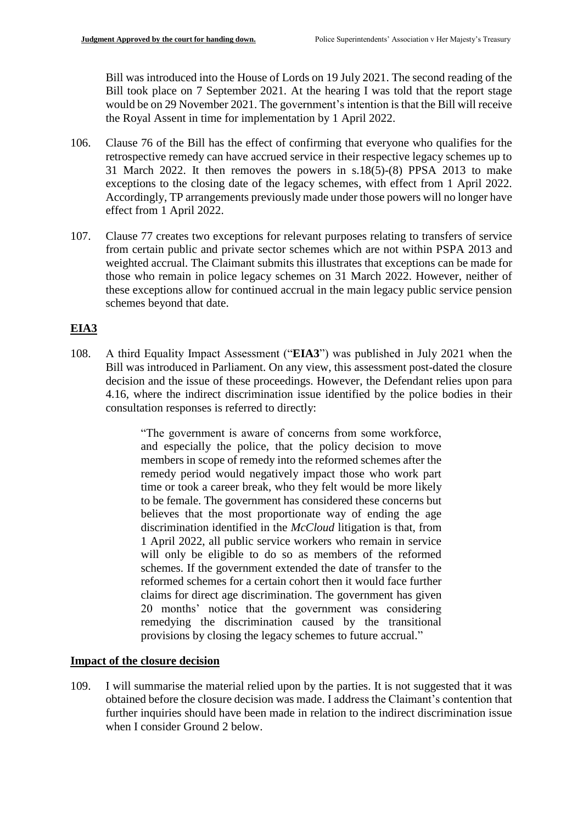Bill was introduced into the House of Lords on 19 July 2021. The second reading of the Bill took place on 7 September 2021. At the hearing I was told that the report stage would be on 29 November 2021. The government's intention is that the Bill will receive the Royal Assent in time for implementation by 1 April 2022.

- 106. Clause 76 of the Bill has the effect of confirming that everyone who qualifies for the retrospective remedy can have accrued service in their respective legacy schemes up to 31 March 2022. It then removes the powers in  $s.18(5)-(8)$  PPSA 2013 to make exceptions to the closing date of the legacy schemes, with effect from 1 April 2022. Accordingly, TP arrangements previously made under those powers will no longer have effect from 1 April 2022.
- 107. Clause 77 creates two exceptions for relevant purposes relating to transfers of service from certain public and private sector schemes which are not within PSPA 2013 and weighted accrual. The Claimant submits this illustrates that exceptions can be made for those who remain in police legacy schemes on 31 March 2022. However, neither of these exceptions allow for continued accrual in the main legacy public service pension schemes beyond that date.

# **EIA3**

108. A third Equality Impact Assessment ("**EIA3**") was published in July 2021 when the Bill was introduced in Parliament. On any view, this assessment post-dated the closure decision and the issue of these proceedings. However, the Defendant relies upon para 4.16, where the indirect discrimination issue identified by the police bodies in their consultation responses is referred to directly:

> "The government is aware of concerns from some workforce, and especially the police, that the policy decision to move members in scope of remedy into the reformed schemes after the remedy period would negatively impact those who work part time or took a career break, who they felt would be more likely to be female. The government has considered these concerns but believes that the most proportionate way of ending the age discrimination identified in the *McCloud* litigation is that, from 1 April 2022, all public service workers who remain in service will only be eligible to do so as members of the reformed schemes. If the government extended the date of transfer to the reformed schemes for a certain cohort then it would face further claims for direct age discrimination. The government has given 20 months' notice that the government was considering remedying the discrimination caused by the transitional provisions by closing the legacy schemes to future accrual."

# **Impact of the closure decision**

109. I will summarise the material relied upon by the parties. It is not suggested that it was obtained before the closure decision was made. I address the Claimant's contention that further inquiries should have been made in relation to the indirect discrimination issue when I consider Ground 2 below.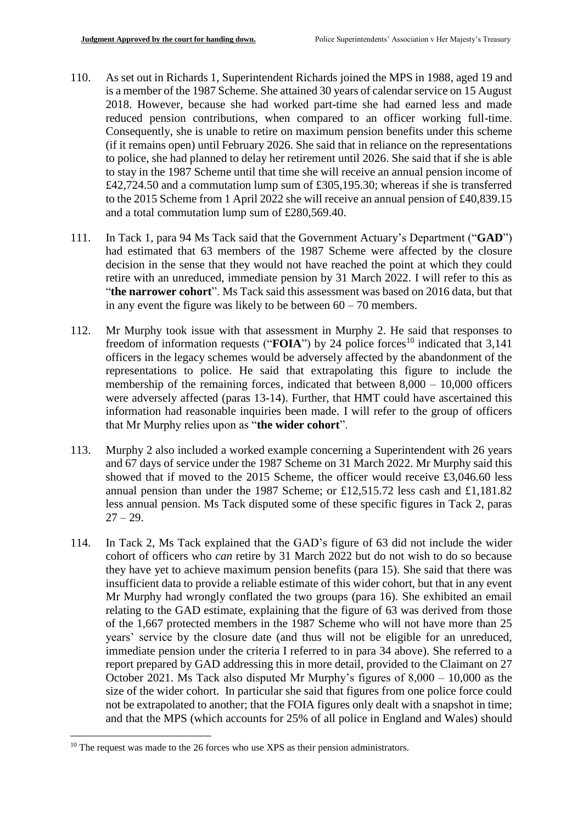- 110. As set out in Richards 1, Superintendent Richards joined the MPS in 1988, aged 19 and is a member of the 1987 Scheme. She attained 30 years of calendar service on 15 August 2018. However, because she had worked part-time she had earned less and made reduced pension contributions, when compared to an officer working full-time. Consequently, she is unable to retire on maximum pension benefits under this scheme (if it remains open) until February 2026. She said that in reliance on the representations to police, she had planned to delay her retirement until 2026. She said that if she is able to stay in the 1987 Scheme until that time she will receive an annual pension income of £42,724.50 and a commutation lump sum of £305,195.30; whereas if she is transferred to the 2015 Scheme from 1 April 2022 she will receive an annual pension of £40,839.15 and a total commutation lump sum of £280,569.40.
- 111. In Tack 1, para 94 Ms Tack said that the Government Actuary's Department ("**GAD**") had estimated that 63 members of the 1987 Scheme were affected by the closure decision in the sense that they would not have reached the point at which they could retire with an unreduced, immediate pension by 31 March 2022. I will refer to this as "**the narrower cohort**". Ms Tack said this assessment was based on 2016 data, but that in any event the figure was likely to be between  $60 - 70$  members.
- 112. Mr Murphy took issue with that assessment in Murphy 2. He said that responses to freedom of information requests (" $\mathbf{FOIA}$ ") by 24 police forces<sup>10</sup> indicated that 3,141 officers in the legacy schemes would be adversely affected by the abandonment of the representations to police. He said that extrapolating this figure to include the membership of the remaining forces, indicated that between  $8,000 - 10,000$  officers were adversely affected (paras 13-14). Further, that HMT could have ascertained this information had reasonable inquiries been made. I will refer to the group of officers that Mr Murphy relies upon as "**the wider cohort**".
- 113. Murphy 2 also included a worked example concerning a Superintendent with 26 years and 67 days of service under the 1987 Scheme on 31 March 2022. Mr Murphy said this showed that if moved to the 2015 Scheme, the officer would receive £3,046.60 less annual pension than under the 1987 Scheme; or £12,515.72 less cash and £1,181.82 less annual pension. Ms Tack disputed some of these specific figures in Tack 2, paras  $27 - 29.$
- 114. In Tack 2, Ms Tack explained that the GAD's figure of 63 did not include the wider cohort of officers who *can* retire by 31 March 2022 but do not wish to do so because they have yet to achieve maximum pension benefits (para 15). She said that there was insufficient data to provide a reliable estimate of this wider cohort, but that in any event Mr Murphy had wrongly conflated the two groups (para 16). She exhibited an email relating to the GAD estimate, explaining that the figure of 63 was derived from those of the 1,667 protected members in the 1987 Scheme who will not have more than 25 years' service by the closure date (and thus will not be eligible for an unreduced, immediate pension under the criteria I referred to in para 34 above). She referred to a report prepared by GAD addressing this in more detail, provided to the Claimant on 27 October 2021. Ms Tack also disputed Mr Murphy's figures of 8,000 – 10,000 as the size of the wider cohort. In particular she said that figures from one police force could not be extrapolated to another; that the FOIA figures only dealt with a snapshot in time; and that the MPS (which accounts for 25% of all police in England and Wales) should

1

 $10$  The request was made to the 26 forces who use XPS as their pension administrators.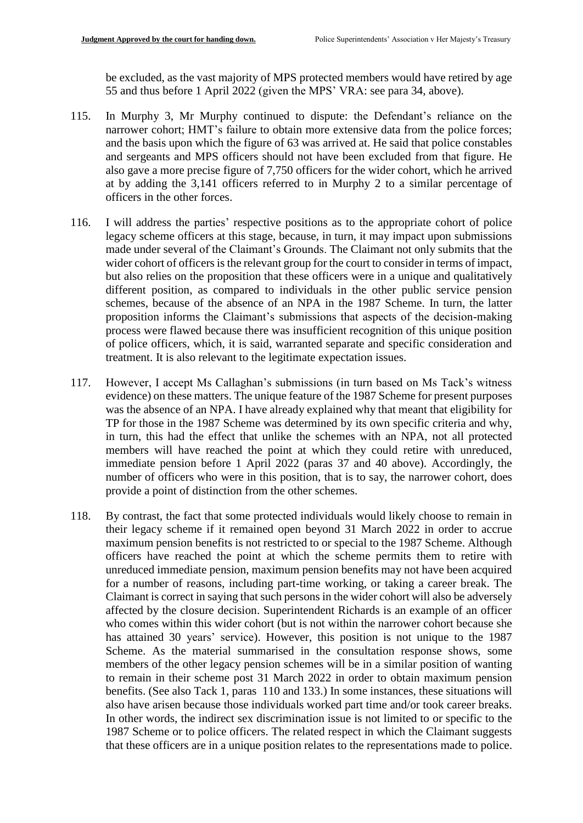be excluded, as the vast majority of MPS protected members would have retired by age 55 and thus before 1 April 2022 (given the MPS' VRA: see para 34, above).

- 115. In Murphy 3, Mr Murphy continued to dispute: the Defendant's reliance on the narrower cohort; HMT's failure to obtain more extensive data from the police forces; and the basis upon which the figure of 63 was arrived at. He said that police constables and sergeants and MPS officers should not have been excluded from that figure. He also gave a more precise figure of 7,750 officers for the wider cohort, which he arrived at by adding the 3,141 officers referred to in Murphy 2 to a similar percentage of officers in the other forces.
- 116. I will address the parties' respective positions as to the appropriate cohort of police legacy scheme officers at this stage, because, in turn, it may impact upon submissions made under several of the Claimant's Grounds. The Claimant not only submits that the wider cohort of officers is the relevant group for the court to consider in terms of impact, but also relies on the proposition that these officers were in a unique and qualitatively different position, as compared to individuals in the other public service pension schemes, because of the absence of an NPA in the 1987 Scheme. In turn, the latter proposition informs the Claimant's submissions that aspects of the decision-making process were flawed because there was insufficient recognition of this unique position of police officers, which, it is said, warranted separate and specific consideration and treatment. It is also relevant to the legitimate expectation issues.
- 117. However, I accept Ms Callaghan's submissions (in turn based on Ms Tack's witness evidence) on these matters. The unique feature of the 1987 Scheme for present purposes was the absence of an NPA. I have already explained why that meant that eligibility for TP for those in the 1987 Scheme was determined by its own specific criteria and why, in turn, this had the effect that unlike the schemes with an NPA, not all protected members will have reached the point at which they could retire with unreduced, immediate pension before 1 April 2022 (paras 37 and 40 above). Accordingly, the number of officers who were in this position, that is to say, the narrower cohort, does provide a point of distinction from the other schemes.
- 118. By contrast, the fact that some protected individuals would likely choose to remain in their legacy scheme if it remained open beyond 31 March 2022 in order to accrue maximum pension benefits is not restricted to or special to the 1987 Scheme. Although officers have reached the point at which the scheme permits them to retire with unreduced immediate pension, maximum pension benefits may not have been acquired for a number of reasons, including part-time working, or taking a career break. The Claimant is correct in saying that such persons in the wider cohort will also be adversely affected by the closure decision. Superintendent Richards is an example of an officer who comes within this wider cohort (but is not within the narrower cohort because she has attained 30 years' service). However, this position is not unique to the 1987 Scheme. As the material summarised in the consultation response shows, some members of the other legacy pension schemes will be in a similar position of wanting to remain in their scheme post 31 March 2022 in order to obtain maximum pension benefits. (See also Tack 1, paras 110 and 133.) In some instances, these situations will also have arisen because those individuals worked part time and/or took career breaks. In other words, the indirect sex discrimination issue is not limited to or specific to the 1987 Scheme or to police officers. The related respect in which the Claimant suggests that these officers are in a unique position relates to the representations made to police.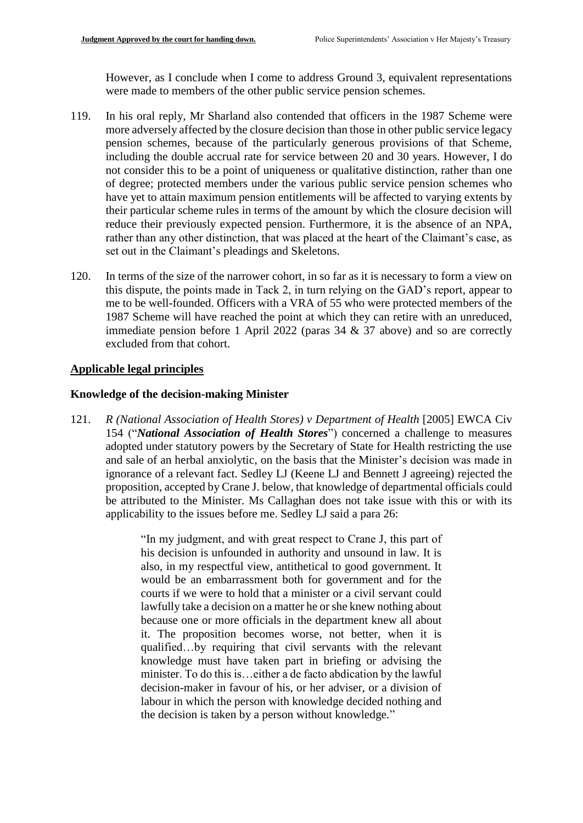However, as I conclude when I come to address Ground 3, equivalent representations were made to members of the other public service pension schemes.

- 119. In his oral reply, Mr Sharland also contended that officers in the 1987 Scheme were more adversely affected by the closure decision than those in other public service legacy pension schemes, because of the particularly generous provisions of that Scheme, including the double accrual rate for service between 20 and 30 years. However, I do not consider this to be a point of uniqueness or qualitative distinction, rather than one of degree; protected members under the various public service pension schemes who have yet to attain maximum pension entitlements will be affected to varying extents by their particular scheme rules in terms of the amount by which the closure decision will reduce their previously expected pension. Furthermore, it is the absence of an NPA, rather than any other distinction, that was placed at the heart of the Claimant's case, as set out in the Claimant's pleadings and Skeletons.
- 120. In terms of the size of the narrower cohort, in so far as it is necessary to form a view on this dispute, the points made in Tack 2, in turn relying on the GAD's report, appear to me to be well-founded. Officers with a VRA of 55 who were protected members of the 1987 Scheme will have reached the point at which they can retire with an unreduced, immediate pension before 1 April 2022 (paras 34 & 37 above) and so are correctly excluded from that cohort.

#### **Applicable legal principles**

#### **Knowledge of the decision-making Minister**

121. *R (National Association of Health Stores) v Department of Health* [2005] EWCA Civ 154 ("*National Association of Health Stores*") concerned a challenge to measures adopted under statutory powers by the Secretary of State for Health restricting the use and sale of an herbal anxiolytic, on the basis that the Minister's decision was made in ignorance of a relevant fact. Sedley LJ (Keene LJ and Bennett J agreeing) rejected the proposition, accepted by Crane J. below, that knowledge of departmental officials could be attributed to the Minister. Ms Callaghan does not take issue with this or with its applicability to the issues before me. Sedley LJ said a para 26:

> "In my judgment, and with great respect to Crane J, this part of his decision is unfounded in authority and unsound in law. It is also, in my respectful view, antithetical to good government. It would be an embarrassment both for government and for the courts if we were to hold that a minister or a civil servant could lawfully take a decision on a matter he or she knew nothing about because one or more officials in the department knew all about it. The proposition becomes worse, not better, when it is qualified…by requiring that civil servants with the relevant knowledge must have taken part in briefing or advising the minister. To do this is…either a de facto abdication by the lawful decision-maker in favour of his, or her adviser, or a division of labour in which the person with knowledge decided nothing and the decision is taken by a person without knowledge."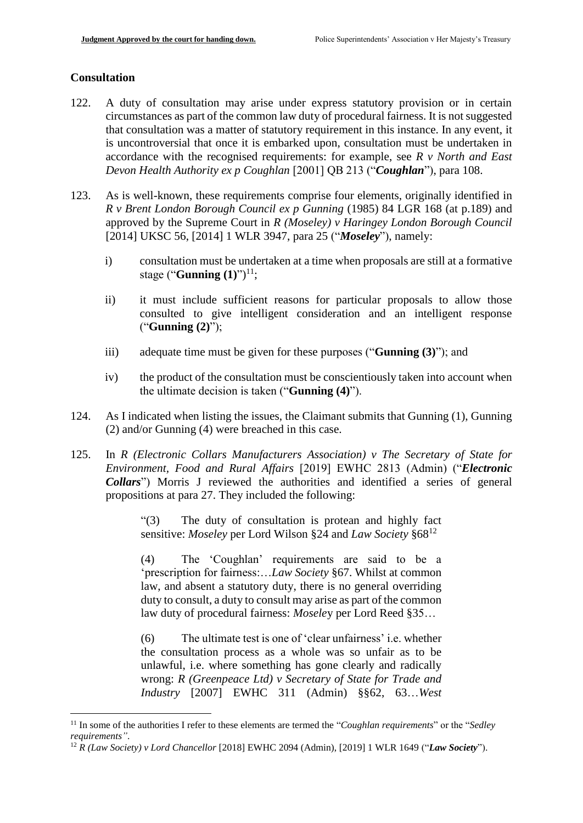## **Consultation**

1

- 122. A duty of consultation may arise under express statutory provision or in certain circumstances as part of the common law duty of procedural fairness. It is not suggested that consultation was a matter of statutory requirement in this instance. In any event, it is uncontroversial that once it is embarked upon, consultation must be undertaken in accordance with the recognised requirements: for example, see *R v North and East Devon Health Authority ex p Coughlan* [2001] QB 213 ("*Coughlan*"), para 108.
- 123. As is well-known, these requirements comprise four elements, originally identified in *R v Brent London Borough Council ex p Gunning* (1985) 84 LGR 168 (at p.189) and approved by the Supreme Court in *R (Moseley) v Haringey London Borough Council* [2014] UKSC 56, [2014] 1 WLR 3947, para 25 ("*Moseley*"), namely:
	- i) consultation must be undertaken at a time when proposals are still at a formative stage ("**Gunning (1)**") 11;
	- ii) it must include sufficient reasons for particular proposals to allow those consulted to give intelligent consideration and an intelligent response ("**Gunning (2)**");
	- iii) adequate time must be given for these purposes ("**Gunning (3)**"); and
	- iv) the product of the consultation must be conscientiously taken into account when the ultimate decision is taken ("**Gunning (4)**").
- 124. As I indicated when listing the issues, the Claimant submits that Gunning (1), Gunning (2) and/or Gunning (4) were breached in this case.
- 125. In *R (Electronic Collars Manufacturers Association) v The Secretary of State for Environment, Food and Rural Affairs* [2019] EWHC 2813 (Admin) ("*Electronic Collars*") Morris J reviewed the authorities and identified a series of general propositions at para 27. They included the following:

"(3) The duty of consultation is protean and highly fact sensitive: *Moseley* per Lord Wilson §24 and *Law Society* §68<sup>12</sup>

(4) The 'Coughlan' requirements are said to be a 'prescription for fairness:…*Law Society* §67. Whilst at common law, and absent a statutory duty, there is no general overriding duty to consult, a duty to consult may arise as part of the common law duty of procedural fairness: *Mosele*y per Lord Reed §35…

(6) The ultimate test is one of 'clear unfairness' i.e. whether the consultation process as a whole was so unfair as to be unlawful, i.e. where something has gone clearly and radically wrong: *R (Greenpeace Ltd) v Secretary of State for Trade and Industry* [2007] EWHC 311 (Admin) §§62, 63…*West* 

<sup>11</sup> In some of the authorities I refer to these elements are termed the "*Coughlan requirements*" or the "*Sedley requirements"*.

<sup>12</sup> *R (Law Society) v Lord Chancellor* [2018] EWHC 2094 (Admin), [2019] 1 WLR 1649 ("*Law Society*").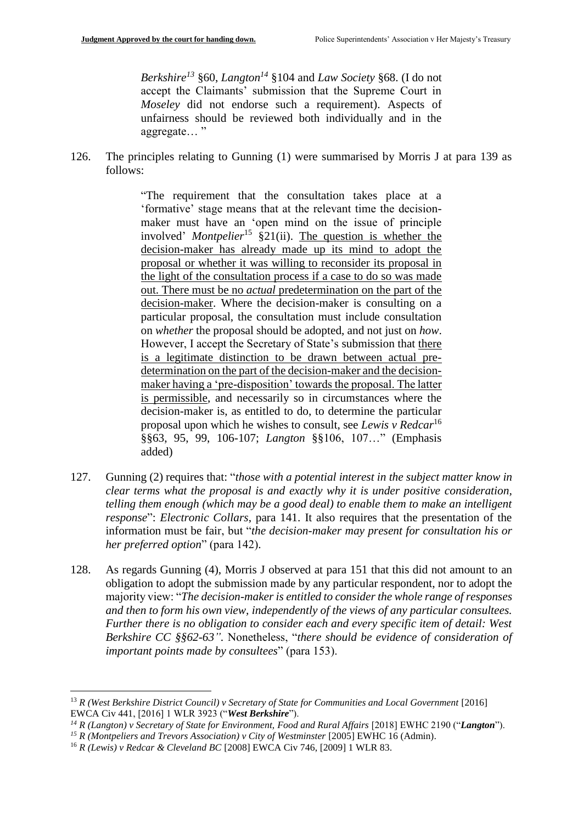*Berkshire<sup>13</sup>* §60, *Langton<sup>14</sup>* §104 and *Law Society* §68. (I do not accept the Claimants' submission that the Supreme Court in *Moseley* did not endorse such a requirement). Aspects of unfairness should be reviewed both individually and in the aggregate… "

126. The principles relating to Gunning (1) were summarised by Morris J at para 139 as follows:

> "The requirement that the consultation takes place at a 'formative' stage means that at the relevant time the decisionmaker must have an 'open mind on the issue of principle involved' *Montpelier*<sup>15</sup> §21(ii). The question is whether the decision-maker has already made up its mind to adopt the proposal or whether it was willing to reconsider its proposal in the light of the consultation process if a case to do so was made out. There must be no *actual* predetermination on the part of the decision-maker. Where the decision-maker is consulting on a particular proposal, the consultation must include consultation on *whether* the proposal should be adopted, and not just on *how*. However, I accept the Secretary of State's submission that there is a legitimate distinction to be drawn between actual predetermination on the part of the decision-maker and the decisionmaker having a 'pre-disposition' towards the proposal. The latter is permissible, and necessarily so in circumstances where the decision-maker is, as entitled to do, to determine the particular proposal upon which he wishes to consult, see *Lewis v Redcar*<sup>16</sup> §§63, 95, 99, 106-107; *Langton* §§106, 107…" (Emphasis added)

- 127. Gunning (2) requires that: "*those with a potential interest in the subject matter know in clear terms what the proposal is and exactly why it is under positive consideration, telling them enough (which may be a good deal) to enable them to make an intelligent response*": *Electronic Collars*, para 141. It also requires that the presentation of the information must be fair, but "*the decision-maker may present for consultation his or her preferred option*" (para 142).
- 128. As regards Gunning (4), Morris J observed at para 151 that this did not amount to an obligation to adopt the submission made by any particular respondent, nor to adopt the majority view: "*The decision-maker is entitled to consider the whole range of responses and then to form his own view, independently of the views of any particular consultees. Further there is no obligation to consider each and every specific item of detail: West Berkshire CC §§62-63".* Nonetheless, "*there should be evidence of consideration of important points made by consultees*" (para 153).

<u>.</u>

<sup>13</sup> *R (West Berkshire District Council) v Secretary of State for Communities and Local Government* [2016] EWCA Civ 441, [2016] 1 WLR 3923 ("*West Berkshire*").

*<sup>14</sup> R (Langton) v Secretary of State for Environment, Food and Rural Affairs* [2018] EWHC 2190 ("*Langton*").

*<sup>15</sup> R (Montpeliers and Trevors Association) v City of Westminster* [2005] EWHC 16 (Admin).

<sup>16</sup> *R (Lewis) v Redcar & Cleveland BC* [2008] EWCA Civ 746, [2009] 1 WLR 83.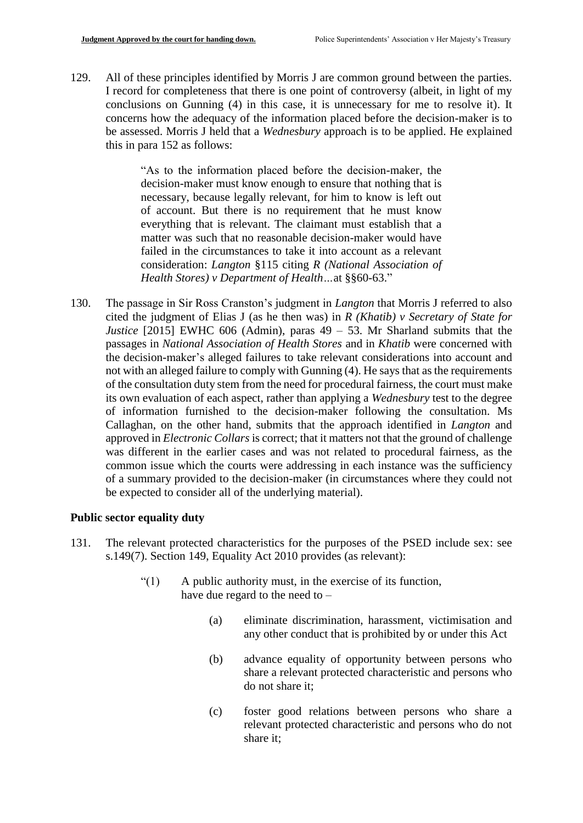129. All of these principles identified by Morris J are common ground between the parties. I record for completeness that there is one point of controversy (albeit, in light of my conclusions on Gunning (4) in this case, it is unnecessary for me to resolve it). It concerns how the adequacy of the information placed before the decision-maker is to be assessed. Morris J held that a *Wednesbury* approach is to be applied. He explained this in para 152 as follows:

> "As to the information placed before the decision-maker, the decision-maker must know enough to ensure that nothing that is necessary, because legally relevant, for him to know is left out of account. But there is no requirement that he must know everything that is relevant. The claimant must establish that a matter was such that no reasonable decision-maker would have failed in the circumstances to take it into account as a relevant consideration: *Langton* §115 citing *R (National Association of Health Stores) v Department of Health…*at §§60-63."

130. The passage in Sir Ross Cranston's judgment in *Langton* that Morris J referred to also cited the judgment of Elias J (as he then was) in *R (Khatib) v Secretary of State for Justice* [2015] EWHC 606 (Admin), paras  $49 - 53$ . Mr Sharland submits that the passages in *National Association of Health Stores* and in *Khatib* were concerned with the decision-maker's alleged failures to take relevant considerations into account and not with an alleged failure to comply with Gunning (4). He says that as the requirements of the consultation duty stem from the need for procedural fairness, the court must make its own evaluation of each aspect, rather than applying a *Wednesbury* test to the degree of information furnished to the decision-maker following the consultation. Ms Callaghan, on the other hand, submits that the approach identified in *Langton* and approved in *Electronic Collars* is correct; that it matters not that the ground of challenge was different in the earlier cases and was not related to procedural fairness, as the common issue which the courts were addressing in each instance was the sufficiency of a summary provided to the decision-maker (in circumstances where they could not be expected to consider all of the underlying material).

#### **Public sector equality duty**

- 131. The relevant protected characteristics for the purposes of the PSED include sex: see s.149(7). Section 149, Equality Act 2010 provides (as relevant):
	- "(1) A public authority must, in the exercise of its function, have due regard to the need to  $-$ 
		- (a) eliminate discrimination, harassment, victimisation and any other conduct that is prohibited by or under this Act
		- (b) advance equality of opportunity between persons who share a relevant protected characteristic and persons who do not share it;
		- (c) foster good relations between persons who share a relevant protected characteristic and persons who do not share it;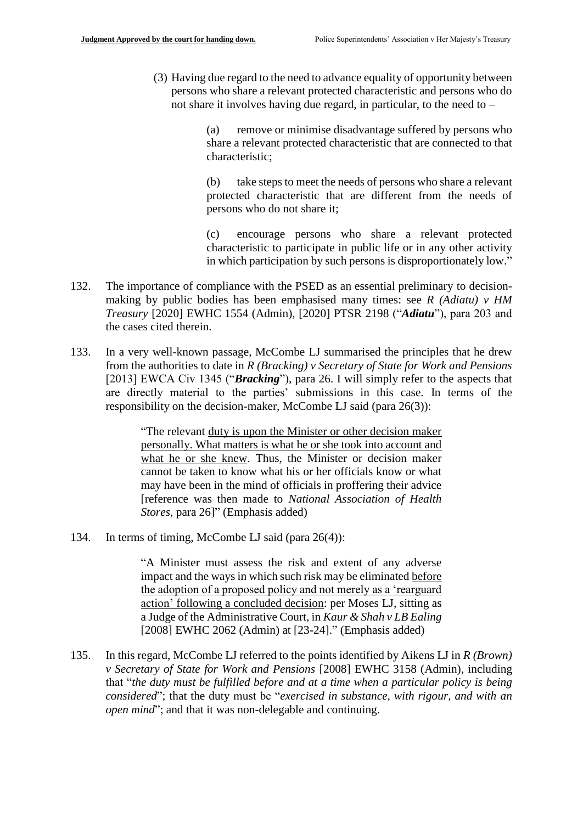(3) Having due regard to the need to advance equality of opportunity between persons who share a relevant protected characteristic and persons who do not share it involves having due regard, in particular, to the need to –

> (a) remove or minimise disadvantage suffered by persons who share a relevant protected characteristic that are connected to that characteristic;

> (b) take steps to meet the needs of persons who share a relevant protected characteristic that are different from the needs of persons who do not share it;

> (c) encourage persons who share a relevant protected characteristic to participate in public life or in any other activity in which participation by such persons is disproportionately low."

- 132. The importance of compliance with the PSED as an essential preliminary to decisionmaking by public bodies has been emphasised many times: see *R (Adiatu) v HM Treasury* [2020] EWHC 1554 (Admin), [2020] PTSR 2198 ("*Adiatu*"), para 203 and the cases cited therein.
- 133. In a very well-known passage, McCombe LJ summarised the principles that he drew from the authorities to date in *R (Bracking) v Secretary of State for Work and Pensions* [2013] EWCA Civ 1345 ("**Bracking**"), para 26. I will simply refer to the aspects that are directly material to the parties' submissions in this case. In terms of the responsibility on the decision-maker, McCombe LJ said (para 26(3)):

"The relevant duty is upon the Minister or other decision maker personally. What matters is what he or she took into account and what he or she knew. Thus, the Minister or decision maker cannot be taken to know what his or her officials know or what may have been in the mind of officials in proffering their advice [reference was then made to *National Association of Health Stores*, para 26]" (Emphasis added)

134. In terms of timing, McCombe LJ said (para 26(4)):

"A Minister must assess the risk and extent of any adverse impact and the ways in which such risk may be eliminated before the adoption of a proposed policy and not merely as a 'rearguard action' following a concluded decision: per Moses LJ, sitting as a Judge of the Administrative Court, in *Kaur & Shah v LB Ealing* [2008] EWHC 2062 (Admin) at [23-24]." (Emphasis added)

135. In this regard, McCombe LJ referred to the points identified by Aikens LJ in *R (Brown) v Secretary of State for Work and Pensions* [2008] EWHC 3158 (Admin), including that "*the duty must be fulfilled before and at a time when a particular policy is being considered*"; that the duty must be "*exercised in substance, with rigour, and with an open mind*"; and that it was non-delegable and continuing.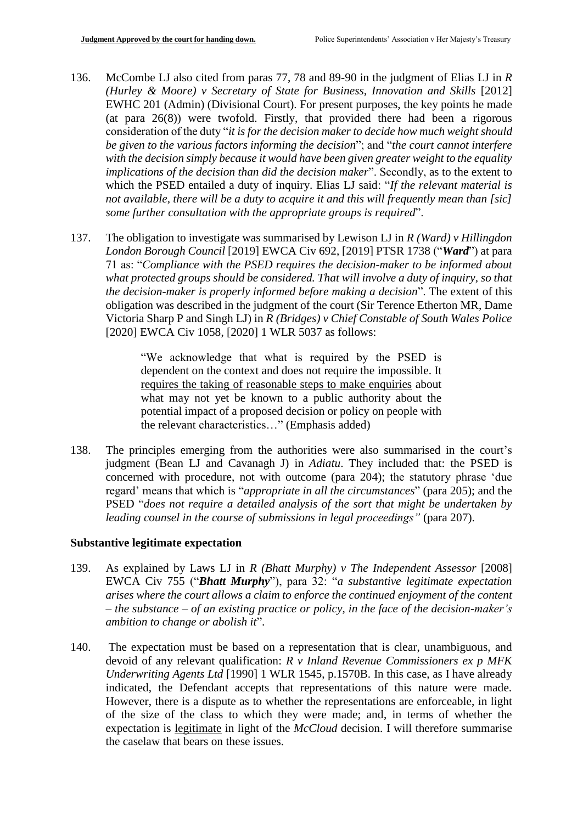- 136. McCombe LJ also cited from paras 77, 78 and 89-90 in the judgment of Elias LJ in *R (Hurley & Moore) v Secretary of State for Business, Innovation and Skills* [2012] EWHC 201 (Admin) (Divisional Court). For present purposes, the key points he made (at para 26(8)) were twofold. Firstly, that provided there had been a rigorous consideration of the duty "*it is for the decision maker to decide how much weight should be given to the various factors informing the decision*"; and "*the court cannot interfere with the decision simply because it would have been given greater weight to the equality implications of the decision than did the decision maker*". Secondly, as to the extent to which the PSED entailed a duty of inquiry. Elias LJ said: "*If the relevant material is not available, there will be a duty to acquire it and this will frequently mean than [sic] some further consultation with the appropriate groups is required*".
- 137. The obligation to investigate was summarised by Lewison LJ in *R (Ward) v Hillingdon London Borough Council* [2019] EWCA Civ 692, [2019] PTSR 1738 ("*Ward*") at para 71 as: "*Compliance with the PSED requires the decision-maker to be informed about what protected groups should be considered. That will involve a duty of inquiry, so that the decision-maker is properly informed before making a decision*". The extent of this obligation was described in the judgment of the court (Sir Terence Etherton MR, Dame Victoria Sharp P and Singh LJ) in *R (Bridges) v Chief Constable of South Wales Police* [2020] EWCA Civ 1058, [2020] 1 WLR 5037 as follows:

"We acknowledge that what is required by the PSED is dependent on the context and does not require the impossible. It requires the taking of reasonable steps to make enquiries about what may not yet be known to a public authority about the potential impact of a proposed decision or policy on people with the relevant characteristics…" (Emphasis added)

138. The principles emerging from the authorities were also summarised in the court's judgment (Bean LJ and Cavanagh J) in *Adiatu*. They included that: the PSED is concerned with procedure, not with outcome (para 204); the statutory phrase 'due regard' means that which is "*appropriate in all the circumstances*" (para 205); and the PSED "*does not require a detailed analysis of the sort that might be undertaken by leading counsel in the course of submissions in legal proceedings"* (para 207).

#### **Substantive legitimate expectation**

- 139. As explained by Laws LJ in *R (Bhatt Murphy) v The Independent Assessor* [2008] EWCA Civ 755 ("*Bhatt Murphy*"), para 32: "*a substantive legitimate expectation arises where the court allows a claim to enforce the continued enjoyment of the content – the substance – of an existing practice or policy, in the face of the decision-maker's ambition to change or abolish it*".
- 140. The expectation must be based on a representation that is clear, unambiguous, and devoid of any relevant qualification: *R v Inland Revenue Commissioners ex p MFK Underwriting Agents Ltd* [1990] 1 WLR 1545, p.1570B. In this case, as I have already indicated, the Defendant accepts that representations of this nature were made. However, there is a dispute as to whether the representations are enforceable, in light of the size of the class to which they were made; and, in terms of whether the expectation is legitimate in light of the *McCloud* decision. I will therefore summarise the caselaw that bears on these issues.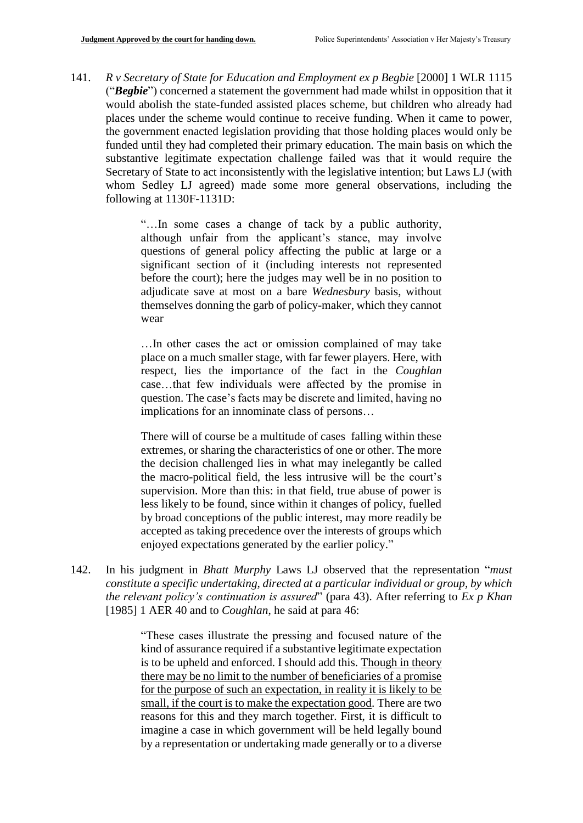141. *R v Secretary of State for Education and Employment ex p Begbie* [2000] 1 WLR 1115 ("*Begbie*") concerned a statement the government had made whilst in opposition that it would abolish the state-funded assisted places scheme, but children who already had places under the scheme would continue to receive funding. When it came to power, the government enacted legislation providing that those holding places would only be funded until they had completed their primary education. The main basis on which the substantive legitimate expectation challenge failed was that it would require the Secretary of State to act inconsistently with the legislative intention; but Laws LJ (with whom Sedley LJ agreed) made some more general observations, including the following at 1130F-1131D:

> "…In some cases a change of tack by a public authority, although unfair from the applicant's stance, may involve questions of general policy affecting the public at large or a significant section of it (including interests not represented before the court); here the judges may well be in no position to adjudicate save at most on a bare *Wednesbury* basis, without themselves donning the garb of policy-maker, which they cannot wear

> …In other cases the act or omission complained of may take place on a much smaller stage, with far fewer players. Here, with respect, lies the importance of the fact in the *Coughlan* case…that few individuals were affected by the promise in question. The case's facts may be discrete and limited, having no implications for an innominate class of persons…

> There will of course be a multitude of cases falling within these extremes, or sharing the characteristics of one or other. The more the decision challenged lies in what may inelegantly be called the macro-political field, the less intrusive will be the court's supervision. More than this: in that field, true abuse of power is less likely to be found, since within it changes of policy, fuelled by broad conceptions of the public interest, may more readily be accepted as taking precedence over the interests of groups which enjoyed expectations generated by the earlier policy."

142. In his judgment in *Bhatt Murphy* Laws LJ observed that the representation "*must constitute a specific undertaking, directed at a particular individual or group, by which the relevant policy's continuation is assured*" (para 43). After referring to *Ex p Khan* [1985] 1 AER 40 and to *Coughlan*, he said at para 46:

> "These cases illustrate the pressing and focused nature of the kind of assurance required if a substantive legitimate expectation is to be upheld and enforced. I should add this. Though in theory there may be no limit to the number of beneficiaries of a promise for the purpose of such an expectation, in reality it is likely to be small, if the court is to make the expectation good. There are two reasons for this and they march together. First, it is difficult to imagine a case in which government will be held legally bound by a representation or undertaking made generally or to a diverse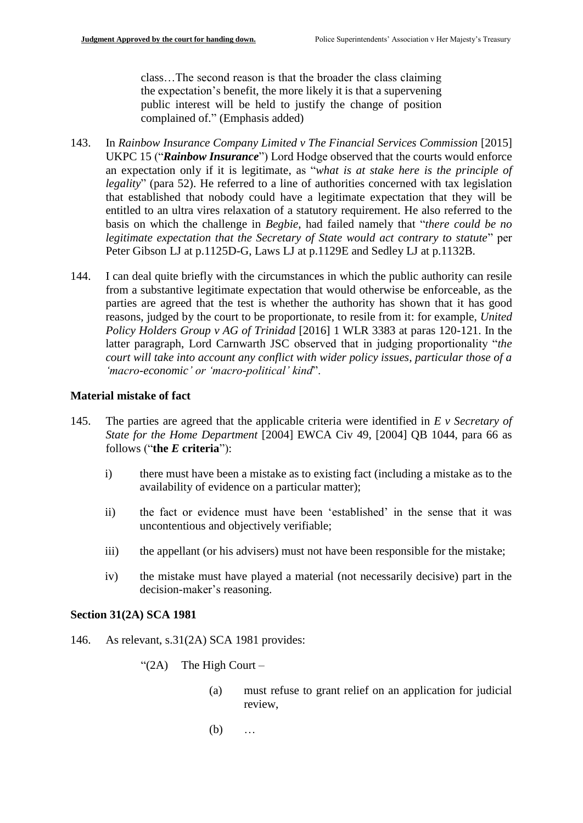class…The second reason is that the broader the class claiming the expectation's benefit, the more likely it is that a supervening public interest will be held to justify the change of position complained of." (Emphasis added)

- 143. In *Rainbow Insurance Company Limited v The Financial Services Commission* [2015] UKPC 15 ("*Rainbow Insurance*") Lord Hodge observed that the courts would enforce an expectation only if it is legitimate, as "*what is at stake here is the principle of legality*" (para 52). He referred to a line of authorities concerned with tax legislation that established that nobody could have a legitimate expectation that they will be entitled to an ultra vires relaxation of a statutory requirement. He also referred to the basis on which the challenge in *Begbie*, had failed namely that "*there could be no legitimate expectation that the Secretary of State would act contrary to statute*" per Peter Gibson LJ at p.1125D-G, Laws LJ at p.1129E and Sedley LJ at p.1132B.
- 144. I can deal quite briefly with the circumstances in which the public authority can resile from a substantive legitimate expectation that would otherwise be enforceable, as the parties are agreed that the test is whether the authority has shown that it has good reasons, judged by the court to be proportionate, to resile from it: for example, *United Policy Holders Group v AG of Trinidad* [2016] 1 WLR 3383 at paras 120-121. In the latter paragraph, Lord Carnwarth JSC observed that in judging proportionality "*the court will take into account any conflict with wider policy issues, particular those of a 'macro-economic' or 'macro-political' kind*".

#### **Material mistake of fact**

- 145. The parties are agreed that the applicable criteria were identified in *E v Secretary of State for the Home Department* [2004] EWCA Civ 49, [2004] QB 1044, para 66 as follows ("**the** *E* **criteria**"):
	- i) there must have been a mistake as to existing fact (including a mistake as to the availability of evidence on a particular matter);
	- ii) the fact or evidence must have been 'established' in the sense that it was uncontentious and objectively verifiable;
	- iii) the appellant (or his advisers) must not have been responsible for the mistake;
	- iv) the mistake must have played a material (not necessarily decisive) part in the decision-maker's reasoning.

#### **Section 31(2A) SCA 1981**

- 146. As relevant, s.31(2A) SCA 1981 provides:
	- " $(2A)$  The High Court
		- (a) must refuse to grant relief on an application for judicial review,
		- (b) …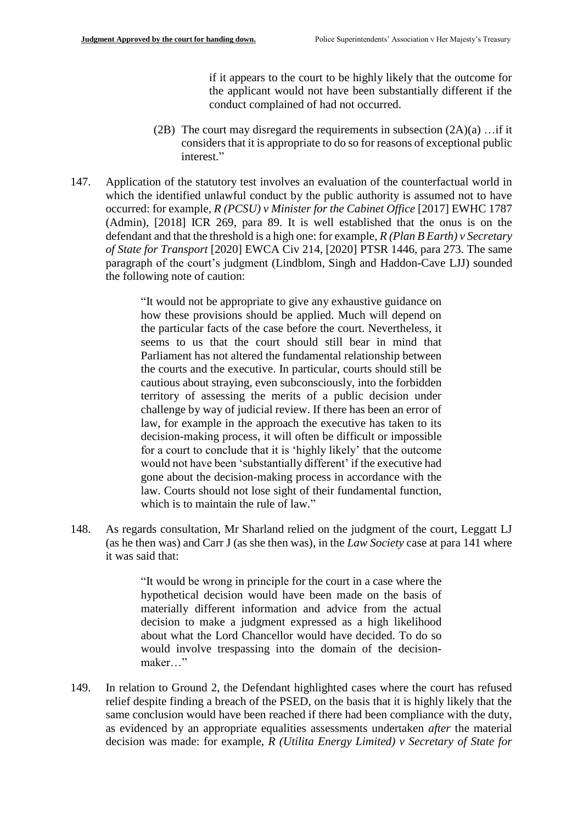if it appears to the court to be highly likely that the outcome for the applicant would not have been substantially different if the conduct complained of had not occurred.

- (2B) The court may disregard the requirements in subsection  $(2A)(a)$ ... if it considers that it is appropriate to do so for reasons of exceptional public interest."
- 147. Application of the statutory test involves an evaluation of the counterfactual world in which the identified unlawful conduct by the public authority is assumed not to have occurred: for example, *R (PCSU) v Minister for the Cabinet Office* [2017] EWHC 1787 (Admin), [2018] ICR 269, para 89. It is well established that the onus is on the defendant and that the threshold is a high one: for example, *R (Plan B Earth) v Secretary of State for Transport* [2020] EWCA Civ 214, [2020] PTSR 1446, para 273. The same paragraph of the court's judgment (Lindblom, Singh and Haddon-Cave LJJ) sounded the following note of caution:

"It would not be appropriate to give any exhaustive guidance on how these provisions should be applied. Much will depend on the particular facts of the case before the court. Nevertheless, it seems to us that the court should still bear in mind that Parliament has not altered the fundamental relationship between the courts and the executive. In particular, courts should still be cautious about straying, even subconsciously, into the forbidden territory of assessing the merits of a public decision under challenge by way of judicial review. If there has been an error of law, for example in the approach the executive has taken to its decision-making process, it will often be difficult or impossible for a court to conclude that it is 'highly likely' that the outcome would not have been 'substantially different' if the executive had gone about the decision-making process in accordance with the law. Courts should not lose sight of their fundamental function, which is to maintain the rule of law."

148. As regards consultation, Mr Sharland relied on the judgment of the court, Leggatt LJ (as he then was) and Carr J (as she then was), in the *Law Society* case at para 141 where it was said that:

> "It would be wrong in principle for the court in a case where the hypothetical decision would have been made on the basis of materially different information and advice from the actual decision to make a judgment expressed as a high likelihood about what the Lord Chancellor would have decided. To do so would involve trespassing into the domain of the decisionmaker…"

149. In relation to Ground 2, the Defendant highlighted cases where the court has refused relief despite finding a breach of the PSED, on the basis that it is highly likely that the same conclusion would have been reached if there had been compliance with the duty, as evidenced by an appropriate equalities assessments undertaken *after* the material decision was made: for example, *R (Utilita Energy Limited) v Secretary of State for*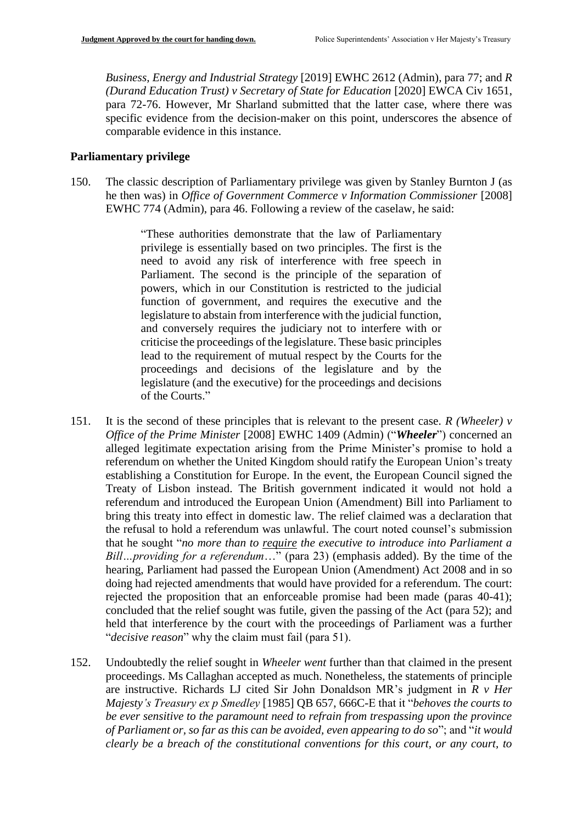*Business, Energy and Industrial Strategy* [2019] EWHC 2612 (Admin), para 77; and *R (Durand Education Trust) v Secretary of State for Education* [2020] EWCA Civ 1651, para 72-76. However, Mr Sharland submitted that the latter case, where there was specific evidence from the decision-maker on this point, underscores the absence of comparable evidence in this instance.

## **Parliamentary privilege**

150. The classic description of Parliamentary privilege was given by Stanley Burnton J (as he then was) in *Office of Government Commerce v Information Commissioner* [2008] EWHC 774 (Admin), para 46. Following a review of the caselaw, he said:

> "These authorities demonstrate that the law of Parliamentary privilege is essentially based on two principles. The first is the need to avoid any risk of interference with free speech in Parliament. The second is the principle of the separation of powers, which in our Constitution is restricted to the judicial function of government, and requires the executive and the legislature to abstain from interference with the judicial function, and conversely requires the judiciary not to interfere with or criticise the proceedings of the legislature. These basic principles lead to the requirement of mutual respect by the Courts for the proceedings and decisions of the legislature and by the legislature (and the executive) for the proceedings and decisions of the Courts."

- 151. It is the second of these principles that is relevant to the present case. *R (Wheeler) v Office of the Prime Minister* [2008] EWHC 1409 (Admin) ("*Wheeler*") concerned an alleged legitimate expectation arising from the Prime Minister's promise to hold a referendum on whether the United Kingdom should ratify the European Union's treaty establishing a Constitution for Europe. In the event, the European Council signed the Treaty of Lisbon instead. The British government indicated it would not hold a referendum and introduced the European Union (Amendment) Bill into Parliament to bring this treaty into effect in domestic law. The relief claimed was a declaration that the refusal to hold a referendum was unlawful. The court noted counsel's submission that he sought "*no more than to require the executive to introduce into Parliament a Bill…providing for a referendum*…" (para 23) (emphasis added). By the time of the hearing, Parliament had passed the European Union (Amendment) Act 2008 and in so doing had rejected amendments that would have provided for a referendum. The court: rejected the proposition that an enforceable promise had been made (paras 40-41); concluded that the relief sought was futile, given the passing of the Act (para 52); and held that interference by the court with the proceedings of Parliament was a further "*decisive reason*" why the claim must fail (para 51).
- 152. Undoubtedly the relief sought in *Wheeler went* further than that claimed in the present proceedings. Ms Callaghan accepted as much. Nonetheless, the statements of principle are instructive. Richards LJ cited Sir John Donaldson MR's judgment in *R v Her Majesty's Treasury ex p Smedley* [1985] QB 657, 666C-E that it "*behoves the courts to be ever sensitive to the paramount need to refrain from trespassing upon the province of Parliament or, so far as this can be avoided, even appearing to do so*"; and "*it would clearly be a breach of the constitutional conventions for this court, or any court, to*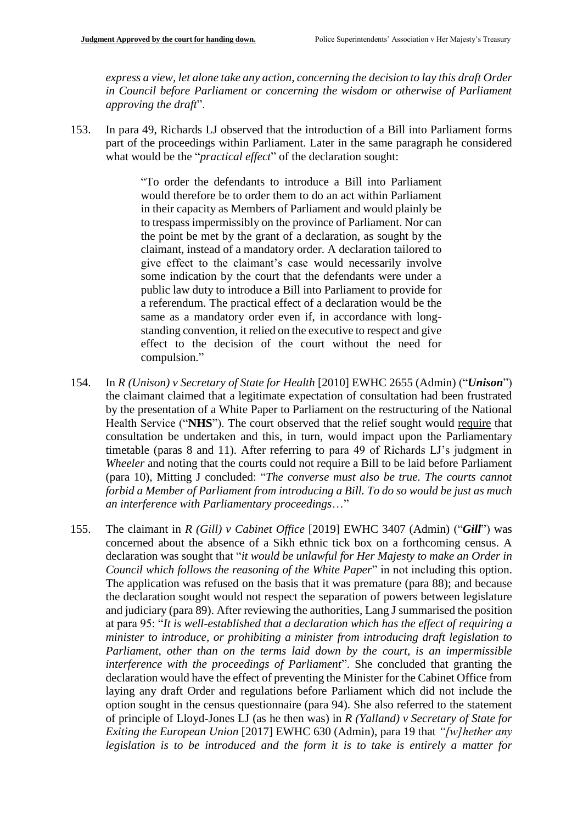*express a view, let alone take any action, concerning the decision to lay this draft Order in Council before Parliament or concerning the wisdom or otherwise of Parliament approving the draft*".

153. In para 49, Richards LJ observed that the introduction of a Bill into Parliament forms part of the proceedings within Parliament. Later in the same paragraph he considered what would be the "*practical effect*" of the declaration sought:

> "To order the defendants to introduce a Bill into Parliament would therefore be to order them to do an act within Parliament in their capacity as Members of Parliament and would plainly be to trespass impermissibly on the province of Parliament. Nor can the point be met by the grant of a declaration, as sought by the claimant, instead of a mandatory order. A declaration tailored to give effect to the claimant's case would necessarily involve some indication by the court that the defendants were under a public law duty to introduce a Bill into Parliament to provide for a referendum. The practical effect of a declaration would be the same as a mandatory order even if, in accordance with longstanding convention, it relied on the executive to respect and give effect to the decision of the court without the need for compulsion."

- 154. In *R (Unison) v Secretary of State for Health* [2010] EWHC 2655 (Admin) ("*Unison*") the claimant claimed that a legitimate expectation of consultation had been frustrated by the presentation of a White Paper to Parliament on the restructuring of the National Health Service ("**NHS**"). The court observed that the relief sought would require that consultation be undertaken and this, in turn, would impact upon the Parliamentary timetable (paras 8 and 11). After referring to para 49 of Richards LJ's judgment in *Wheeler* and noting that the courts could not require a Bill to be laid before Parliament (para 10), Mitting J concluded: "*The converse must also be true. The courts cannot forbid a Member of Parliament from introducing a Bill. To do so would be just as much an interference with Parliamentary proceedings*…"
- 155. The claimant in *R (Gill) v Cabinet Office* [2019] EWHC 3407 (Admin) ("*Gill*") was concerned about the absence of a Sikh ethnic tick box on a forthcoming census. A declaration was sought that "*it would be unlawful for Her Majesty to make an Order in Council which follows the reasoning of the White Paper*" in not including this option. The application was refused on the basis that it was premature (para 88); and because the declaration sought would not respect the separation of powers between legislature and judiciary (para 89). After reviewing the authorities, Lang J summarised the position at para 95: "*It is well-established that a declaration which has the effect of requiring a minister to introduce, or prohibiting a minister from introducing draft legislation to Parliament, other than on the terms laid down by the court, is an impermissible interference with the proceedings of Parliament*". She concluded that granting the declaration would have the effect of preventing the Minister for the Cabinet Office from laying any draft Order and regulations before Parliament which did not include the option sought in the census questionnaire (para 94). She also referred to the statement of principle of Lloyd-Jones LJ (as he then was) in *R (Yalland) v Secretary of State for Exiting the European Union* [2017] EWHC 630 (Admin), para 19 that *"[w]hether any legislation is to be introduced and the form it is to take is entirely a matter for*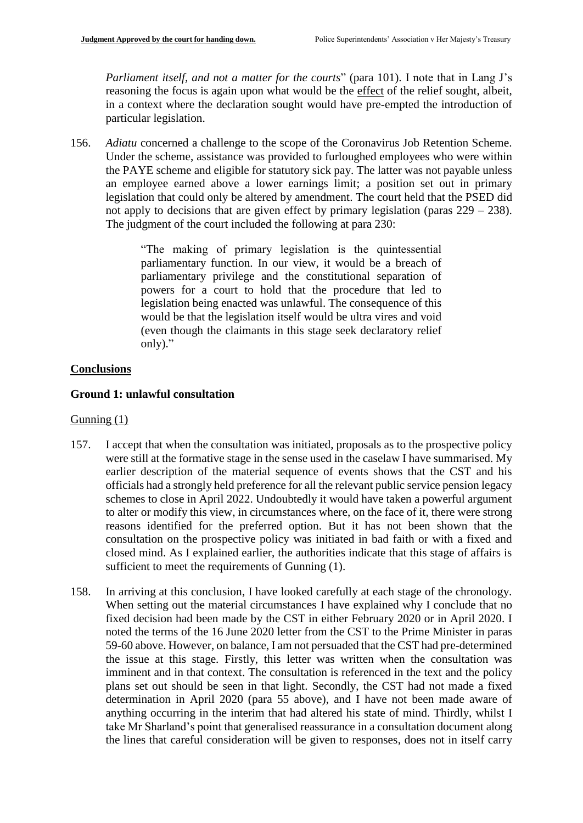*Parliament itself, and not a matter for the courts*" (para 101). I note that in Lang J's reasoning the focus is again upon what would be the effect of the relief sought, albeit, in a context where the declaration sought would have pre-empted the introduction of particular legislation.

156. *Adiatu* concerned a challenge to the scope of the Coronavirus Job Retention Scheme. Under the scheme, assistance was provided to furloughed employees who were within the PAYE scheme and eligible for statutory sick pay. The latter was not payable unless an employee earned above a lower earnings limit; a position set out in primary legislation that could only be altered by amendment. The court held that the PSED did not apply to decisions that are given effect by primary legislation (paras  $229 - 238$ ). The judgment of the court included the following at para 230:

> "The making of primary legislation is the quintessential parliamentary function. In our view, it would be a breach of parliamentary privilege and the constitutional separation of powers for a court to hold that the procedure that led to legislation being enacted was unlawful. The consequence of this would be that the legislation itself would be ultra vires and void (even though the claimants in this stage seek declaratory relief only)."

# **Conclusions**

## **Ground 1: unlawful consultation**

# Gunning (1)

- 157. I accept that when the consultation was initiated, proposals as to the prospective policy were still at the formative stage in the sense used in the caselaw I have summarised. My earlier description of the material sequence of events shows that the CST and his officials had a strongly held preference for all the relevant public service pension legacy schemes to close in April 2022. Undoubtedly it would have taken a powerful argument to alter or modify this view, in circumstances where, on the face of it, there were strong reasons identified for the preferred option. But it has not been shown that the consultation on the prospective policy was initiated in bad faith or with a fixed and closed mind. As I explained earlier, the authorities indicate that this stage of affairs is sufficient to meet the requirements of Gunning (1).
- 158. In arriving at this conclusion, I have looked carefully at each stage of the chronology. When setting out the material circumstances I have explained why I conclude that no fixed decision had been made by the CST in either February 2020 or in April 2020. I noted the terms of the 16 June 2020 letter from the CST to the Prime Minister in paras 59-60 above. However, on balance, I am not persuaded that the CST had pre-determined the issue at this stage. Firstly, this letter was written when the consultation was imminent and in that context. The consultation is referenced in the text and the policy plans set out should be seen in that light. Secondly, the CST had not made a fixed determination in April 2020 (para 55 above), and I have not been made aware of anything occurring in the interim that had altered his state of mind. Thirdly, whilst I take Mr Sharland's point that generalised reassurance in a consultation document along the lines that careful consideration will be given to responses, does not in itself carry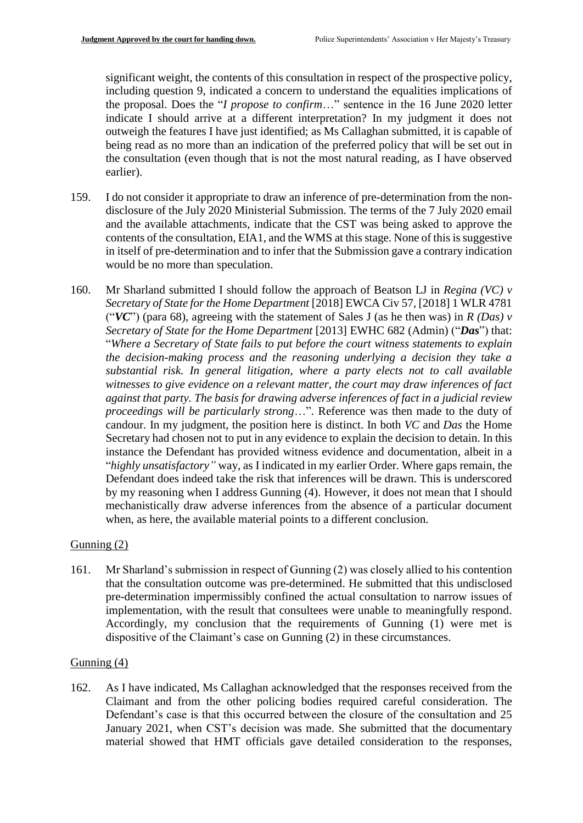significant weight, the contents of this consultation in respect of the prospective policy, including question 9, indicated a concern to understand the equalities implications of the proposal. Does the "*I propose to confirm*…" sentence in the 16 June 2020 letter indicate I should arrive at a different interpretation? In my judgment it does not outweigh the features I have just identified; as Ms Callaghan submitted, it is capable of being read as no more than an indication of the preferred policy that will be set out in the consultation (even though that is not the most natural reading, as I have observed earlier).

- 159. I do not consider it appropriate to draw an inference of pre-determination from the nondisclosure of the July 2020 Ministerial Submission. The terms of the 7 July 2020 email and the available attachments, indicate that the CST was being asked to approve the contents of the consultation, EIA1, and the WMS at this stage. None of this is suggestive in itself of pre-determination and to infer that the Submission gave a contrary indication would be no more than speculation.
- 160. Mr Sharland submitted I should follow the approach of Beatson LJ in *Regina (VC) v Secretary of State for the Home Department* [2018] EWCA Civ 57, [2018] 1 WLR 4781 ("*VC*") (para 68), agreeing with the statement of Sales J (as he then was) in *R (Das) v Secretary of State for the Home Department* [2013] EWHC 682 (Admin) ("*Das*") that: "*Where a Secretary of State fails to put before the court witness statements to explain the decision-making process and the reasoning underlying a decision they take a substantial risk. In general litigation, where a party elects not to call available witnesses to give evidence on a relevant matter, the court may draw inferences of fact against that party. The basis for drawing adverse inferences of fact in a judicial review proceedings will be particularly strong*…". Reference was then made to the duty of candour. In my judgment, the position here is distinct. In both *VC* and *Das* the Home Secretary had chosen not to put in any evidence to explain the decision to detain. In this instance the Defendant has provided witness evidence and documentation, albeit in a "*highly unsatisfactory"* way, as I indicated in my earlier Order. Where gaps remain, the Defendant does indeed take the risk that inferences will be drawn. This is underscored by my reasoning when I address Gunning (4). However, it does not mean that I should mechanistically draw adverse inferences from the absence of a particular document when, as here, the available material points to a different conclusion.

# Gunning (2)

161. Mr Sharland's submission in respect of Gunning (2) was closely allied to his contention that the consultation outcome was pre-determined. He submitted that this undisclosed pre-determination impermissibly confined the actual consultation to narrow issues of implementation, with the result that consultees were unable to meaningfully respond. Accordingly, my conclusion that the requirements of Gunning (1) were met is dispositive of the Claimant's case on Gunning (2) in these circumstances.

# Gunning (4)

162. As I have indicated, Ms Callaghan acknowledged that the responses received from the Claimant and from the other policing bodies required careful consideration. The Defendant's case is that this occurred between the closure of the consultation and 25 January 2021, when CST's decision was made. She submitted that the documentary material showed that HMT officials gave detailed consideration to the responses,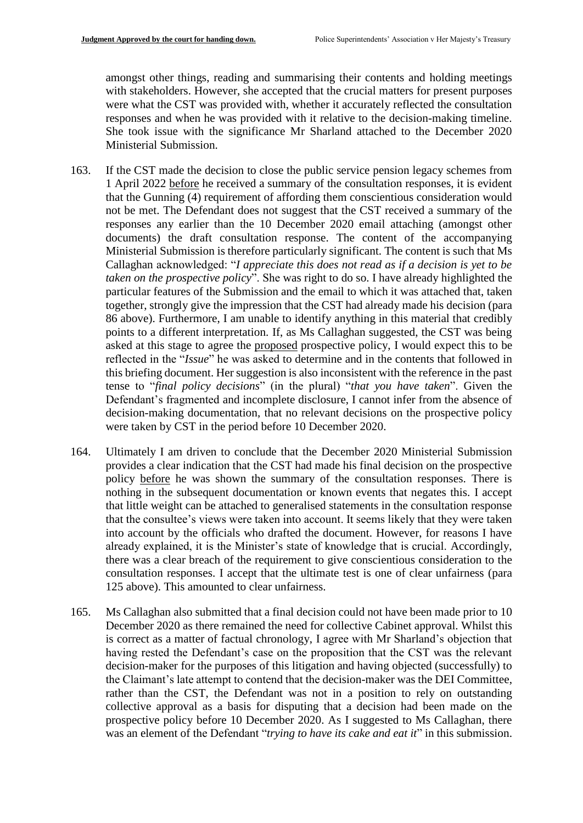amongst other things, reading and summarising their contents and holding meetings with stakeholders. However, she accepted that the crucial matters for present purposes were what the CST was provided with, whether it accurately reflected the consultation responses and when he was provided with it relative to the decision-making timeline. She took issue with the significance Mr Sharland attached to the December 2020 Ministerial Submission.

- 163. If the CST made the decision to close the public service pension legacy schemes from 1 April 2022 before he received a summary of the consultation responses, it is evident that the Gunning (4) requirement of affording them conscientious consideration would not be met. The Defendant does not suggest that the CST received a summary of the responses any earlier than the 10 December 2020 email attaching (amongst other documents) the draft consultation response. The content of the accompanying Ministerial Submission is therefore particularly significant. The content is such that Ms Callaghan acknowledged: "*I appreciate this does not read as if a decision is yet to be taken on the prospective policy*". She was right to do so. I have already highlighted the particular features of the Submission and the email to which it was attached that, taken together, strongly give the impression that the CST had already made his decision (para 86 above). Furthermore, I am unable to identify anything in this material that credibly points to a different interpretation. If, as Ms Callaghan suggested, the CST was being asked at this stage to agree the proposed prospective policy, I would expect this to be reflected in the "*Issue*" he was asked to determine and in the contents that followed in this briefing document. Her suggestion is also inconsistent with the reference in the past tense to "*final policy decisions*" (in the plural) "*that you have taken*". Given the Defendant's fragmented and incomplete disclosure, I cannot infer from the absence of decision-making documentation, that no relevant decisions on the prospective policy were taken by CST in the period before 10 December 2020.
- 164. Ultimately I am driven to conclude that the December 2020 Ministerial Submission provides a clear indication that the CST had made his final decision on the prospective policy before he was shown the summary of the consultation responses. There is nothing in the subsequent documentation or known events that negates this. I accept that little weight can be attached to generalised statements in the consultation response that the consultee's views were taken into account. It seems likely that they were taken into account by the officials who drafted the document. However, for reasons I have already explained, it is the Minister's state of knowledge that is crucial. Accordingly, there was a clear breach of the requirement to give conscientious consideration to the consultation responses. I accept that the ultimate test is one of clear unfairness (para 125 above). This amounted to clear unfairness.
- 165. Ms Callaghan also submitted that a final decision could not have been made prior to 10 December 2020 as there remained the need for collective Cabinet approval. Whilst this is correct as a matter of factual chronology, I agree with Mr Sharland's objection that having rested the Defendant's case on the proposition that the CST was the relevant decision-maker for the purposes of this litigation and having objected (successfully) to the Claimant's late attempt to contend that the decision-maker was the DEI Committee, rather than the CST, the Defendant was not in a position to rely on outstanding collective approval as a basis for disputing that a decision had been made on the prospective policy before 10 December 2020. As I suggested to Ms Callaghan, there was an element of the Defendant "*trying to have its cake and eat it*" in this submission.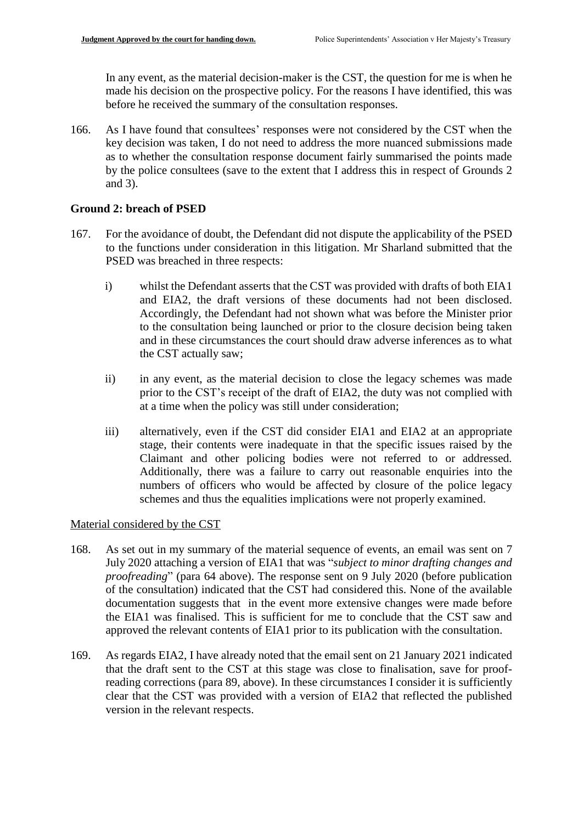In any event, as the material decision-maker is the CST, the question for me is when he made his decision on the prospective policy. For the reasons I have identified, this was before he received the summary of the consultation responses.

166. As I have found that consultees' responses were not considered by the CST when the key decision was taken, I do not need to address the more nuanced submissions made as to whether the consultation response document fairly summarised the points made by the police consultees (save to the extent that I address this in respect of Grounds 2 and 3).

## **Ground 2: breach of PSED**

- 167. For the avoidance of doubt, the Defendant did not dispute the applicability of the PSED to the functions under consideration in this litigation. Mr Sharland submitted that the PSED was breached in three respects:
	- i) whilst the Defendant asserts that the CST was provided with drafts of both EIA1 and EIA2, the draft versions of these documents had not been disclosed. Accordingly, the Defendant had not shown what was before the Minister prior to the consultation being launched or prior to the closure decision being taken and in these circumstances the court should draw adverse inferences as to what the CST actually saw;
	- ii) in any event, as the material decision to close the legacy schemes was made prior to the CST's receipt of the draft of EIA2, the duty was not complied with at a time when the policy was still under consideration;
	- iii) alternatively, even if the CST did consider EIA1 and EIA2 at an appropriate stage, their contents were inadequate in that the specific issues raised by the Claimant and other policing bodies were not referred to or addressed. Additionally, there was a failure to carry out reasonable enquiries into the numbers of officers who would be affected by closure of the police legacy schemes and thus the equalities implications were not properly examined.

## Material considered by the CST

- 168. As set out in my summary of the material sequence of events, an email was sent on 7 July 2020 attaching a version of EIA1 that was "*subject to minor drafting changes and proofreading*" (para 64 above). The response sent on 9 July 2020 (before publication of the consultation) indicated that the CST had considered this. None of the available documentation suggests that in the event more extensive changes were made before the EIA1 was finalised. This is sufficient for me to conclude that the CST saw and approved the relevant contents of EIA1 prior to its publication with the consultation.
- 169. As regards EIA2, I have already noted that the email sent on 21 January 2021 indicated that the draft sent to the CST at this stage was close to finalisation, save for proofreading corrections (para 89, above). In these circumstances I consider it is sufficiently clear that the CST was provided with a version of EIA2 that reflected the published version in the relevant respects.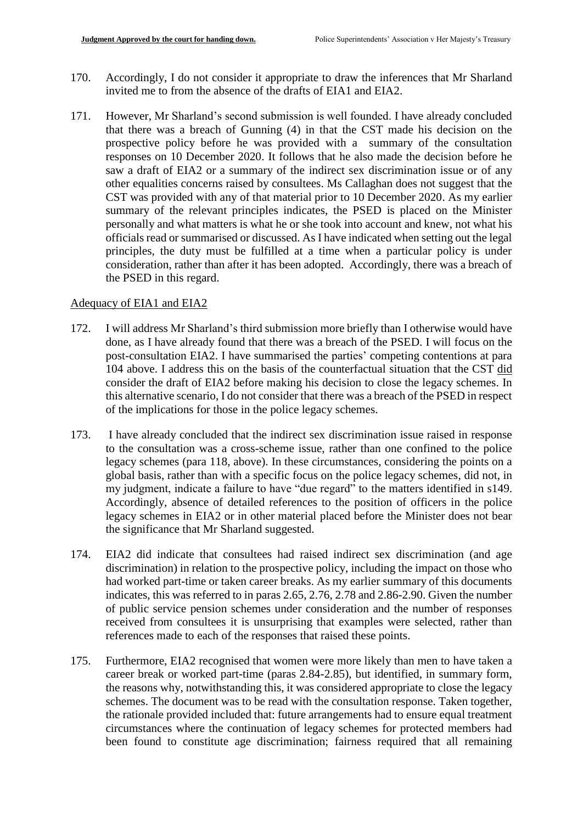- 170. Accordingly, I do not consider it appropriate to draw the inferences that Mr Sharland invited me to from the absence of the drafts of EIA1 and EIA2.
- 171. However, Mr Sharland's second submission is well founded. I have already concluded that there was a breach of Gunning (4) in that the CST made his decision on the prospective policy before he was provided with a summary of the consultation responses on 10 December 2020. It follows that he also made the decision before he saw a draft of EIA2 or a summary of the indirect sex discrimination issue or of any other equalities concerns raised by consultees. Ms Callaghan does not suggest that the CST was provided with any of that material prior to 10 December 2020. As my earlier summary of the relevant principles indicates, the PSED is placed on the Minister personally and what matters is what he or she took into account and knew, not what his officials read or summarised or discussed. As I have indicated when setting out the legal principles, the duty must be fulfilled at a time when a particular policy is under consideration, rather than after it has been adopted. Accordingly, there was a breach of the PSED in this regard.

## Adequacy of EIA1 and EIA2

- 172. I will address Mr Sharland's third submission more briefly than I otherwise would have done, as I have already found that there was a breach of the PSED. I will focus on the post-consultation EIA2. I have summarised the parties' competing contentions at para 104 above. I address this on the basis of the counterfactual situation that the CST did consider the draft of EIA2 before making his decision to close the legacy schemes. In this alternative scenario, I do not consider that there was a breach of the PSED in respect of the implications for those in the police legacy schemes.
- 173. I have already concluded that the indirect sex discrimination issue raised in response to the consultation was a cross-scheme issue, rather than one confined to the police legacy schemes (para 118, above). In these circumstances, considering the points on a global basis, rather than with a specific focus on the police legacy schemes, did not, in my judgment, indicate a failure to have "due regard" to the matters identified in s149. Accordingly, absence of detailed references to the position of officers in the police legacy schemes in EIA2 or in other material placed before the Minister does not bear the significance that Mr Sharland suggested.
- 174. EIA2 did indicate that consultees had raised indirect sex discrimination (and age discrimination) in relation to the prospective policy, including the impact on those who had worked part-time or taken career breaks. As my earlier summary of this documents indicates, this was referred to in paras 2.65, 2.76, 2.78 and 2.86-2.90. Given the number of public service pension schemes under consideration and the number of responses received from consultees it is unsurprising that examples were selected, rather than references made to each of the responses that raised these points.
- 175. Furthermore, EIA2 recognised that women were more likely than men to have taken a career break or worked part-time (paras 2.84-2.85), but identified, in summary form, the reasons why, notwithstanding this, it was considered appropriate to close the legacy schemes. The document was to be read with the consultation response. Taken together, the rationale provided included that: future arrangements had to ensure equal treatment circumstances where the continuation of legacy schemes for protected members had been found to constitute age discrimination; fairness required that all remaining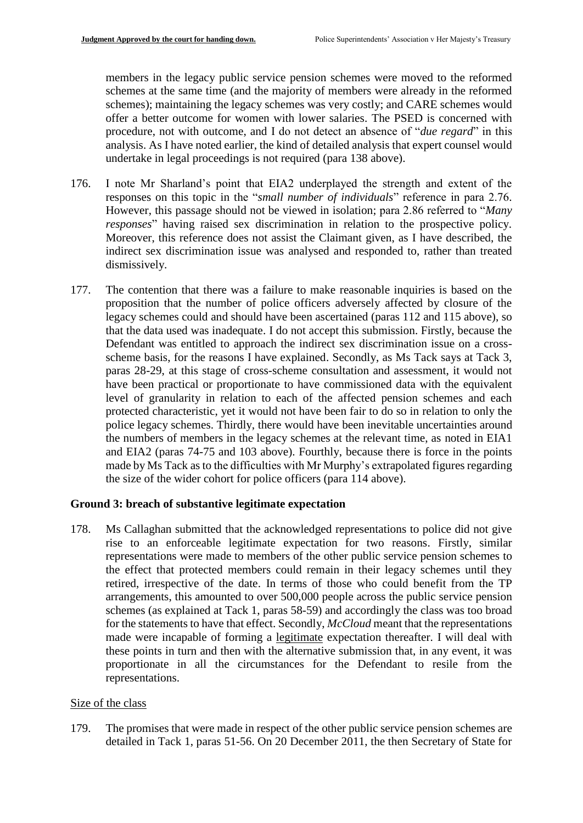members in the legacy public service pension schemes were moved to the reformed schemes at the same time (and the majority of members were already in the reformed schemes); maintaining the legacy schemes was very costly; and CARE schemes would offer a better outcome for women with lower salaries. The PSED is concerned with procedure, not with outcome, and I do not detect an absence of "*due regard*" in this analysis. As I have noted earlier, the kind of detailed analysis that expert counsel would undertake in legal proceedings is not required (para 138 above).

- 176. I note Mr Sharland's point that EIA2 underplayed the strength and extent of the responses on this topic in the "*small number of individuals*" reference in para 2.76. However, this passage should not be viewed in isolation; para 2.86 referred to "*Many responses*" having raised sex discrimination in relation to the prospective policy. Moreover, this reference does not assist the Claimant given, as I have described, the indirect sex discrimination issue was analysed and responded to, rather than treated dismissively.
- 177. The contention that there was a failure to make reasonable inquiries is based on the proposition that the number of police officers adversely affected by closure of the legacy schemes could and should have been ascertained (paras 112 and 115 above), so that the data used was inadequate. I do not accept this submission. Firstly, because the Defendant was entitled to approach the indirect sex discrimination issue on a crossscheme basis, for the reasons I have explained. Secondly, as Ms Tack says at Tack 3, paras 28-29, at this stage of cross-scheme consultation and assessment, it would not have been practical or proportionate to have commissioned data with the equivalent level of granularity in relation to each of the affected pension schemes and each protected characteristic, yet it would not have been fair to do so in relation to only the police legacy schemes. Thirdly, there would have been inevitable uncertainties around the numbers of members in the legacy schemes at the relevant time, as noted in EIA1 and EIA2 (paras 74-75 and 103 above). Fourthly, because there is force in the points made by Ms Tack as to the difficulties with Mr Murphy's extrapolated figures regarding the size of the wider cohort for police officers (para 114 above).

## **Ground 3: breach of substantive legitimate expectation**

178. Ms Callaghan submitted that the acknowledged representations to police did not give rise to an enforceable legitimate expectation for two reasons. Firstly, similar representations were made to members of the other public service pension schemes to the effect that protected members could remain in their legacy schemes until they retired, irrespective of the date. In terms of those who could benefit from the TP arrangements, this amounted to over 500,000 people across the public service pension schemes (as explained at Tack 1, paras 58-59) and accordingly the class was too broad for the statements to have that effect. Secondly, *McCloud* meant that the representations made were incapable of forming a legitimate expectation thereafter. I will deal with these points in turn and then with the alternative submission that, in any event, it was proportionate in all the circumstances for the Defendant to resile from the representations.

## Size of the class

179. The promises that were made in respect of the other public service pension schemes are detailed in Tack 1, paras 51-56. On 20 December 2011, the then Secretary of State for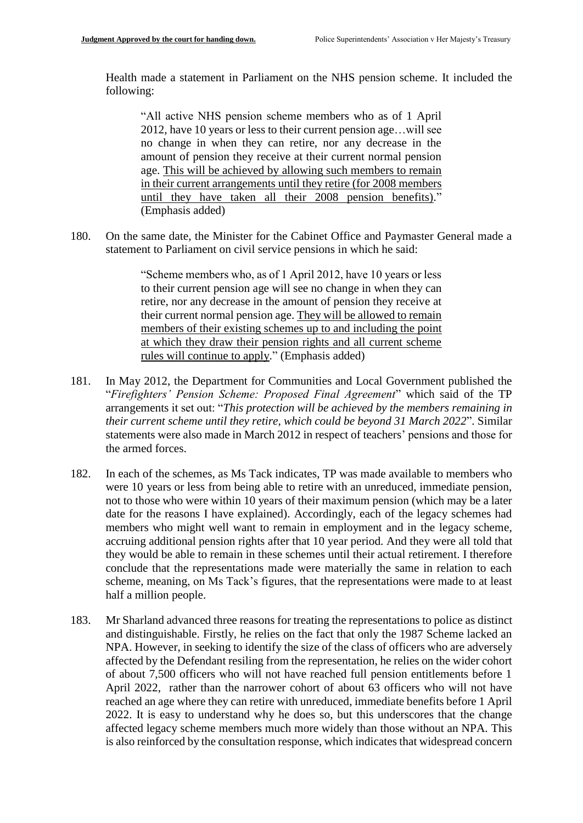Health made a statement in Parliament on the NHS pension scheme. It included the following:

"All active NHS pension scheme members who as of 1 April 2012, have 10 years or less to their current pension age…will see no change in when they can retire, nor any decrease in the amount of pension they receive at their current normal pension age. This will be achieved by allowing such members to remain in their current arrangements until they retire (for 2008 members until they have taken all their 2008 pension benefits)." (Emphasis added)

180. On the same date, the Minister for the Cabinet Office and Paymaster General made a statement to Parliament on civil service pensions in which he said:

> "Scheme members who, as of 1 April 2012, have 10 years or less to their current pension age will see no change in when they can retire, nor any decrease in the amount of pension they receive at their current normal pension age. They will be allowed to remain members of their existing schemes up to and including the point at which they draw their pension rights and all current scheme rules will continue to apply." (Emphasis added)

- 181. In May 2012, the Department for Communities and Local Government published the "*Firefighters' Pension Scheme: Proposed Final Agreement*" which said of the TP arrangements it set out: "*This protection will be achieved by the members remaining in their current scheme until they retire, which could be beyond 31 March 2022*". Similar statements were also made in March 2012 in respect of teachers' pensions and those for the armed forces.
- 182. In each of the schemes, as Ms Tack indicates, TP was made available to members who were 10 years or less from being able to retire with an unreduced, immediate pension, not to those who were within 10 years of their maximum pension (which may be a later date for the reasons I have explained). Accordingly, each of the legacy schemes had members who might well want to remain in employment and in the legacy scheme, accruing additional pension rights after that 10 year period. And they were all told that they would be able to remain in these schemes until their actual retirement. I therefore conclude that the representations made were materially the same in relation to each scheme, meaning, on Ms Tack's figures, that the representations were made to at least half a million people.
- 183. Mr Sharland advanced three reasons for treating the representations to police as distinct and distinguishable. Firstly, he relies on the fact that only the 1987 Scheme lacked an NPA. However, in seeking to identify the size of the class of officers who are adversely affected by the Defendant resiling from the representation, he relies on the wider cohort of about 7,500 officers who will not have reached full pension entitlements before 1 April 2022, rather than the narrower cohort of about 63 officers who will not have reached an age where they can retire with unreduced, immediate benefits before 1 April 2022. It is easy to understand why he does so, but this underscores that the change affected legacy scheme members much more widely than those without an NPA. This is also reinforced by the consultation response, which indicates that widespread concern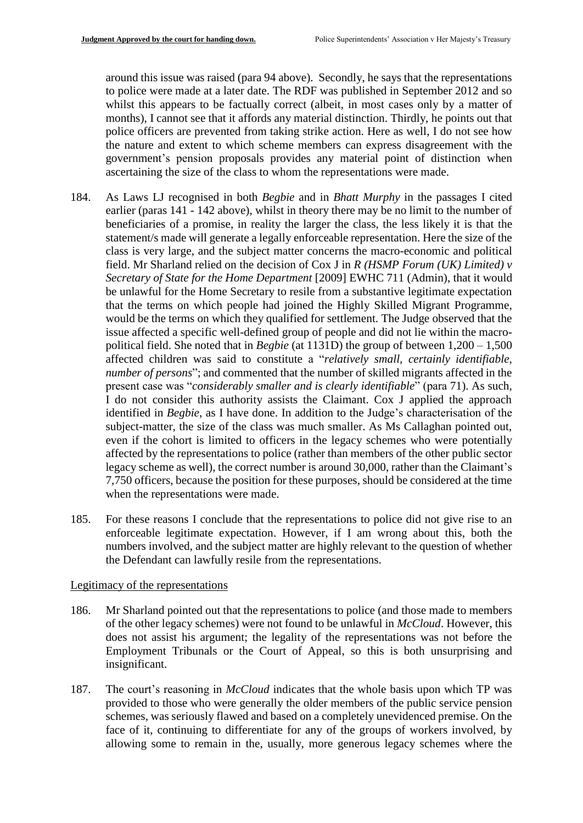around this issue was raised (para 94 above). Secondly, he says that the representations to police were made at a later date. The RDF was published in September 2012 and so whilst this appears to be factually correct (albeit, in most cases only by a matter of months), I cannot see that it affords any material distinction. Thirdly, he points out that police officers are prevented from taking strike action. Here as well, I do not see how the nature and extent to which scheme members can express disagreement with the government's pension proposals provides any material point of distinction when ascertaining the size of the class to whom the representations were made.

- 184. As Laws LJ recognised in both *Begbie* and in *Bhatt Murphy* in the passages I cited earlier (paras 141 - 142 above), whilst in theory there may be no limit to the number of beneficiaries of a promise, in reality the larger the class, the less likely it is that the statement/s made will generate a legally enforceable representation. Here the size of the class is very large, and the subject matter concerns the macro-economic and political field. Mr Sharland relied on the decision of Cox J in *R (HSMP Forum (UK) Limited) v Secretary of State for the Home Department* [2009] EWHC 711 (Admin), that it would be unlawful for the Home Secretary to resile from a substantive legitimate expectation that the terms on which people had joined the Highly Skilled Migrant Programme, would be the terms on which they qualified for settlement. The Judge observed that the issue affected a specific well-defined group of people and did not lie within the macropolitical field. She noted that in *Begbie* (at 1131D) the group of between 1,200 – 1,500 affected children was said to constitute a "*relatively small, certainly identifiable, number of persons*"; and commented that the number of skilled migrants affected in the present case was "*considerably smaller and is clearly identifiable*" (para 71). As such, I do not consider this authority assists the Claimant. Cox J applied the approach identified in *Begbie*, as I have done. In addition to the Judge's characterisation of the subject-matter, the size of the class was much smaller. As Ms Callaghan pointed out, even if the cohort is limited to officers in the legacy schemes who were potentially affected by the representations to police (rather than members of the other public sector legacy scheme as well), the correct number is around 30,000, rather than the Claimant's 7,750 officers, because the position for these purposes, should be considered at the time when the representations were made.
- 185. For these reasons I conclude that the representations to police did not give rise to an enforceable legitimate expectation. However, if I am wrong about this, both the numbers involved, and the subject matter are highly relevant to the question of whether the Defendant can lawfully resile from the representations.

## Legitimacy of the representations

- 186. Mr Sharland pointed out that the representations to police (and those made to members of the other legacy schemes) were not found to be unlawful in *McCloud*. However, this does not assist his argument; the legality of the representations was not before the Employment Tribunals or the Court of Appeal, so this is both unsurprising and insignificant.
- 187. The court's reasoning in *McCloud* indicates that the whole basis upon which TP was provided to those who were generally the older members of the public service pension schemes, was seriously flawed and based on a completely unevidenced premise. On the face of it, continuing to differentiate for any of the groups of workers involved, by allowing some to remain in the, usually, more generous legacy schemes where the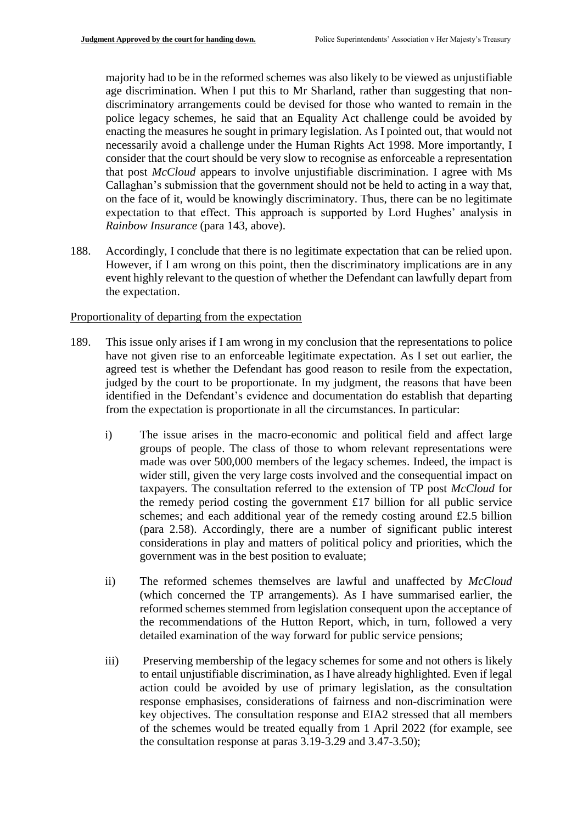majority had to be in the reformed schemes was also likely to be viewed as unjustifiable age discrimination. When I put this to Mr Sharland, rather than suggesting that nondiscriminatory arrangements could be devised for those who wanted to remain in the police legacy schemes, he said that an Equality Act challenge could be avoided by enacting the measures he sought in primary legislation. As I pointed out, that would not necessarily avoid a challenge under the Human Rights Act 1998. More importantly, I consider that the court should be very slow to recognise as enforceable a representation that post *McCloud* appears to involve unjustifiable discrimination. I agree with Ms Callaghan's submission that the government should not be held to acting in a way that, on the face of it, would be knowingly discriminatory. Thus, there can be no legitimate expectation to that effect. This approach is supported by Lord Hughes' analysis in *Rainbow Insurance* (para 143, above).

188. Accordingly, I conclude that there is no legitimate expectation that can be relied upon. However, if I am wrong on this point, then the discriminatory implications are in any event highly relevant to the question of whether the Defendant can lawfully depart from the expectation.

#### Proportionality of departing from the expectation

- 189. This issue only arises if I am wrong in my conclusion that the representations to police have not given rise to an enforceable legitimate expectation. As I set out earlier, the agreed test is whether the Defendant has good reason to resile from the expectation, judged by the court to be proportionate. In my judgment, the reasons that have been identified in the Defendant's evidence and documentation do establish that departing from the expectation is proportionate in all the circumstances. In particular:
	- i) The issue arises in the macro-economic and political field and affect large groups of people. The class of those to whom relevant representations were made was over 500,000 members of the legacy schemes. Indeed, the impact is wider still, given the very large costs involved and the consequential impact on taxpayers. The consultation referred to the extension of TP post *McCloud* for the remedy period costing the government £17 billion for all public service schemes; and each additional year of the remedy costing around £2.5 billion (para 2.58). Accordingly, there are a number of significant public interest considerations in play and matters of political policy and priorities, which the government was in the best position to evaluate;
	- ii) The reformed schemes themselves are lawful and unaffected by *McCloud* (which concerned the TP arrangements). As I have summarised earlier, the reformed schemes stemmed from legislation consequent upon the acceptance of the recommendations of the Hutton Report, which, in turn, followed a very detailed examination of the way forward for public service pensions;
	- iii) Preserving membership of the legacy schemes for some and not others is likely to entail unjustifiable discrimination, as I have already highlighted. Even if legal action could be avoided by use of primary legislation, as the consultation response emphasises, considerations of fairness and non-discrimination were key objectives. The consultation response and EIA2 stressed that all members of the schemes would be treated equally from 1 April 2022 (for example, see the consultation response at paras 3.19-3.29 and 3.47-3.50);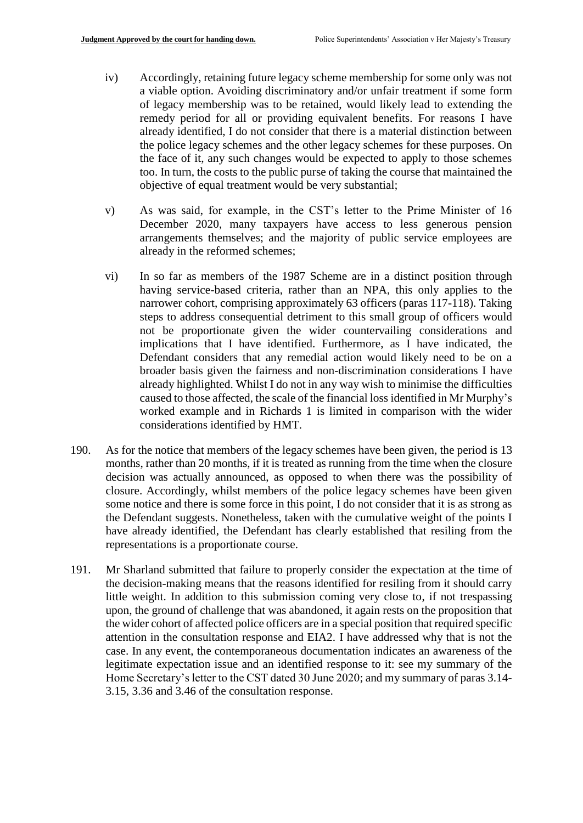- iv) Accordingly, retaining future legacy scheme membership for some only was not a viable option. Avoiding discriminatory and/or unfair treatment if some form of legacy membership was to be retained, would likely lead to extending the remedy period for all or providing equivalent benefits. For reasons I have already identified, I do not consider that there is a material distinction between the police legacy schemes and the other legacy schemes for these purposes. On the face of it, any such changes would be expected to apply to those schemes too. In turn, the costs to the public purse of taking the course that maintained the objective of equal treatment would be very substantial;
- v) As was said, for example, in the CST's letter to the Prime Minister of 16 December 2020, many taxpayers have access to less generous pension arrangements themselves; and the majority of public service employees are already in the reformed schemes;
- vi) In so far as members of the 1987 Scheme are in a distinct position through having service-based criteria, rather than an NPA, this only applies to the narrower cohort, comprising approximately 63 officers (paras 117-118). Taking steps to address consequential detriment to this small group of officers would not be proportionate given the wider countervailing considerations and implications that I have identified. Furthermore, as I have indicated, the Defendant considers that any remedial action would likely need to be on a broader basis given the fairness and non-discrimination considerations I have already highlighted. Whilst I do not in any way wish to minimise the difficulties caused to those affected, the scale of the financial loss identified in Mr Murphy's worked example and in Richards 1 is limited in comparison with the wider considerations identified by HMT.
- 190. As for the notice that members of the legacy schemes have been given, the period is 13 months, rather than 20 months, if it is treated as running from the time when the closure decision was actually announced, as opposed to when there was the possibility of closure. Accordingly, whilst members of the police legacy schemes have been given some notice and there is some force in this point, I do not consider that it is as strong as the Defendant suggests. Nonetheless, taken with the cumulative weight of the points I have already identified, the Defendant has clearly established that resiling from the representations is a proportionate course.
- 191. Mr Sharland submitted that failure to properly consider the expectation at the time of the decision-making means that the reasons identified for resiling from it should carry little weight. In addition to this submission coming very close to, if not trespassing upon, the ground of challenge that was abandoned, it again rests on the proposition that the wider cohort of affected police officers are in a special position that required specific attention in the consultation response and EIA2. I have addressed why that is not the case. In any event, the contemporaneous documentation indicates an awareness of the legitimate expectation issue and an identified response to it: see my summary of the Home Secretary's letter to the CST dated 30 June 2020; and my summary of paras 3.14- 3.15, 3.36 and 3.46 of the consultation response.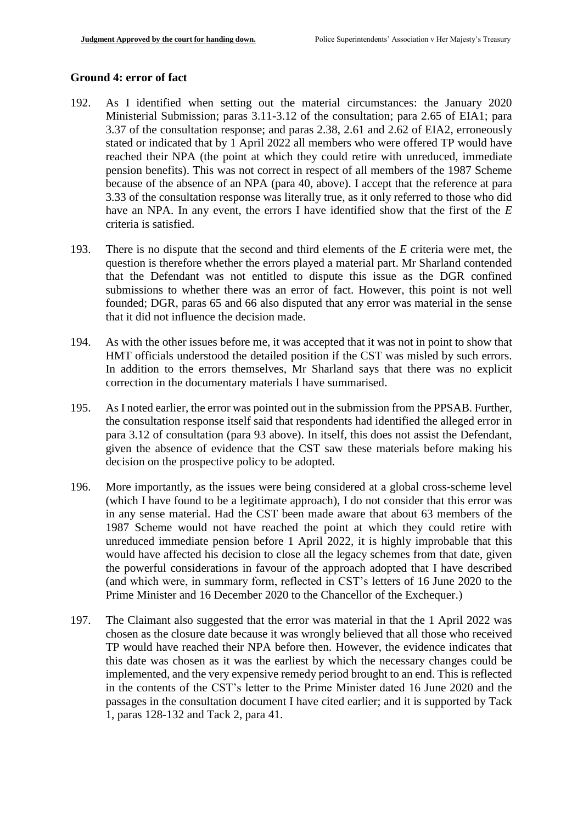## **Ground 4: error of fact**

- 192. As I identified when setting out the material circumstances: the January 2020 Ministerial Submission; paras 3.11-3.12 of the consultation; para 2.65 of EIA1; para 3.37 of the consultation response; and paras 2.38, 2.61 and 2.62 of EIA2, erroneously stated or indicated that by 1 April 2022 all members who were offered TP would have reached their NPA (the point at which they could retire with unreduced, immediate pension benefits). This was not correct in respect of all members of the 1987 Scheme because of the absence of an NPA (para 40, above). I accept that the reference at para 3.33 of the consultation response was literally true, as it only referred to those who did have an NPA. In any event, the errors I have identified show that the first of the *E*  criteria is satisfied.
- 193. There is no dispute that the second and third elements of the *E* criteria were met, the question is therefore whether the errors played a material part. Mr Sharland contended that the Defendant was not entitled to dispute this issue as the DGR confined submissions to whether there was an error of fact. However, this point is not well founded; DGR, paras 65 and 66 also disputed that any error was material in the sense that it did not influence the decision made.
- 194. As with the other issues before me, it was accepted that it was not in point to show that HMT officials understood the detailed position if the CST was misled by such errors. In addition to the errors themselves, Mr Sharland says that there was no explicit correction in the documentary materials I have summarised.
- 195. As I noted earlier, the error was pointed out in the submission from the PPSAB. Further, the consultation response itself said that respondents had identified the alleged error in para 3.12 of consultation (para 93 above). In itself, this does not assist the Defendant, given the absence of evidence that the CST saw these materials before making his decision on the prospective policy to be adopted.
- 196. More importantly, as the issues were being considered at a global cross-scheme level (which I have found to be a legitimate approach), I do not consider that this error was in any sense material. Had the CST been made aware that about 63 members of the 1987 Scheme would not have reached the point at which they could retire with unreduced immediate pension before 1 April 2022, it is highly improbable that this would have affected his decision to close all the legacy schemes from that date, given the powerful considerations in favour of the approach adopted that I have described (and which were, in summary form, reflected in CST's letters of 16 June 2020 to the Prime Minister and 16 December 2020 to the Chancellor of the Exchequer.)
- 197. The Claimant also suggested that the error was material in that the 1 April 2022 was chosen as the closure date because it was wrongly believed that all those who received TP would have reached their NPA before then. However, the evidence indicates that this date was chosen as it was the earliest by which the necessary changes could be implemented, and the very expensive remedy period brought to an end. This is reflected in the contents of the CST's letter to the Prime Minister dated 16 June 2020 and the passages in the consultation document I have cited earlier; and it is supported by Tack 1, paras 128-132 and Tack 2, para 41.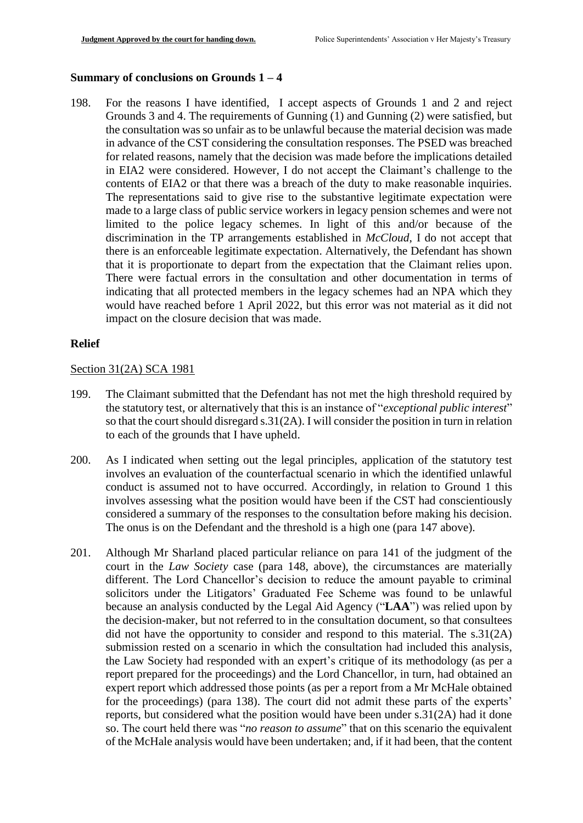#### **Summary of conclusions on Grounds 1 – 4**

198. For the reasons I have identified, I accept aspects of Grounds 1 and 2 and reject Grounds 3 and 4. The requirements of Gunning (1) and Gunning (2) were satisfied, but the consultation was so unfair as to be unlawful because the material decision was made in advance of the CST considering the consultation responses. The PSED was breached for related reasons, namely that the decision was made before the implications detailed in EIA2 were considered. However, I do not accept the Claimant's challenge to the contents of EIA2 or that there was a breach of the duty to make reasonable inquiries. The representations said to give rise to the substantive legitimate expectation were made to a large class of public service workers in legacy pension schemes and were not limited to the police legacy schemes. In light of this and/or because of the discrimination in the TP arrangements established in *McCloud*, I do not accept that there is an enforceable legitimate expectation. Alternatively, the Defendant has shown that it is proportionate to depart from the expectation that the Claimant relies upon. There were factual errors in the consultation and other documentation in terms of indicating that all protected members in the legacy schemes had an NPA which they would have reached before 1 April 2022, but this error was not material as it did not impact on the closure decision that was made.

## **Relief**

#### Section 31(2A) SCA 1981

- 199. The Claimant submitted that the Defendant has not met the high threshold required by the statutory test, or alternatively that this is an instance of "*exceptional public interest*" so that the court should disregard s.31(2A). I will consider the position in turn in relation to each of the grounds that I have upheld.
- 200. As I indicated when setting out the legal principles, application of the statutory test involves an evaluation of the counterfactual scenario in which the identified unlawful conduct is assumed not to have occurred. Accordingly, in relation to Ground 1 this involves assessing what the position would have been if the CST had conscientiously considered a summary of the responses to the consultation before making his decision. The onus is on the Defendant and the threshold is a high one (para 147 above).
- 201. Although Mr Sharland placed particular reliance on para 141 of the judgment of the court in the *Law Society* case (para 148, above), the circumstances are materially different. The Lord Chancellor's decision to reduce the amount payable to criminal solicitors under the Litigators' Graduated Fee Scheme was found to be unlawful because an analysis conducted by the Legal Aid Agency ("**LAA**") was relied upon by the decision-maker, but not referred to in the consultation document, so that consultees did not have the opportunity to consider and respond to this material. The s.31(2A) submission rested on a scenario in which the consultation had included this analysis, the Law Society had responded with an expert's critique of its methodology (as per a report prepared for the proceedings) and the Lord Chancellor, in turn, had obtained an expert report which addressed those points (as per a report from a Mr McHale obtained for the proceedings) (para 138). The court did not admit these parts of the experts' reports, but considered what the position would have been under s.31(2A) had it done so. The court held there was "*no reason to assume*" that on this scenario the equivalent of the McHale analysis would have been undertaken; and, if it had been, that the content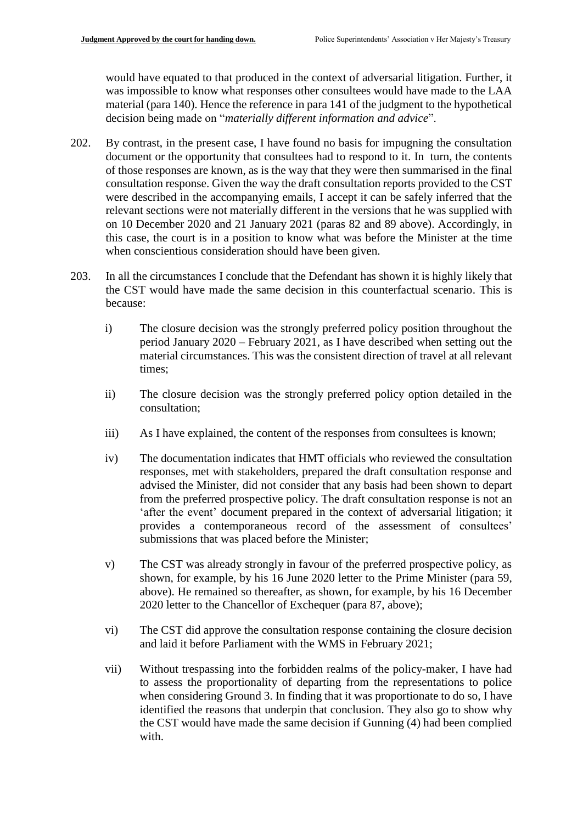would have equated to that produced in the context of adversarial litigation. Further, it was impossible to know what responses other consultees would have made to the LAA material (para 140). Hence the reference in para 141 of the judgment to the hypothetical decision being made on "*materially different information and advice*".

- 202. By contrast, in the present case, I have found no basis for impugning the consultation document or the opportunity that consultees had to respond to it. In turn, the contents of those responses are known, as is the way that they were then summarised in the final consultation response. Given the way the draft consultation reports provided to the CST were described in the accompanying emails, I accept it can be safely inferred that the relevant sections were not materially different in the versions that he was supplied with on 10 December 2020 and 21 January 2021 (paras 82 and 89 above). Accordingly, in this case, the court is in a position to know what was before the Minister at the time when conscientious consideration should have been given.
- 203. In all the circumstances I conclude that the Defendant has shown it is highly likely that the CST would have made the same decision in this counterfactual scenario. This is because:
	- i) The closure decision was the strongly preferred policy position throughout the period January 2020 – February 2021, as I have described when setting out the material circumstances. This was the consistent direction of travel at all relevant times;
	- ii) The closure decision was the strongly preferred policy option detailed in the consultation;
	- iii) As I have explained, the content of the responses from consultees is known;
	- iv) The documentation indicates that HMT officials who reviewed the consultation responses, met with stakeholders, prepared the draft consultation response and advised the Minister, did not consider that any basis had been shown to depart from the preferred prospective policy. The draft consultation response is not an 'after the event' document prepared in the context of adversarial litigation; it provides a contemporaneous record of the assessment of consultees' submissions that was placed before the Minister;
	- v) The CST was already strongly in favour of the preferred prospective policy, as shown, for example, by his 16 June 2020 letter to the Prime Minister (para 59, above). He remained so thereafter, as shown, for example, by his 16 December 2020 letter to the Chancellor of Exchequer (para 87, above);
	- vi) The CST did approve the consultation response containing the closure decision and laid it before Parliament with the WMS in February 2021;
	- vii) Without trespassing into the forbidden realms of the policy-maker, I have had to assess the proportionality of departing from the representations to police when considering Ground 3. In finding that it was proportionate to do so, I have identified the reasons that underpin that conclusion. They also go to show why the CST would have made the same decision if Gunning (4) had been complied with.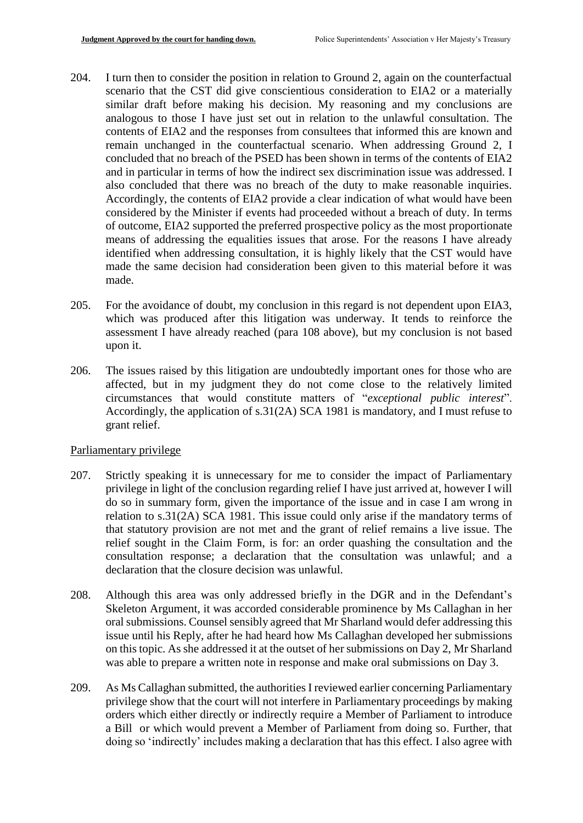- 204. I turn then to consider the position in relation to Ground 2, again on the counterfactual scenario that the CST did give conscientious consideration to EIA2 or a materially similar draft before making his decision. My reasoning and my conclusions are analogous to those I have just set out in relation to the unlawful consultation. The contents of EIA2 and the responses from consultees that informed this are known and remain unchanged in the counterfactual scenario. When addressing Ground 2, I concluded that no breach of the PSED has been shown in terms of the contents of EIA2 and in particular in terms of how the indirect sex discrimination issue was addressed. I also concluded that there was no breach of the duty to make reasonable inquiries. Accordingly, the contents of EIA2 provide a clear indication of what would have been considered by the Minister if events had proceeded without a breach of duty. In terms of outcome, EIA2 supported the preferred prospective policy as the most proportionate means of addressing the equalities issues that arose. For the reasons I have already identified when addressing consultation, it is highly likely that the CST would have made the same decision had consideration been given to this material before it was made.
- 205. For the avoidance of doubt, my conclusion in this regard is not dependent upon EIA3, which was produced after this litigation was underway. It tends to reinforce the assessment I have already reached (para 108 above), but my conclusion is not based upon it.
- 206. The issues raised by this litigation are undoubtedly important ones for those who are affected, but in my judgment they do not come close to the relatively limited circumstances that would constitute matters of "*exceptional public interest*". Accordingly, the application of s.31(2A) SCA 1981 is mandatory, and I must refuse to grant relief.

#### Parliamentary privilege

- 207. Strictly speaking it is unnecessary for me to consider the impact of Parliamentary privilege in light of the conclusion regarding relief I have just arrived at, however I will do so in summary form, given the importance of the issue and in case I am wrong in relation to s.31(2A) SCA 1981. This issue could only arise if the mandatory terms of that statutory provision are not met and the grant of relief remains a live issue. The relief sought in the Claim Form, is for: an order quashing the consultation and the consultation response; a declaration that the consultation was unlawful; and a declaration that the closure decision was unlawful.
- 208. Although this area was only addressed briefly in the DGR and in the Defendant's Skeleton Argument, it was accorded considerable prominence by Ms Callaghan in her oral submissions. Counsel sensibly agreed that Mr Sharland would defer addressing this issue until his Reply, after he had heard how Ms Callaghan developed her submissions on this topic. As she addressed it at the outset of her submissions on Day 2, Mr Sharland was able to prepare a written note in response and make oral submissions on Day 3.
- 209. As Ms Callaghan submitted, the authorities I reviewed earlier concerning Parliamentary privilege show that the court will not interfere in Parliamentary proceedings by making orders which either directly or indirectly require a Member of Parliament to introduce a Bill or which would prevent a Member of Parliament from doing so. Further, that doing so 'indirectly' includes making a declaration that has this effect. I also agree with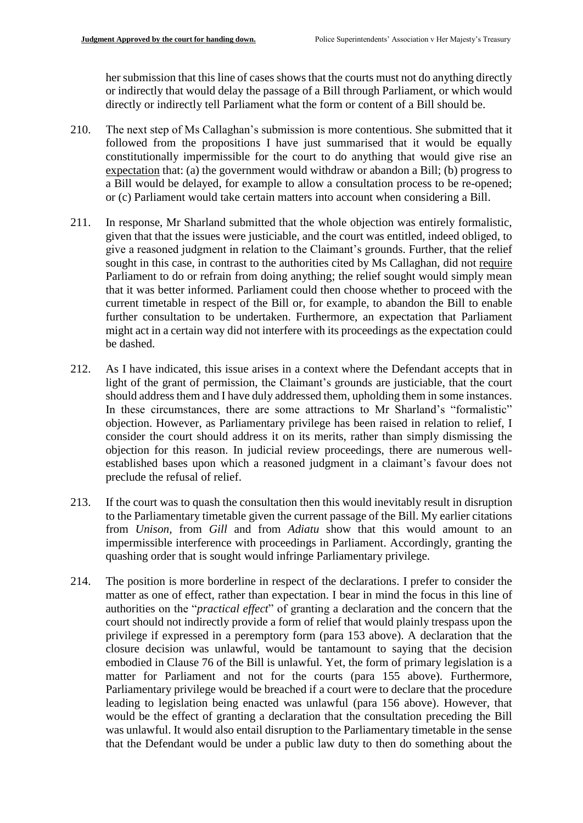her submission that this line of cases shows that the courts must not do anything directly or indirectly that would delay the passage of a Bill through Parliament, or which would directly or indirectly tell Parliament what the form or content of a Bill should be.

- 210. The next step of Ms Callaghan's submission is more contentious. She submitted that it followed from the propositions I have just summarised that it would be equally constitutionally impermissible for the court to do anything that would give rise an expectation that: (a) the government would withdraw or abandon a Bill; (b) progress to a Bill would be delayed, for example to allow a consultation process to be re-opened; or (c) Parliament would take certain matters into account when considering a Bill.
- 211. In response, Mr Sharland submitted that the whole objection was entirely formalistic, given that that the issues were justiciable, and the court was entitled, indeed obliged, to give a reasoned judgment in relation to the Claimant's grounds. Further, that the relief sought in this case, in contrast to the authorities cited by Ms Callaghan, did not require Parliament to do or refrain from doing anything; the relief sought would simply mean that it was better informed. Parliament could then choose whether to proceed with the current timetable in respect of the Bill or, for example, to abandon the Bill to enable further consultation to be undertaken. Furthermore, an expectation that Parliament might act in a certain way did not interfere with its proceedings as the expectation could be dashed.
- 212. As I have indicated, this issue arises in a context where the Defendant accepts that in light of the grant of permission, the Claimant's grounds are justiciable, that the court should address them and I have duly addressed them, upholding them in some instances. In these circumstances, there are some attractions to Mr Sharland's "formalistic" objection. However, as Parliamentary privilege has been raised in relation to relief, I consider the court should address it on its merits, rather than simply dismissing the objection for this reason. In judicial review proceedings, there are numerous wellestablished bases upon which a reasoned judgment in a claimant's favour does not preclude the refusal of relief.
- 213. If the court was to quash the consultation then this would inevitably result in disruption to the Parliamentary timetable given the current passage of the Bill. My earlier citations from *Unison,* from *Gill* and from *Adiatu* show that this would amount to an impermissible interference with proceedings in Parliament. Accordingly, granting the quashing order that is sought would infringe Parliamentary privilege.
- 214. The position is more borderline in respect of the declarations. I prefer to consider the matter as one of effect, rather than expectation. I bear in mind the focus in this line of authorities on the "*practical effect*" of granting a declaration and the concern that the court should not indirectly provide a form of relief that would plainly trespass upon the privilege if expressed in a peremptory form (para 153 above). A declaration that the closure decision was unlawful, would be tantamount to saying that the decision embodied in Clause 76 of the Bill is unlawful. Yet, the form of primary legislation is a matter for Parliament and not for the courts (para 155 above). Furthermore, Parliamentary privilege would be breached if a court were to declare that the procedure leading to legislation being enacted was unlawful (para 156 above). However, that would be the effect of granting a declaration that the consultation preceding the Bill was unlawful. It would also entail disruption to the Parliamentary timetable in the sense that the Defendant would be under a public law duty to then do something about the